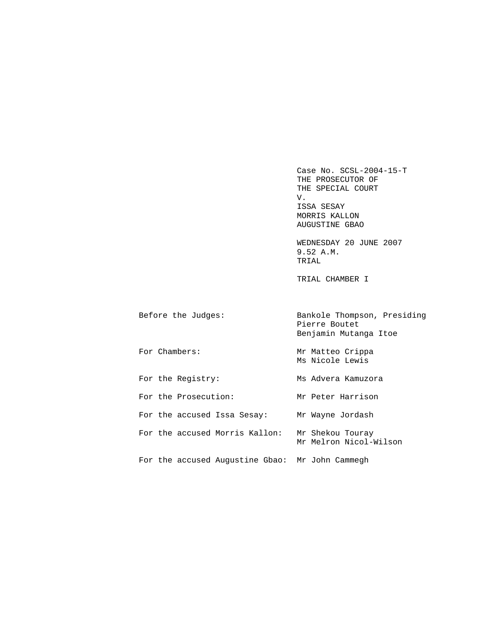Case No. SCSL-2004-15-T THE PROSECUTOR OF THE SPECIAL COURT<br>V. V. ISSA SESAY MORRIS KALLON AUGUSTINE GBAO

> WEDNESDAY 20 JUNE 2007 9.52 A.M. TRIAL

TRIAL CHAMBER I

| Before the Judges:                              | Bankole Thompson, Presiding<br>Pierre Boutet<br>Benjamin Mutanga Itoe |
|-------------------------------------------------|-----------------------------------------------------------------------|
| For Chambers:                                   | Mr Matteo Crippa<br>Ms Nicole Lewis                                   |
| For the Registry:                               | Ms Advera Kamuzora                                                    |
| For the Prosecution:                            | Mr Peter Harrison                                                     |
| For the accused Issa Sesay:                     | Mr Wayne Jordash                                                      |
| For the accused Morris Kallon:                  | Mr Shekou Touray<br>Mr Melron Nicol-Wilson                            |
| For the accused Augustine Gbao: Mr John Cammegh |                                                                       |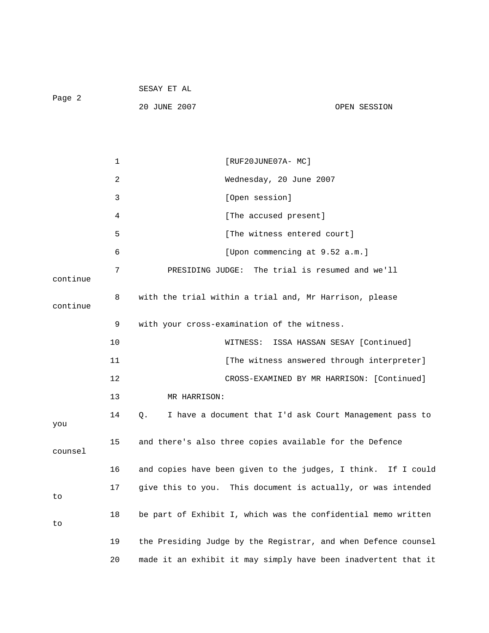| Page 2   |    | 20 JUNE 2007                                | OPEN SESSION                                                   |
|----------|----|---------------------------------------------|----------------------------------------------------------------|
|          |    |                                             |                                                                |
|          | 1  |                                             | [RUF20JUNE07A- MC]                                             |
|          | 2  |                                             | Wednesday, 20 June 2007                                        |
|          | 3  |                                             | [Open session]                                                 |
|          | 4  |                                             | [The accused present]                                          |
|          | 5  |                                             | [The witness entered court]                                    |
|          | 6  |                                             | [Upon commencing at 9.52 a.m.]                                 |
| continue | 7  |                                             | PRESIDING JUDGE: The trial is resumed and we'll                |
| continue | 8  |                                             | with the trial within a trial and, Mr Harrison, please         |
|          | 9  | with your cross-examination of the witness. |                                                                |
|          | 10 | WITNESS:                                    | ISSA HASSAN SESAY [Continued]                                  |
|          | 11 |                                             | [The witness answered through interpreter]                     |
|          | 12 |                                             | CROSS-EXAMINED BY MR HARRISON: [Continued]                     |
|          | 13 | MR HARRISON:                                |                                                                |
| you      | 14 | $Q$ .                                       | I have a document that I'd ask Court Management pass to        |
| counsel  | 15 |                                             | and there's also three copies available for the Defence        |
|          | 16 |                                             | and copies have been given to the judges, I think. If I could  |
| to       | 17 |                                             | give this to you. This document is actually, or was intended   |
| to       | 18 |                                             | be part of Exhibit I, which was the confidential memo written  |
|          | 19 |                                             | the Presiding Judge by the Registrar, and when Defence counsel |
|          | 20 |                                             | made it an exhibit it may simply have been inadvertent that it |

SESAY ET AL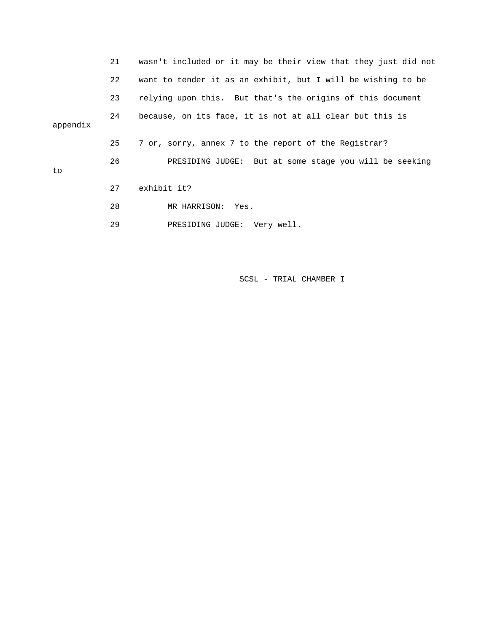|          | 21 | wasn't included or it may be their view that they just did not |
|----------|----|----------------------------------------------------------------|
|          | 22 | want to tender it as an exhibit, but I will be wishing to be   |
|          | 23 | relying upon this. But that's the origins of this document     |
| appendix | 24 | because, on its face, it is not at all clear but this is       |
|          | 25 | 7 or, sorry, annex 7 to the report of the Registrar?           |
| to       | 26 | PRESIDING JUDGE: But at some stage you will be seeking         |
|          | 27 | exhibit it?                                                    |
|          | 28 | MR HARRISON: Yes.                                              |
|          | 29 | PRESIDING JUDGE: Very well.                                    |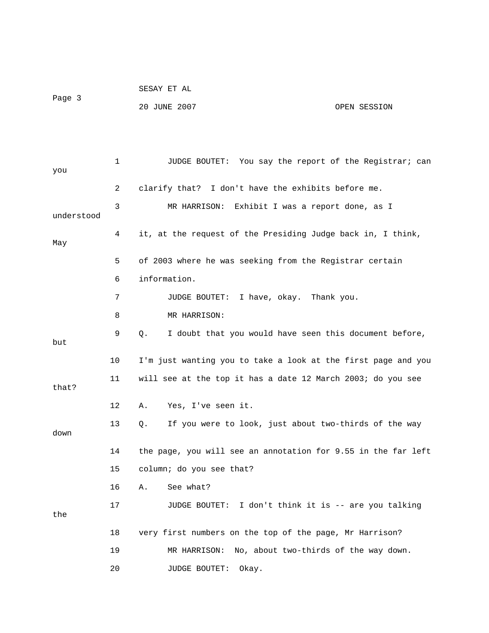|        | SESAY ET AL  |              |
|--------|--------------|--------------|
| Page 3 |              |              |
|        | 20 JUNE 2007 | OPEN SESSION |

| you        | 1  | JUDGE BOUTET: You say the report of the Registrar; can        |
|------------|----|---------------------------------------------------------------|
|            | 2  | clarify that? I don't have the exhibits before me.            |
|            |    |                                                               |
| understood | 3  | MR HARRISON:<br>Exhibit I was a report done, as I             |
| May        | 4  | it, at the request of the Presiding Judge back in, I think,   |
|            | 5  | of 2003 where he was seeking from the Registrar certain       |
|            | 6  | information.                                                  |
|            | 7  | I have, okay. Thank you.<br>JUDGE BOUTET:                     |
|            | 8  | MR HARRISON:                                                  |
| but        | 9  | I doubt that you would have seen this document before,<br>Q.  |
|            | 10 | I'm just wanting you to take a look at the first page and you |
| that?      | 11 | will see at the top it has a date 12 March 2003; do you see   |
|            | 12 | Yes, I've seen it.<br>Α.                                      |
| down       | 13 | If you were to look, just about two-thirds of the way<br>Q.   |
|            | 14 | the page, you will see an annotation for 9.55 in the far left |
|            | 15 | column; do you see that?                                      |
|            | 16 | See what?<br>Α.                                               |
| the        | 17 | JUDGE BOUTET: I don't think it is -- are you talking          |
|            | 18 | very first numbers on the top of the page, Mr Harrison?       |
|            | 19 | No, about two-thirds of the way down.<br>MR HARRISON:         |
|            | 20 | <b>JUDGE BOUTET:</b><br>Okay.                                 |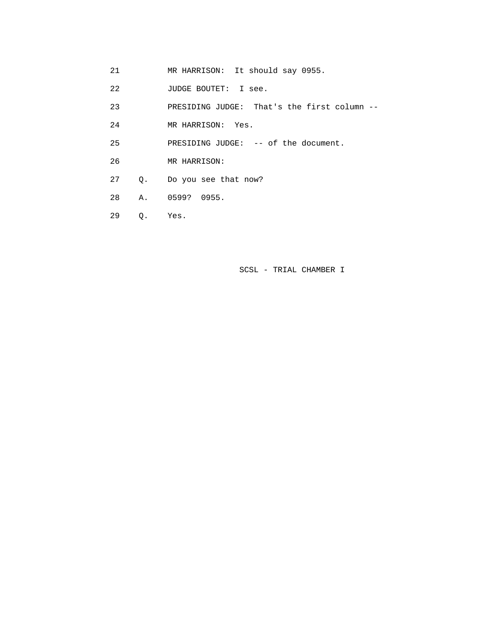- 21 MR HARRISON: It should say 0955.
- 22 JUDGE BOUTET: I see.
- 23 PRESIDING JUDGE: That's the first column --
- 24 MR HARRISON: Yes.
- 25 PRESIDING JUDGE: -- of the document.
- 26 MR HARRISON:
- 27 Q. Do you see that now?
- 28 A. 0599? 0955.
- 29 Q. Yes.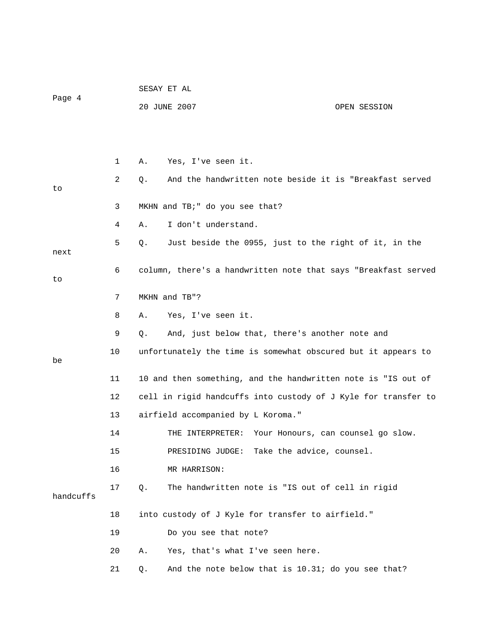|           |    |       | SESAY ET AL                        |                                                                |
|-----------|----|-------|------------------------------------|----------------------------------------------------------------|
| Page 4    |    |       | 20 JUNE 2007                       | OPEN SESSION                                                   |
|           |    |       |                                    |                                                                |
|           |    |       |                                    |                                                                |
|           | 1  | Α.    | Yes, I've seen it.                 |                                                                |
| to        | 2  | Q.    |                                    | And the handwritten note beside it is "Breakfast served        |
|           | 3  |       | MKHN and TB; " do you see that?    |                                                                |
|           | 4  | Α.    | I don't understand.                |                                                                |
| next      | 5  | Q.    |                                    | Just beside the 0955, just to the right of it, in the          |
| to        | 6  |       |                                    | column, there's a handwritten note that says "Breakfast served |
|           | 7  |       | MKHN and TB"?                      |                                                                |
|           | 8  | Α.    | Yes, I've seen it.                 |                                                                |
|           | 9  | Q.    |                                    | And, just below that, there's another note and                 |
| be        | 10 |       |                                    | unfortunately the time is somewhat obscured but it appears to  |
|           | 11 |       |                                    | 10 and then something, and the handwritten note is "IS out of  |
|           | 12 |       |                                    | cell in rigid handcuffs into custody of J Kyle for transfer to |
|           | 13 |       | airfield accompanied by L Koroma." |                                                                |
|           | 14 |       | THE INTERPRETER:                   | Your Honours, can counsel go slow.                             |
|           | 15 |       |                                    | PRESIDING JUDGE: Take the advice, counsel.                     |
|           | 16 |       | MR HARRISON:                       |                                                                |
| handcuffs | 17 | $Q$ . |                                    | The handwritten note is "IS out of cell in rigid               |
|           | 18 |       |                                    | into custody of J Kyle for transfer to airfield."              |
|           | 19 |       | Do you see that note?              |                                                                |
|           | 20 | Α.    | Yes, that's what I've seen here.   |                                                                |
|           | 21 | Q.    |                                    | And the note below that is 10.31; do you see that?             |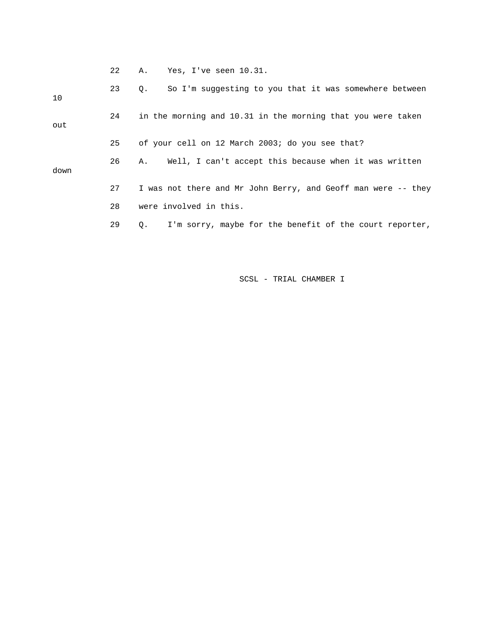22 A. Yes, I've seen 10.31.

| 10   | 23 | So I'm suggesting to you that it was somewhere between<br>$\circ$ .  |
|------|----|----------------------------------------------------------------------|
| out  | 24 | in the morning and 10.31 in the morning that you were taken          |
|      | 25 | of your cell on 12 March 2003; do you see that?                      |
| down | 26 | Well, I can't accept this because when it was written<br>А.          |
|      | 27 | I was not there and Mr John Berry, and Geoff man were -- they        |
|      | 28 | were involved in this.                                               |
|      | 29 | I'm sorry, maybe for the benefit of the court reporter,<br>$\circ$ . |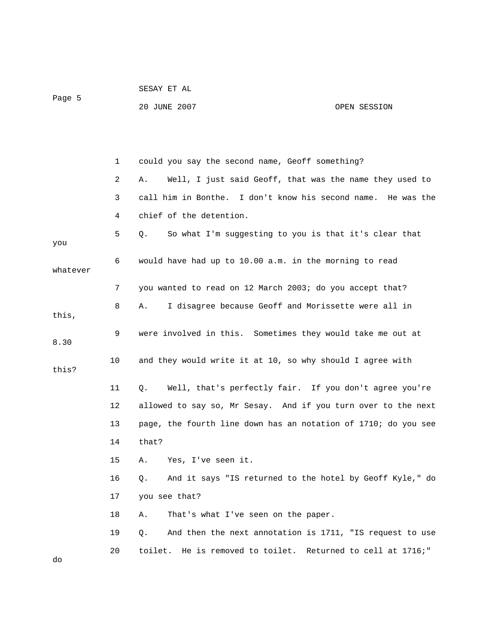|          |              | 20 JUNE 2007                                           | OPEN SESSION                                                 |
|----------|--------------|--------------------------------------------------------|--------------------------------------------------------------|
|          |              |                                                        |                                                              |
|          |              |                                                        |                                                              |
|          | $\mathbf{1}$ | could you say the second name, Geoff something?        |                                                              |
|          | 2            | Α.                                                     | Well, I just said Geoff, that was the name they used to      |
|          | 3            |                                                        | call him in Bonthe. I don't know his second name. He was the |
|          | 4            | chief of the detention.                                |                                                              |
| you      | 5            | Q.                                                     | So what I'm suggesting to you is that it's clear that        |
| whatever | 6            | would have had up to 10.00 a.m. in the morning to read |                                                              |
|          | 7            |                                                        | you wanted to read on 12 March 2003; do you accept that?     |
| this,    | 8            | Α.                                                     | I disagree because Geoff and Morissette were all in          |
| 8.30     | 9            |                                                        | were involved in this. Sometimes they would take me out at   |
| this?    | 10           |                                                        | and they would write it at 10, so why should I agree with    |

 11 Q. Well, that's perfectly fair. If you don't agree you're 12 allowed to say so, Mr Sesay. And if you turn over to the next 14 that? 13 page, the fourth line down has an notation of 1710; do you see

15 A. Yes, I've seen it.

SESAY ET AL

Page 5

16 Q. And it says "IS returned to the hotel by Geoff Kyle," do 17 you see that?

18 A. That's what I've seen on the paper.

19 Q. And then the next annotation is 1711, "IS request to use 20 toilet. He is removed to toilet. Returned to cell at 1716;"

do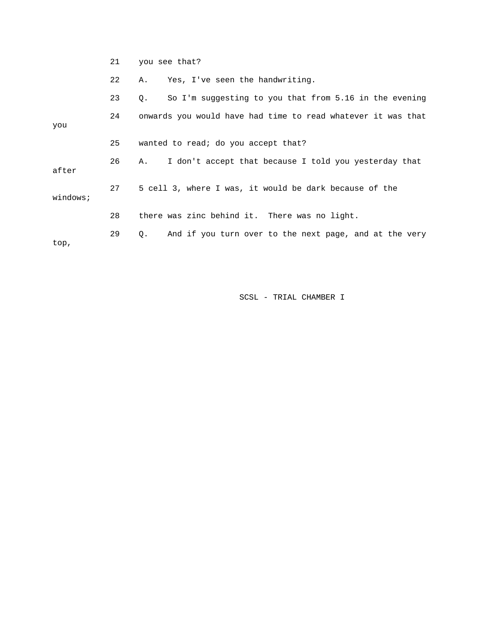|          | 21 | you see that?                                                |
|----------|----|--------------------------------------------------------------|
|          | 22 | Yes, I've seen the handwriting.<br>Α.                        |
|          | 23 | So I'm suggesting to you that from 5.16 in the evening<br>Q. |
| you      | 24 | onwards you would have had time to read whatever it was that |
|          | 25 | wanted to read; do you accept that?                          |
| after    | 26 | I don't accept that because I told you yesterday that<br>Α.  |
| windows; | 27 | 5 cell 3, where I was, it would be dark because of the       |
|          | 28 | there was zinc behind it. There was no light.                |
| top,     | 29 | And if you turn over to the next page, and at the very<br>Q. |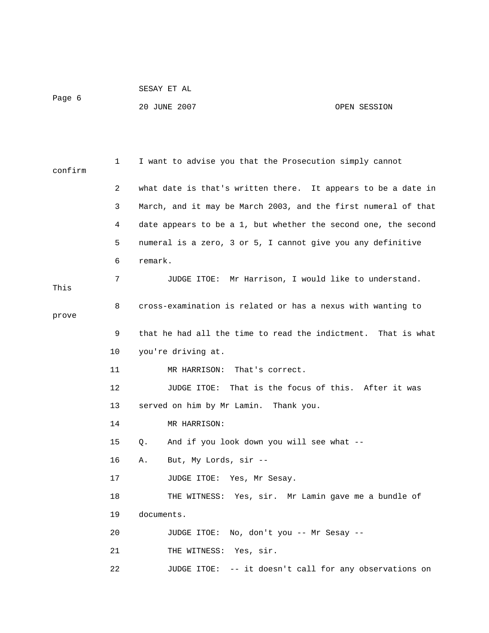```
 SESAY ET AL
```
Page 6

## 20 JUNE 2007 OPEN SESSION

| confirm | 1  | I want to advise you that the Prosecution simply cannot        |
|---------|----|----------------------------------------------------------------|
|         | 2  | what date is that's written there. It appears to be a date in  |
|         | 3  | March, and it may be March 2003, and the first numeral of that |
|         | 4  | date appears to be a 1, but whether the second one, the second |
|         | 5  | numeral is a zero, 3 or 5, I cannot give you any definitive    |
|         | 6  | remark.                                                        |
| This    | 7  | JUDGE ITOE: Mr Harrison, I would like to understand.           |
| prove   | 8  | cross-examination is related or has a nexus with wanting to    |
|         | 9  | that he had all the time to read the indictment. That is what  |
|         | 10 | you're driving at.                                             |
|         | 11 | MR HARRISON: That's correct.                                   |
|         | 12 | JUDGE ITOE: That is the focus of this. After it was            |
|         | 13 | served on him by Mr Lamin. Thank you.                          |
|         | 14 | MR HARRISON:                                                   |
|         | 15 | And if you look down you will see what --<br>Q.                |
|         | 16 | But, My Lords, sir --<br>Α.                                    |
|         | 17 | JUDGE ITOE: Yes, Mr Sesay.                                     |
|         | 18 | THE WITNESS: Yes, sir. Mr Lamin gave me a bundle of            |
|         | 19 | documents.                                                     |
|         | 20 | JUDGE ITOE: No, don't you -- Mr Sesay --                       |
|         | 21 | THE WITNESS: Yes, sir.                                         |
|         | 22 | JUDGE ITOE: -- it doesn't call for any observations on         |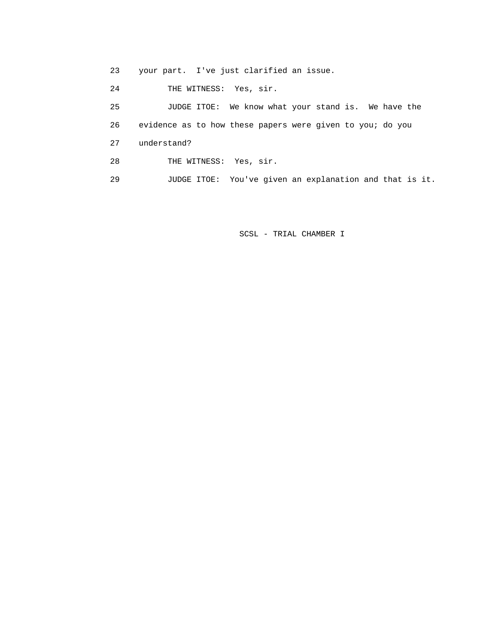23 your part. I've just clarified an issue.

24 THE WITNESS: Yes, sir.

 25 JUDGE ITOE: We know what your stand is. We have the 26 evidence as to how these papers were given to you; do you 27 understand? 28 THE WITNESS: Yes, sir. 29 JUDGE ITOE: You've given an explanation and that is it.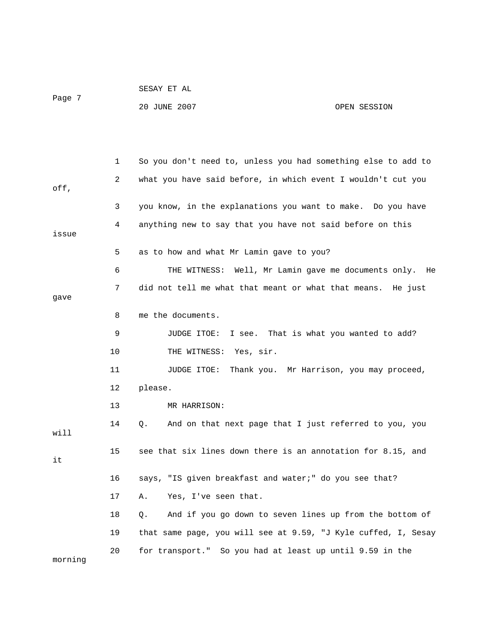| Page 7 |              | 20 JUNE 2007<br>OPEN SESSION                                  |
|--------|--------------|---------------------------------------------------------------|
|        |              |                                                               |
|        | $\mathbf{1}$ | So you don't need to, unless you had something else to add to |
| off,   | 2            | what you have said before, in which event I wouldn't cut you  |
|        | 3            | you know, in the explanations you want to make. Do you have   |
| issue  | 4            | anything new to say that you have not said before on this     |
|        | 5            | as to how and what Mr Lamin gave to you?                      |
|        | 6            | THE WITNESS: Well, Mr Lamin gave me documents only.<br>He     |
| qave   | 7            | did not tell me what that meant or what that means. He just   |
|        | 8            | me the documents.                                             |
|        | 9            | I see. That is what you wanted to add?<br>JUDGE ITOE:         |
|        | 10           | THE WITNESS: Yes, sir.                                        |
|        | 11           | Thank you. Mr Harrison, you may proceed,<br>JUDGE ITOE:       |
|        | 12           | please.                                                       |
|        | 13           | MR HARRISON:                                                  |
| will   | 14           | And on that next page that I just referred to you, you<br>Q.  |
|        | 15           | see that six lines down there is an annotation for 8.15, and  |

SESAY ET AL

it

 16 says, "IS given breakfast and water;" do you see that? 17 A. Yes, I've seen that.

 18 Q. And if you go down to seven lines up from the bottom of 19 that same page, you will see at 9.59, "J Kyle cuffed, I, Sesay 20 for transport." So you had at least up until 9.59 in the morning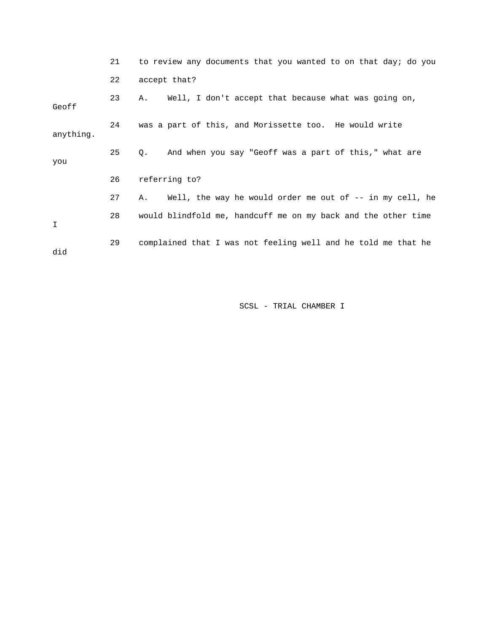|           | 21 | to review any documents that you wanted to on that day; do you |
|-----------|----|----------------------------------------------------------------|
|           | 22 | accept that?                                                   |
| Geoff     | 23 | Well, I don't accept that because what was going on,<br>Α.     |
| anything. | 24 | was a part of this, and Morissette too. He would write         |
| you       | 25 | And when you say "Geoff was a part of this," what are<br>Q.    |
|           | 26 | referring to?                                                  |
|           | 27 | Well, the way he would order me out of -- in my cell, he<br>А. |
| I         | 28 | would blindfold me, handcuff me on my back and the other time  |
| did       | 29 | complained that I was not feeling well and he told me that he  |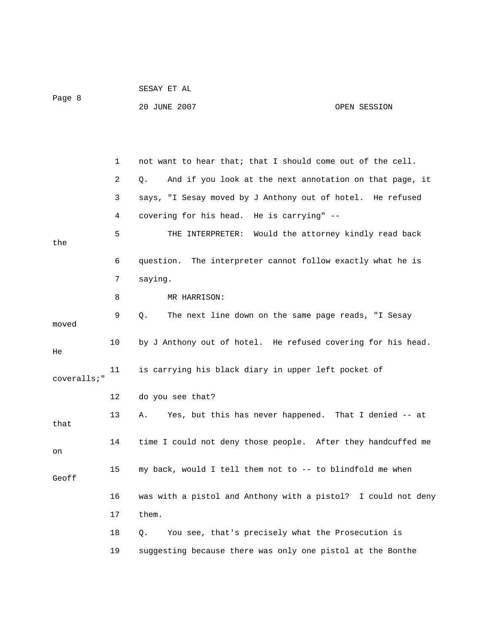| Page 8      |    | 20 JUNE 2007                                                  | OPEN SESSION |
|-------------|----|---------------------------------------------------------------|--------------|
|             |    |                                                               |              |
|             | 1  | not want to hear that; that I should come out of the cell.    |              |
|             | 2  | And if you look at the next annotation on that page, it<br>Q. |              |
|             | 3  | says, "I Sesay moved by J Anthony out of hotel. He refused    |              |
|             | 4  | covering for his head. He is carrying" --                     |              |
| the         | 5  | THE INTERPRETER: Would the attorney kindly read back          |              |
|             | 6  | question. The interpreter cannot follow exactly what he is    |              |
|             | 7  | saying.                                                       |              |
|             | 8  | MR HARRISON:                                                  |              |
| moved       | 9  | The next line down on the same page reads, "I Sesay<br>Q.     |              |
| He          | 10 | by J Anthony out of hotel. He refused covering for his head.  |              |
| coveralls;" | 11 | is carrying his black diary in upper left pocket of           |              |
|             | 12 | do you see that?                                              |              |
| that        | 13 | Yes, but this has never happened. That I denied -- at<br>Α.   |              |
| on          | 14 | time I could not deny those people. After they handcuffed me  |              |
| Geoff       | 15 | my back, would I tell them not to -- to blindfold me when     |              |
|             | 16 | was with a pistol and Anthony with a pistol? I could not deny |              |
|             | 17 | them.                                                         |              |
|             | 18 | You see, that's precisely what the Prosecution is<br>Q.       |              |
|             | 19 | suggesting because there was only one pistol at the Bonthe    |              |

SESAY ET AL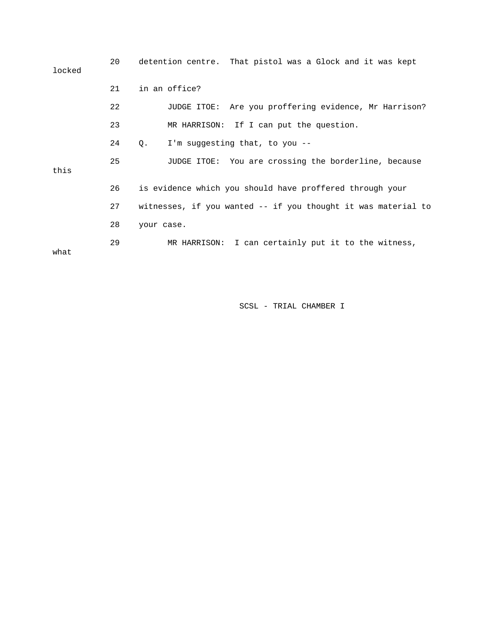| locked | 20 | detention centre. That pistol was a Glock and it was kept     |
|--------|----|---------------------------------------------------------------|
|        | 21 | in an office?                                                 |
|        | 22 | JUDGE ITOE: Are you proffering evidence, Mr Harrison?         |
|        | 23 | MR HARRISON: If I can put the question.                       |
|        | 24 | I'm suggesting that, to you --<br>О.                          |
| this   | 25 | JUDGE ITOE: You are crossing the borderline, because          |
|        | 26 | is evidence which you should have proffered through your      |
|        | 27 | witnesses, if you wanted -- if you thought it was material to |
|        | 28 | your case.                                                    |
| what   | 29 | MR HARRISON: I can certainly put it to the witness,           |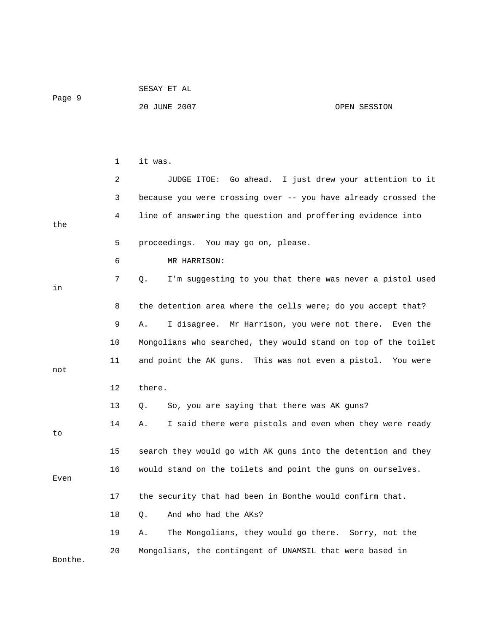|         |    | SESAY ET AL                                                    |              |
|---------|----|----------------------------------------------------------------|--------------|
| Page 9  |    | 20 JUNE 2007                                                   | OPEN SESSION |
|         |    |                                                                |              |
|         |    |                                                                |              |
|         | 1  | it was.                                                        |              |
|         | 2  | JUDGE ITOE: Go ahead. I just drew your attention to it         |              |
|         | 3  | because you were crossing over -- you have already crossed the |              |
| the     | 4  | line of answering the question and proffering evidence into    |              |
|         | 5  | proceedings. You may go on, please.                            |              |
|         | 6  | MR HARRISON:                                                   |              |
| in      | 7  | I'm suggesting to you that there was never a pistol used<br>Q. |              |
|         |    |                                                                |              |
|         | 8  | the detention area where the cells were; do you accept that?   |              |
|         | 9  | I disagree. Mr Harrison, you were not there. Even the<br>Α.    |              |
|         | 10 | Mongolians who searched, they would stand on top of the toilet |              |
| not     | 11 | and point the AK guns. This was not even a pistol. You were    |              |
|         | 12 | there.                                                         |              |
|         | 13 | So, you are saying that there was AK guns?<br>Q.               |              |
|         | 14 | I said there were pistols and even when they were ready<br>Α.  |              |
| to      | 15 |                                                                |              |
|         |    | search they would go with AK guns into the detention and they  |              |
| Even    | 16 | would stand on the toilets and point the guns on ourselves.    |              |
|         | 17 | the security that had been in Bonthe would confirm that.       |              |
|         | 18 | And who had the AKs?<br>Q.                                     |              |
|         | 19 | The Mongolians, they would go there. Sorry, not the<br>Α.      |              |
|         | 20 | Mongolians, the contingent of UNAMSIL that were based in       |              |
| Bonthe. |    |                                                                |              |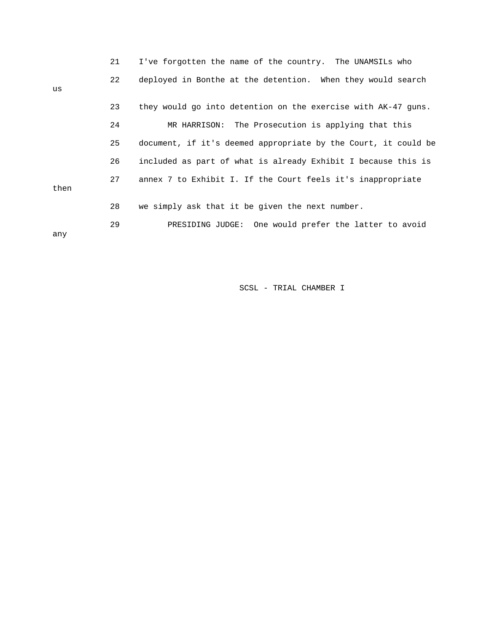|      | 21 | I've forgotten the name of the country. The UNAMSILs who       |
|------|----|----------------------------------------------------------------|
| us   | 22 | deployed in Bonthe at the detention. When they would search    |
|      | 23 | they would go into detention on the exercise with AK-47 guns.  |
|      | 24 | MR HARRISON: The Prosecution is applying that this             |
|      | 25 | document, if it's deemed appropriate by the Court, it could be |
|      | 26 | included as part of what is already Exhibit I because this is  |
| then | 27 | annex 7 to Exhibit I. If the Court feels it's inappropriate    |
|      | 28 | we simply ask that it be given the next number.                |
| any  | 29 | PRESIDING JUDGE: One would prefer the latter to avoid          |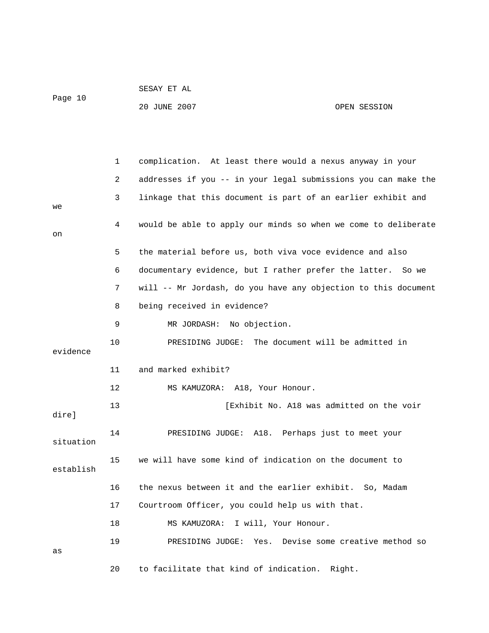|         | SESAY ET AL  |              |
|---------|--------------|--------------|
| Page 10 |              |              |
|         | 20 JUNE 2007 | OPEN SESSION |

 1 complication. At least there would a nexus anyway in your 2 addresses if you -- in your legal submissions you can make the 3 linkage that this document is part of an earlier exhibit and we 4 would be able to apply our minds so when we come to deliberate on 5 the material before us, both viva voce evidence and also 6 documentary evidence, but I rather prefer the latter. So we 7 will -- Mr Jordash, do you have any objection to this document 8 being received in evidence? 9 MR JORDASH: No objection. 10 PRESIDING JUDGE: The document will be admitted in evidence 11 and marked exhibit? 12 MS KAMUZORA: A18, Your Honour. 13 [Exhibit No. A18 was admitted on the voir dire] 14 PRESIDING JUDGE: A18. Perhaps just to meet your 15 we will have some kind of indication on the document to 16 the nexus between it and the earlier exhibit. So, Madam 18 MS KAMUZORA: I will, Your Honour. 20 to facilitate that kind of indication. Right. situation establish 17 Courtroom Officer, you could help us with that. 19 PRESIDING JUDGE: Yes. Devise some creative method so as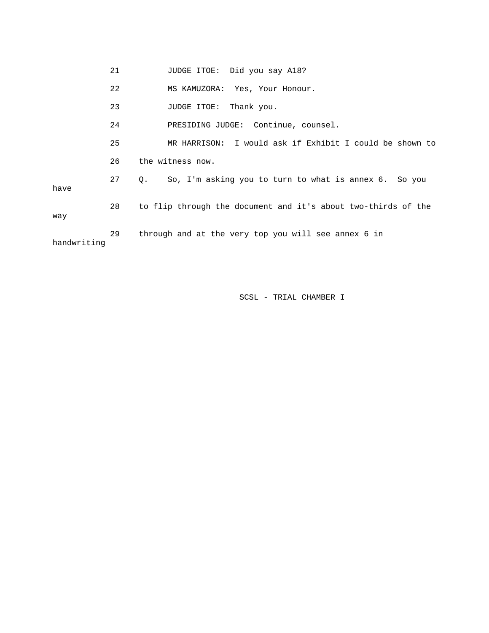|             | 21 | JUDGE ITOE: Did you say A18?                                  |
|-------------|----|---------------------------------------------------------------|
|             | 22 | MS KAMUZORA: Yes, Your Honour.                                |
|             | 23 | JUDGE ITOE:<br>Thank you.                                     |
|             | 24 | PRESIDING JUDGE: Continue, counsel.                           |
|             | 25 | MR HARRISON: I would ask if Exhibit I could be shown to       |
|             | 26 | the witness now.                                              |
| have        | 27 | So, I'm asking you to turn to what is annex 6. So you<br>Q.   |
| way         | 28 | to flip through the document and it's about two-thirds of the |
| handwriting | 29 | through and at the very top you will see annex 6 in           |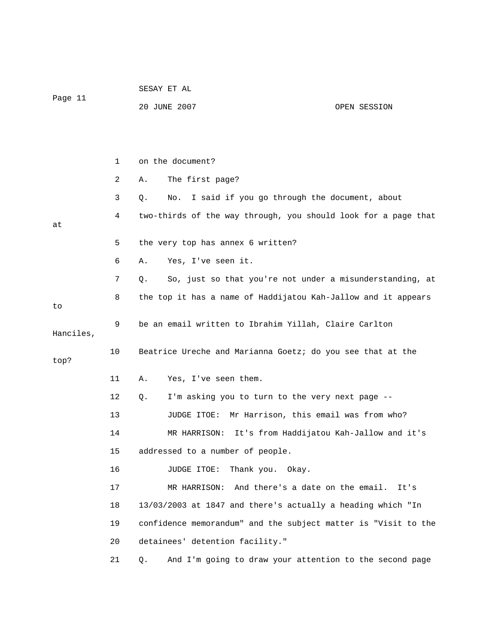|           |    | SESAY ET AL                                                    |  |  |
|-----------|----|----------------------------------------------------------------|--|--|
| Page 11   |    | 20 JUNE 2007<br>OPEN SESSION                                   |  |  |
|           |    |                                                                |  |  |
|           |    |                                                                |  |  |
|           | 1  | on the document?                                               |  |  |
|           | 2  | The first page?<br>Α.                                          |  |  |
|           | 3  | I said if you go through the document, about<br>Q.<br>No.      |  |  |
| at        | 4  | two-thirds of the way through, you should look for a page that |  |  |
|           | 5  | the very top has annex 6 written?                              |  |  |
|           | 6  | Yes, I've seen it.<br>Α.                                       |  |  |
|           | 7  | So, just so that you're not under a misunderstanding, at<br>Q. |  |  |
| to        | 8  | the top it has a name of Haddijatou Kah-Jallow and it appears  |  |  |
| Hanciles, | 9  | be an email written to Ibrahim Yillah, Claire Carlton          |  |  |
| top?      | 10 | Beatrice Ureche and Marianna Goetz; do you see that at the     |  |  |
|           | 11 | Yes, I've seen them.<br>Α.                                     |  |  |
|           | 12 | I'm asking you to turn to the very next page --<br>Q.          |  |  |
|           | 13 | Mr Harrison, this email was from who?<br>JUDGE ITOE:           |  |  |
|           | 14 | It's from Haddijatou Kah-Jallow and it's<br>MR HARRISON:       |  |  |
|           | 15 | addressed to a number of people.                               |  |  |
|           | 16 | Thank you.<br>JUDGE ITOE:<br>Okay.                             |  |  |
|           | 17 | And there's a date on the email.<br>MR HARRISON:<br>It's       |  |  |
|           | 18 | 13/03/2003 at 1847 and there's actually a heading which "In    |  |  |
|           | 19 | confidence memorandum" and the subject matter is "Visit to the |  |  |
|           | 20 | detainees' detention facility."                                |  |  |
|           | 21 | And I'm going to draw your attention to the second page<br>Q.  |  |  |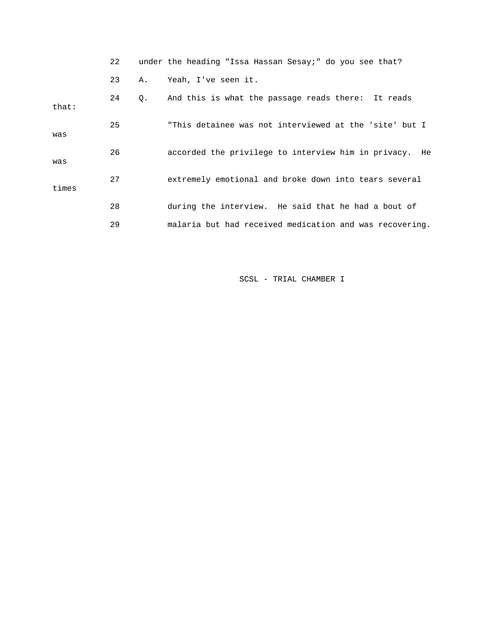|       | 22 |           | under the heading "Issa Hassan Sesay;" do you see that? |
|-------|----|-----------|---------------------------------------------------------|
|       | 23 | Α.        | Yeah, I've seen it.                                     |
| that: | 24 | $\circ$ . | And this is what the passage reads there: It reads      |
| was   | 25 |           | "This detainee was not interviewed at the 'site' but I  |
| was   | 26 |           | accorded the privilege to interview him in privacy. He  |
| times | 27 |           | extremely emotional and broke down into tears several   |
|       | 28 |           | during the interview. He said that he had a bout of     |
|       | 29 |           | malaria but had received medication and was recovering. |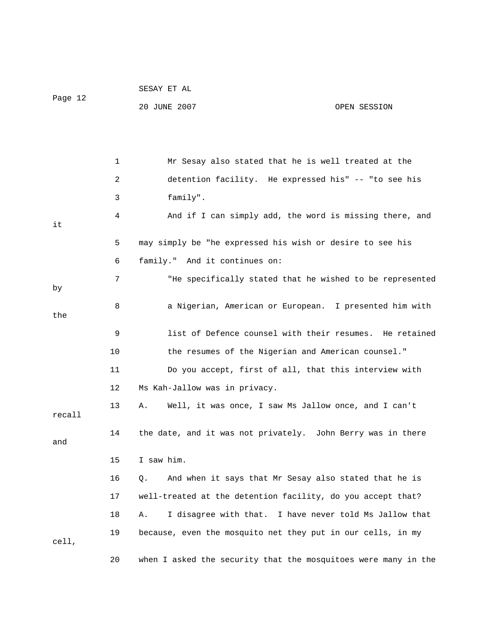| Page 12 |    | SESAY ET AL                                                    |              |
|---------|----|----------------------------------------------------------------|--------------|
|         |    | 20 JUNE 2007                                                   | OPEN SESSION |
|         |    |                                                                |              |
|         |    |                                                                |              |
|         | 1  | Mr Sesay also stated that he is well treated at the            |              |
|         | 2  | detention facility. He expressed his" -- "to see his           |              |
|         | 3  | family".                                                       |              |
| it      | 4  | And if I can simply add, the word is missing there, and        |              |
|         | 5  | may simply be "he expressed his wish or desire to see his      |              |
|         | 6  | family." And it continues on:                                  |              |
|         | 7  | "He specifically stated that he wished to be represented       |              |
| by      |    |                                                                |              |
| the     | 8  | a Nigerian, American or European. I presented him with         |              |
|         | 9  | list of Defence counsel with their resumes. He retained        |              |
|         | 10 | the resumes of the Nigerian and American counsel."             |              |
|         | 11 | Do you accept, first of all, that this interview with          |              |
|         | 12 | Ms Kah-Jallow was in privacy.                                  |              |
| recall  | 13 | Well, it was once, I saw Ms Jallow once, and I can't<br>Α.     |              |
| and     | 14 | the date, and it was not privately. John Berry was in there    |              |
|         | 15 | I saw him.                                                     |              |
|         | 16 | And when it says that Mr Sesay also stated that he is<br>Q.    |              |
|         | 17 | well-treated at the detention facility, do you accept that?    |              |
|         | 18 | I disagree with that. I have never told Ms Jallow that<br>Α.   |              |
| cell,   | 19 | because, even the mosquito net they put in our cells, in my    |              |
|         | 20 | when I asked the security that the mosquitoes were many in the |              |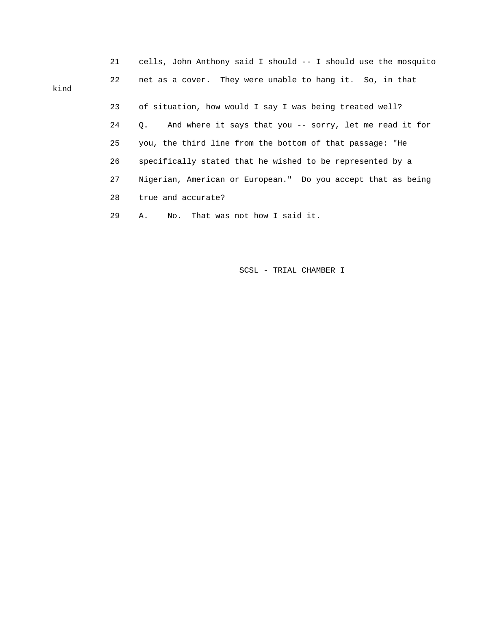|      | 21 | cells, John Anthony said I should -- I should use the mosquito |
|------|----|----------------------------------------------------------------|
| kind | 22 | net as a cover. They were unable to hang it. So, in that       |
|      | 23 | of situation, how would I say I was being treated well?        |
|      | 24 | And where it says that you -- sorry, let me read it for<br>О.  |
|      | 25 | you, the third line from the bottom of that passage: "He       |
|      | 26 | specifically stated that he wished to be represented by a      |
|      | 27 | Nigerian, American or European." Do you accept that as being   |
|      | 28 | true and accurate?                                             |
|      | 29 | No. That was not how I said it.<br>Α.                          |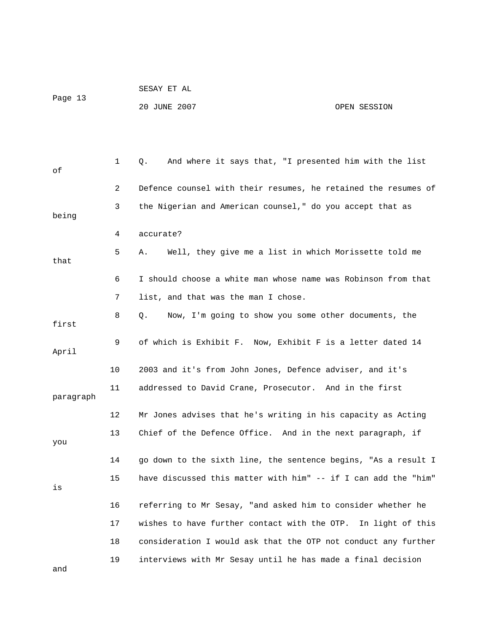| Page 13 | SESAY ET AL  |              |
|---------|--------------|--------------|
|         | 20 JUNE 2007 | OPEN SESSION |

| оf        | 1  | And where it says that, "I presented him with the list<br>Q.   |
|-----------|----|----------------------------------------------------------------|
|           | 2  | Defence counsel with their resumes, he retained the resumes of |
| being     | 3  | the Nigerian and American counsel," do you accept that as      |
|           | 4  | accurate?                                                      |
| that      | 5. | Well, they give me a list in which Morissette told me<br>Α.    |
|           | 6  | I should choose a white man whose name was Robinson from that  |
|           | 7  | list, and that was the man I chose.                            |
| first     | 8  | Now, I'm going to show you some other documents, the<br>Q.     |
| April     | 9  | of which is Exhibit F. Now, Exhibit F is a letter dated 14     |
|           | 10 | 2003 and it's from John Jones, Defence adviser, and it's       |
| paragraph | 11 | addressed to David Crane, Prosecutor. And in the first         |
|           | 12 | Mr Jones advises that he's writing in his capacity as Acting   |
| you       | 13 | Chief of the Defence Office. And in the next paragraph, if     |
|           | 14 | go down to the sixth line, the sentence begins, "As a result I |
| is        | 15 | have discussed this matter with him" -- if I can add the "him" |
|           | 16 | referring to Mr Sesay, "and asked him to consider whether he   |
|           | 17 | wishes to have further contact with the OTP. In light of this  |
|           | 18 | consideration I would ask that the OTP not conduct any further |
| and       | 19 | interviews with Mr Sesay until he has made a final decision    |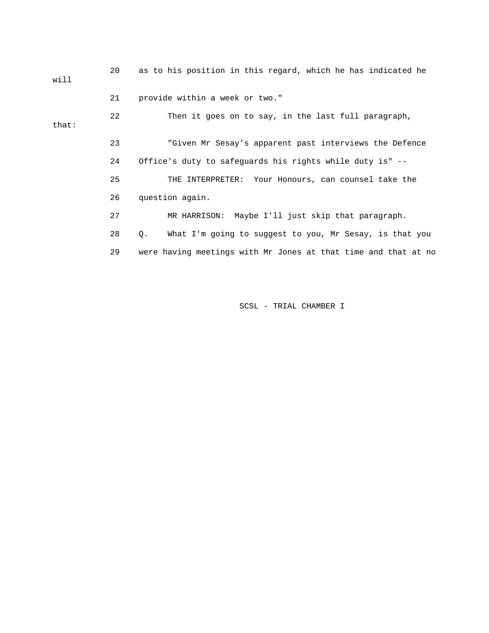20 as to his position in this regard, which he has indicated he will 21 provide within a week or two." 22 Then it goes on to say, in the last full paragraph, 23 "Given Mr Sesay's apparent past interviews the Defence that: 24 Office's duty to safeguards his rights while duty is" --

> 25 THE INTERPRETER: Your Honours, can counsel take the 26 question again.

27 MR HARRISON: Maybe I'll just skip that paragraph.

28 Q. What I'm going to suggest to you, Mr Sesay, is that you

29 were having meetings with Mr Jones at that time and that at no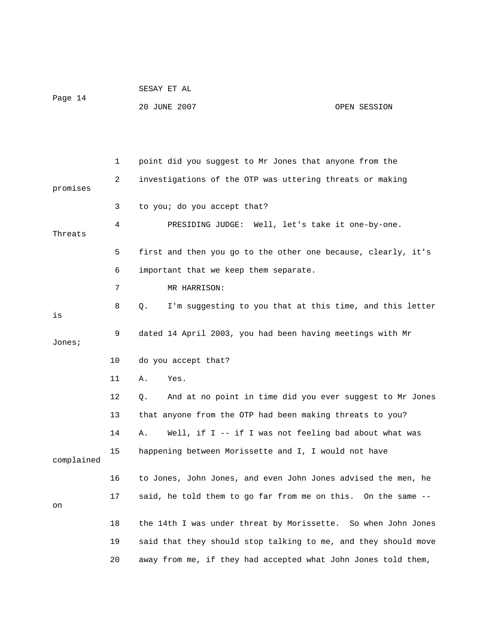| Page 14 | SESAY ET AL  |              |
|---------|--------------|--------------|
|         | 20 JUNE 2007 | OPEN SESSION |

|            | 1  | point did you suggest to Mr Jones that anyone from the         |
|------------|----|----------------------------------------------------------------|
| promises   | 2  | investigations of the OTP was uttering threats or making       |
|            | 3  | to you; do you accept that?                                    |
| Threats    | 4  | PRESIDING JUDGE: Well, let's take it one-by-one.               |
|            | 5  | first and then you go to the other one because, clearly, it's  |
|            | 6  | important that we keep them separate.                          |
|            | 7  | MR HARRISON:                                                   |
| is         | 8  | I'm suggesting to you that at this time, and this letter<br>Q. |
| Jones;     | 9  | dated 14 April 2003, you had been having meetings with Mr      |
|            | 10 | do you accept that?                                            |
|            | 11 | Yes.<br>Α.                                                     |
|            | 12 | And at no point in time did you ever suggest to Mr Jones<br>Q. |
|            | 13 | that anyone from the OTP had been making threats to you?       |
|            | 14 | Well, if I -- if I was not feeling bad about what was<br>Α.    |
| complained | 15 | happening between Morissette and I, I would not have           |
|            | 16 | to Jones, John Jones, and even John Jones advised the men, he  |
| on         | 17 | said, he told them to go far from me on this. On the same --   |
|            | 18 | the 14th I was under threat by Morissette. So when John Jones  |
|            | 19 | said that they should stop talking to me, and they should move |
|            | 20 | away from me, if they had accepted what John Jones told them,  |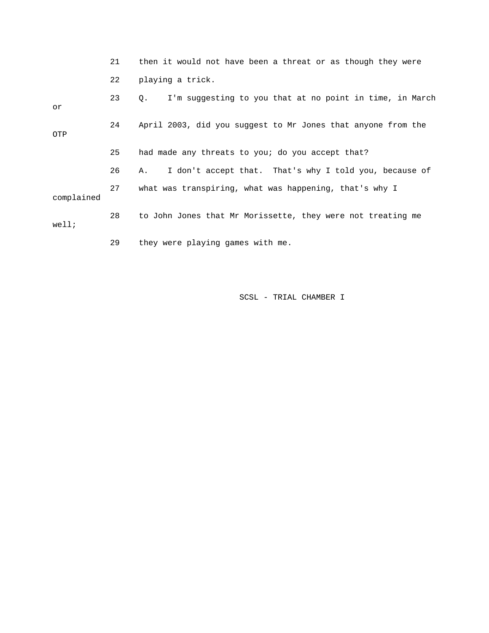|            | 21 | then it would not have been a threat or as though they were    |
|------------|----|----------------------------------------------------------------|
|            | 22 | playing a trick.                                               |
| or         | 23 | I'm suggesting to you that at no point in time, in March<br>Q. |
| OTP        | 24 | April 2003, did you suggest to Mr Jones that anyone from the   |
|            | 25 | had made any threats to you; do you accept that?               |
|            | 26 | I don't accept that. That's why I told you, because of<br>A.,  |
| complained | 27 | what was transpiring, what was happening, that's why I         |
| well;      | 28 | to John Jones that Mr Morissette, they were not treating me    |
|            | 29 | they were playing games with me.                               |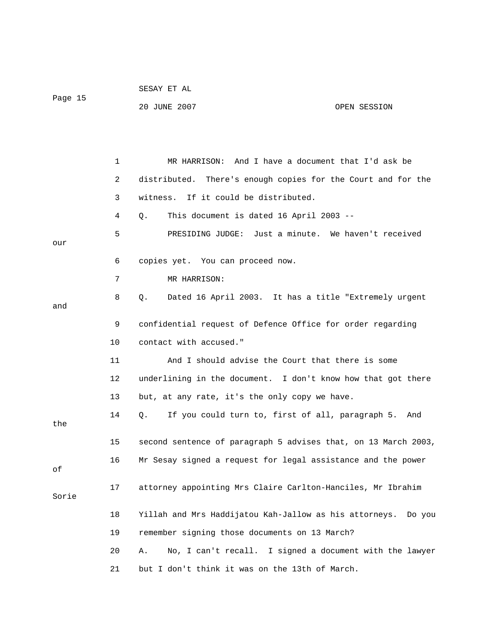| Page 15 |    | SESAY ET AL                                                          |  |  |  |
|---------|----|----------------------------------------------------------------------|--|--|--|
|         |    | 20 JUNE 2007<br>OPEN SESSION                                         |  |  |  |
|         |    |                                                                      |  |  |  |
|         |    |                                                                      |  |  |  |
|         | 1  | MR HARRISON: And I have a document that I'd ask be                   |  |  |  |
|         | 2  | distributed. There's enough copies for the Court and for the         |  |  |  |
|         | 3  | If it could be distributed.<br>witness.                              |  |  |  |
|         | 4  | This document is dated 16 April 2003 --<br>Q.                        |  |  |  |
|         | 5  | PRESIDING JUDGE: Just a minute. We haven't received                  |  |  |  |
| our     |    |                                                                      |  |  |  |
|         | 6  | copies yet. You can proceed now.                                     |  |  |  |
|         | 7  | MR HARRISON:                                                         |  |  |  |
| and     | 8  | Dated 16 April 2003. It has a title "Extremely urgent<br>$Q_{\star}$ |  |  |  |
|         | 9  | confidential request of Defence Office for order regarding           |  |  |  |
|         | 10 | contact with accused."                                               |  |  |  |
|         | 11 | And I should advise the Court that there is some                     |  |  |  |
|         | 12 | underlining in the document. I don't know how that got there         |  |  |  |
|         | 13 | but, at any rate, it's the only copy we have.                        |  |  |  |
| the     | 14 | If you could turn to, first of all, paragraph 5.<br>Q.<br>And        |  |  |  |
|         | 15 | second sentence of paragraph 5 advises that, on 13 March 2003,       |  |  |  |
|         | 16 | Mr Sesay signed a request for legal assistance and the power         |  |  |  |
| οf      |    |                                                                      |  |  |  |
| Sorie   | 17 | attorney appointing Mrs Claire Carlton-Hanciles, Mr Ibrahim          |  |  |  |
|         | 18 | Yillah and Mrs Haddijatou Kah-Jallow as his attorneys. Do you        |  |  |  |
|         | 19 | remember signing those documents on 13 March?                        |  |  |  |
|         | 20 | No, I can't recall. I signed a document with the lawyer<br>Α.        |  |  |  |
|         | 21 | but I don't think it was on the 13th of March.                       |  |  |  |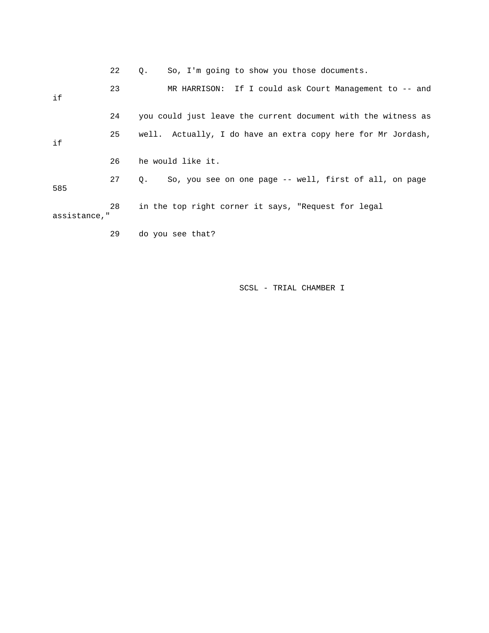|              | 22 | So, I'm going to show you those documents.<br>$\circ$ .             |
|--------------|----|---------------------------------------------------------------------|
| if           | 23 | MR HARRISON: If I could ask Court Management to $-$ and             |
|              | 24 | you could just leave the current document with the witness as       |
| if           | 25 | well. Actually, I do have an extra copy here for Mr Jordash,        |
|              | 26 | he would like it.                                                   |
| 585          | 27 | So, you see on one page -- well, first of all, on page<br>$\circ$ . |
| assistance," | 28 | in the top right corner it says, "Request for legal                 |
|              | 29 | do you see that?                                                    |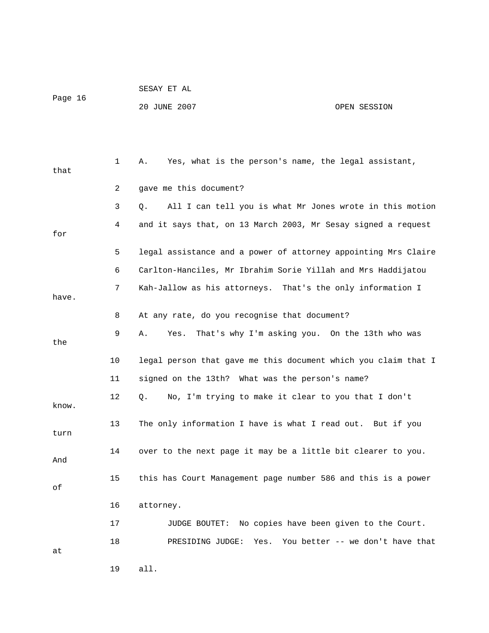SESAY ET AL Page 16 20 JUNE 2007 OPEN SESSION

 1 A. Yes, what is the person's name, the legal assistant, that 2 gave me this document? 3 Q. All I can tell you is what Mr Jones wrote in this motion 4 and it says that, on 13 March 2003, Mr Sesay signed a request for 5 legal assistance and a power of attorney appointing Mrs Claire 6 Carlton-Hanciles, Mr Ibrahim Sorie Yillah and Mrs Haddijatou 7 Kah-Jallow as his attorneys. That's the only information I have. 8 At any rate, do you recognise that document? 9 A. Yes. That's why I'm asking you. On the 13th who was the 10 legal person that gave me this document which you claim that I 11 signed on the 13th? What was the person's name? 12 Q. No, I'm trying to make it clear to you that I don't know. 13 The only information I have is what I read out. But if you turn 14 over to the next page it may be a little bit clearer to you. And 15 this has Court Management page number 586 and this is a power of 16 attorney. 17 JUDGE BOUTET: No copies have been given to the Court. 18 PRESIDING JUDGE: Yes. You better -- we don't have that at

19 all.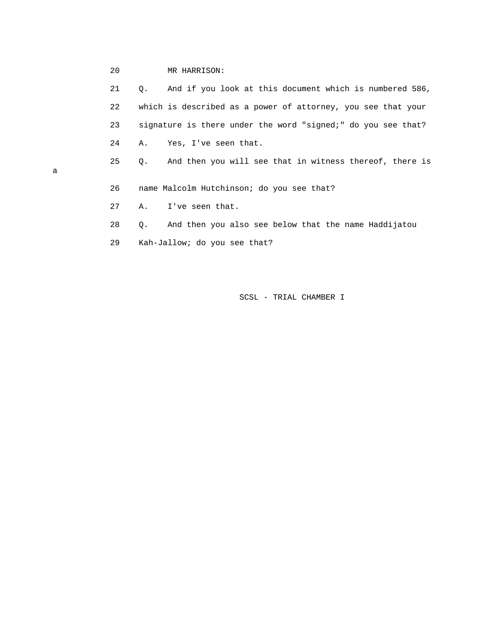# 20 MR HARRISON:

|   | 21 | And if you look at this document which is numbered 586,<br>$\circ$ . |
|---|----|----------------------------------------------------------------------|
|   | 22 | which is described as a power of attorney, you see that your         |
|   | 23 | signature is there under the word "signed;" do you see that?         |
|   | 24 | Yes, I've seen that.<br>Α.                                           |
| а | 25 | And then you will see that in witness thereof, there is<br>Q.        |
|   | 26 | name Malcolm Hutchinson; do you see that?                            |
|   | 27 | I've seen that.<br>Α.                                                |
|   | 28 | And then you also see below that the name Haddijatou<br>$\circ$ .    |
|   | 29 | Kah-Jallow; do you see that?                                         |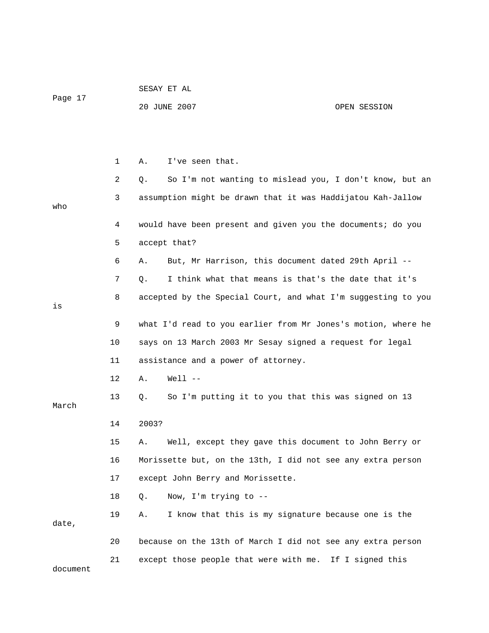|          |    | 20 JUNE 2007                                                  | OPEN SESSION                                            |
|----------|----|---------------------------------------------------------------|---------------------------------------------------------|
|          |    |                                                               |                                                         |
|          |    |                                                               |                                                         |
|          | 1  | I've seen that.<br>Α.                                         |                                                         |
|          | 2  | Q.                                                            | So I'm not wanting to mislead you, I don't know, but an |
|          | 3  | assumption might be drawn that it was Haddijatou Kah-Jallow   |                                                         |
| who      |    |                                                               |                                                         |
|          | 4  | would have been present and given you the documents; do you   |                                                         |
|          | 5  | accept that?                                                  |                                                         |
|          | 6  | But, Mr Harrison, this document dated 29th April --<br>Α.     |                                                         |
|          | 7  | I think what that means is that's the date that it's<br>Q.    |                                                         |
| is       | 8  | accepted by the Special Court, and what I'm suggesting to you |                                                         |
|          | 9  | what I'd read to you earlier from Mr Jones's motion, where he |                                                         |
|          | 10 | says on 13 March 2003 Mr Sesay signed a request for legal     |                                                         |
|          | 11 | assistance and a power of attorney.                           |                                                         |
|          | 12 | $Well 1 - -$<br>Α.                                            |                                                         |
| March    | 13 | So I'm putting it to you that this was signed on 13<br>Q.     |                                                         |
|          | 14 | 2003?                                                         |                                                         |
|          | 15 | Well, except they gave this document to John Berry or<br>Α.   |                                                         |
|          | 16 | Morissette but, on the 13th, I did not see any extra person   |                                                         |
|          | 17 | except John Berry and Morissette.                             |                                                         |
|          | 18 | Now, I'm trying to --<br>Q.                                   |                                                         |
|          | 19 | I know that this is my signature because one is the<br>Α.     |                                                         |
| date,    |    |                                                               |                                                         |
|          | 20 | because on the 13th of March I did not see any extra person   |                                                         |
| document | 21 | except those people that were with me. If I signed this       |                                                         |

SESAY ET AL

Page 17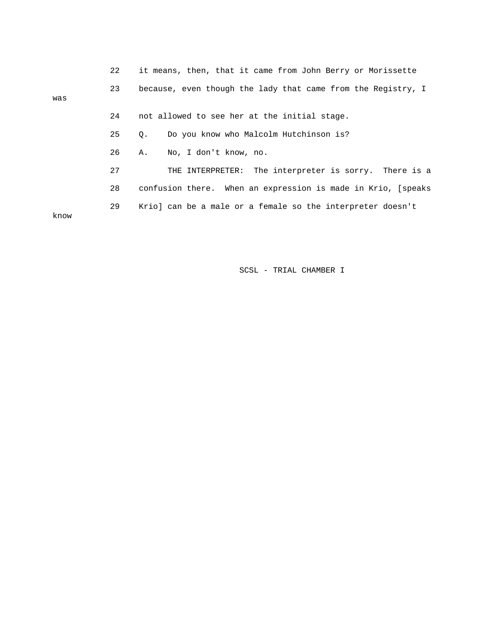|      | 22 | it means, then, that it came from John Berry or Morissette   |
|------|----|--------------------------------------------------------------|
| was  | 23 | because, even though the lady that came from the Registry, I |
|      | 24 | not allowed to see her at the initial stage.                 |
|      | 25 | Do you know who Malcolm Hutchinson is?<br>$\circ$ .          |
|      | 26 | No, I don't know, no.<br>Α.                                  |
|      | 27 | THE INTERPRETER: The interpreter is sorry. There is a        |
|      | 28 | confusion there. When an expression is made in Krio, [speaks |
| know | 29 | Krio] can be a male or a female so the interpreter doesn't   |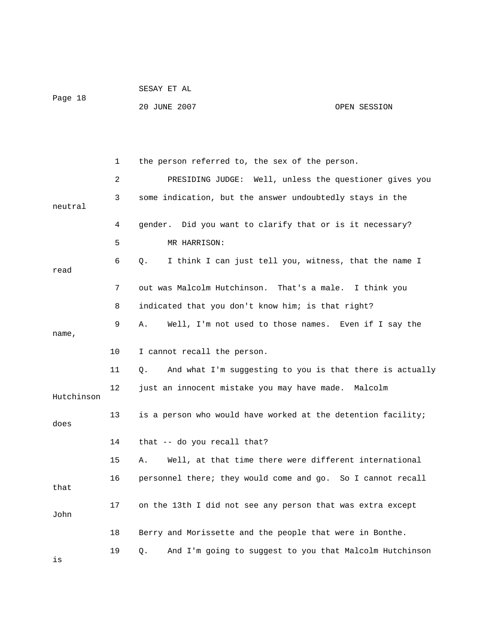|         | SESAY ET AL |  |  |
|---------|-------------|--|--|
| Page 18 |             |  |  |

20 JUNE 2007 OPEN SESSION

 1 the person referred to, the sex of the person. 2 PRESIDING JUDGE: Well, unless the questioner gives you 3 some indication, but the answer undoubtedly stays in the neutral 4 gender. Did you want to clarify that or is it necessary? 5 MR HARRISON: 6 Q. I think I can just tell you, witness, that the name I read 7 out was Malcolm Hutchinson. That's a male. I think you 8 indicated that you don't know him; is that right? 9 A. Well, I'm not used to those names. Even if I say the name, 10 I cannot recall the person. 11 Q. And what I'm suggesting to you is that there is actually 12 just an innocent mistake you may have made. Malcolm Hutchinson 13 is a person who would have worked at the detention facility; does 14 that -- do you recall that? 15 A. Well, at that time there were different international 16 personnel there; they would come and go. So I cannot recall that 17 on the 13th I did not see any person that was extra except John 18 Berry and Morissette and the people that were in Bonthe. 19 Q. And I'm going to suggest to you that Malcolm Hutchinson is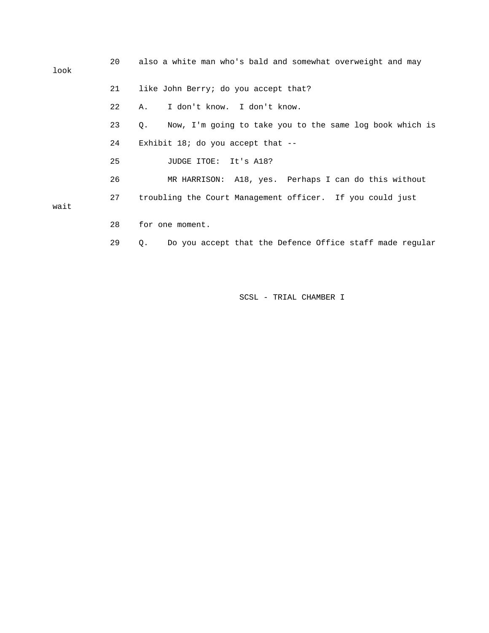| look | 20 | also a white man who's bald and somewhat overweight and may                |
|------|----|----------------------------------------------------------------------------|
|      | 21 | like John Berry; do you accept that?                                       |
|      | 22 | I don't know. I don't know.<br>Α.                                          |
|      | 23 | Now, I'm going to take you to the same log book which is<br>Q <sub>z</sub> |
|      | 24 | Exhibit 18; do you accept that $-$ -                                       |
|      | 25 | JUDGE ITOE: It's A18?                                                      |
|      | 26 | MR HARRISON: A18, yes. Perhaps I can do this without                       |
| wait | 27 | troubling the Court Management officer. If you could just                  |
|      | 28 | for one moment.                                                            |

29 Q. Do you accept that the Defence Office staff made regular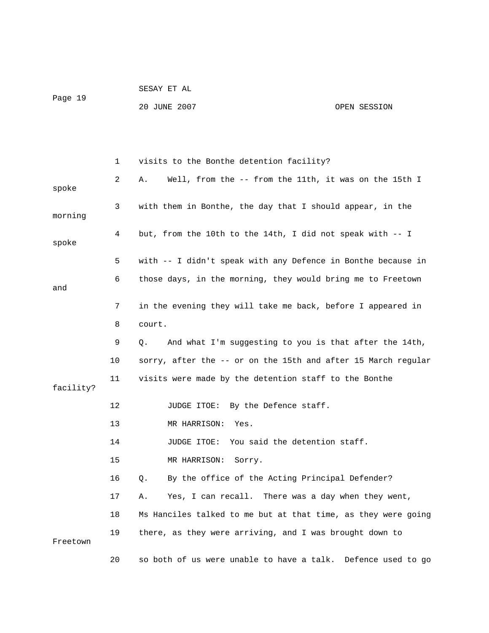|         | SESAY ET AL  |              |
|---------|--------------|--------------|
| Page 19 |              |              |
|         | 20 JUNE 2007 | OPEN SESSION |

|           | 1  | visits to the Bonthe detention facility?                        |
|-----------|----|-----------------------------------------------------------------|
| spoke     | 2  | Well, from the -- from the 11th, it was on the 15th I<br>Α.     |
| morning   | 3  | with them in Bonthe, the day that I should appear, in the       |
| spoke     | 4  | but, from the 10th to the 14th, I did not speak with -- I       |
|           | 5  | with -- I didn't speak with any Defence in Bonthe because in    |
| and       | 6  | those days, in the morning, they would bring me to Freetown     |
|           | 7  | in the evening they will take me back, before I appeared in     |
|           | 8  | court.                                                          |
|           | 9  | And what I'm suggesting to you is that after the 14th,<br>О.    |
|           | 10 | sorry, after the -- or on the 15th and after 15 March regular   |
| facility? | 11 | visits were made by the detention staff to the Bonthe           |
|           | 12 | JUDGE ITOE: By the Defence staff.                               |
|           | 13 | MR HARRISON:<br>Yes.                                            |
|           | 14 | JUDGE ITOE: You said the detention staff.                       |
|           | 15 | MR HARRISON:<br>Sorry.                                          |
|           | 16 | By the office of the Acting Principal Defender?<br>Q.           |
|           | 17 | Yes, I can recall. There was a day when they went,<br>Α.        |
|           | 18 | Ms Hanciles talked to me but at that time, as they were going   |
| Freetown  | 19 | there, as they were arriving, and I was brought down to         |
|           | 20 | so both of us were unable to have a talk.<br>Defence used to go |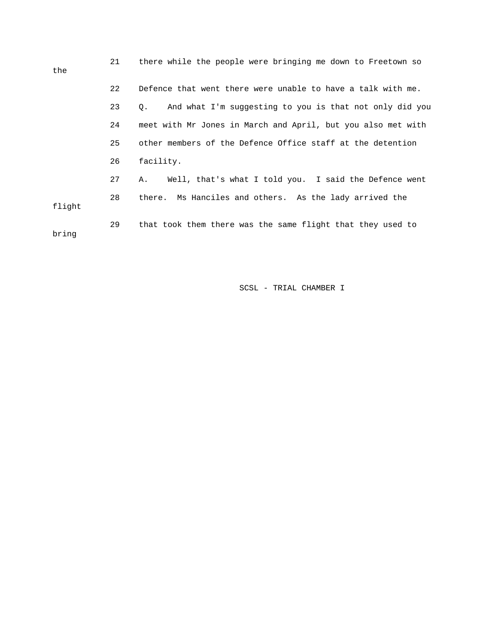| the    | 21 | there while the people were bringing me down to Freetown so   |
|--------|----|---------------------------------------------------------------|
|        | 22 | Defence that went there were unable to have a talk with me.   |
|        | 23 | And what I'm suggesting to you is that not only did you<br>Q. |
|        | 24 | meet with Mr Jones in March and April, but you also met with  |
|        | 25 | other members of the Defence Office staff at the detention    |
|        | 26 | facility.                                                     |
|        | 27 | Well, that's what I told you. I said the Defence went<br>Α.   |
| flight | 28 | there. Ms Hanciles and others. As the lady arrived the        |
| bring  | 29 | that took them there was the same flight that they used to    |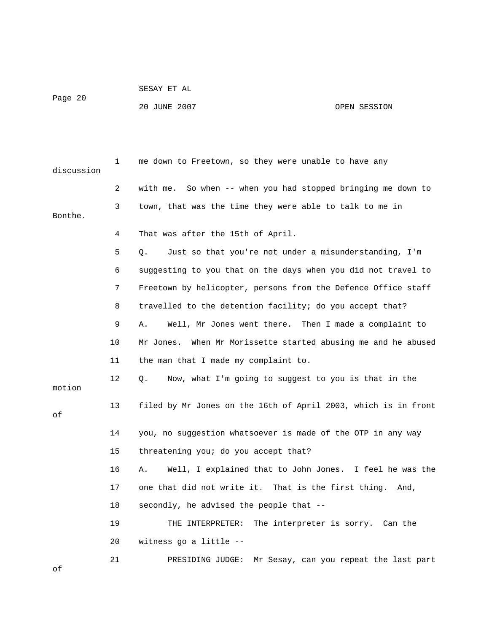```
 SESAY ET AL
```
Page 20

# 20 JUNE 2007 OPEN SESSION

| discussion | 1  | me down to Freetown, so they were unable to have any           |
|------------|----|----------------------------------------------------------------|
|            | 2  | with me. So when -- when you had stopped bringing me down to   |
| Bonthe.    | 3  | town, that was the time they were able to talk to me in        |
|            | 4  | That was after the 15th of April.                              |
|            | 5  | Just so that you're not under a misunderstanding, I'm<br>О.    |
|            | 6  | suggesting to you that on the days when you did not travel to  |
|            | 7  | Freetown by helicopter, persons from the Defence Office staff  |
|            | 8  | travelled to the detention facility; do you accept that?       |
|            | 9  | Well, Mr Jones went there. Then I made a complaint to<br>Α.    |
|            | 10 | Mr Jones. When Mr Morissette started abusing me and he abused  |
|            | 11 | the man that I made my complaint to.                           |
| motion     | 12 | Now, what I'm going to suggest to you is that in the<br>Q.     |
| οf         | 13 | filed by Mr Jones on the 16th of April 2003, which is in front |
|            | 14 | you, no suggestion whatsoever is made of the OTP in any way    |
|            | 15 | threatening you; do you accept that?                           |
|            | 16 | Well, I explained that to John Jones. I feel he was the<br>Α.  |
|            | 17 | one that did not write it. That is the first thing. And,       |
|            | 18 | secondly, he advised the people that --                        |
|            | 19 | The interpreter is sorry. Can the<br>THE INTERPRETER:          |
|            | 20 | witness go a little --                                         |
| оf         | 21 | PRESIDING JUDGE:<br>Mr Sesay, can you repeat the last part     |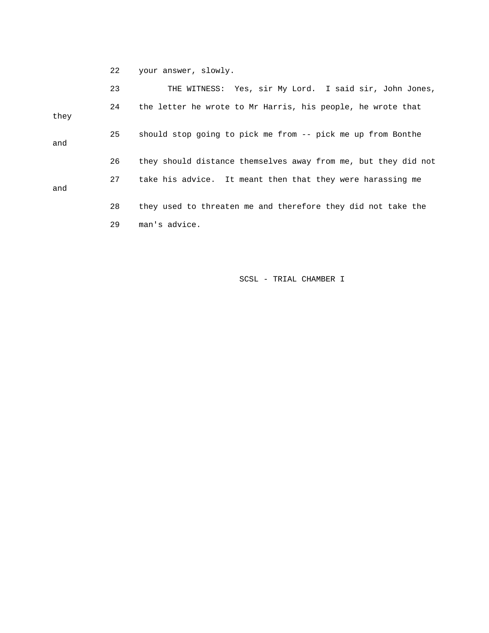22 your answer, slowly.

|      | 23 | THE WITNESS: Yes, sir My Lord. I said sir, John Jones,         |
|------|----|----------------------------------------------------------------|
| they | 24 | the letter he wrote to Mr Harris, his people, he wrote that    |
| and  | 25 | should stop going to pick me from -- pick me up from Bonthe    |
|      | 26 | they should distance themselves away from me, but they did not |
| and  | 27 | take his advice. It meant then that they were harassing me     |
|      | 28 | they used to threaten me and therefore they did not take the   |
|      | 29 | man's advice.                                                  |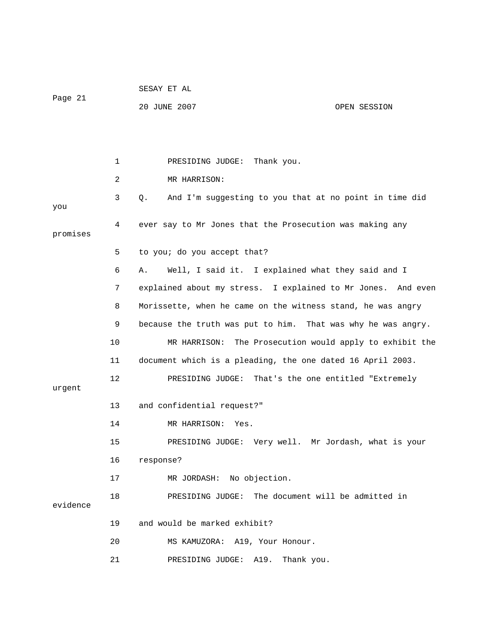| Page 21  |    | 20 JUNE 2007<br>OPEN SESSION                                 |
|----------|----|--------------------------------------------------------------|
|          |    |                                                              |
|          | 1  | PRESIDING JUDGE: Thank you.                                  |
|          | 2  | MR HARRISON:                                                 |
| you      | 3  | And I'm suggesting to you that at no point in time did<br>Q. |
| promises | 4  | ever say to Mr Jones that the Prosecution was making any     |
|          | 5  | to you; do you accept that?                                  |
|          | 6  | Well, I said it. I explained what they said and I<br>Α.      |
|          | 7  | explained about my stress. I explained to Mr Jones. And even |
|          | 8  | Morissette, when he came on the witness stand, he was angry  |
|          | 9  | because the truth was put to him. That was why he was angry. |
|          | 10 | The Prosecution would apply to exhibit the<br>MR HARRISON:   |
|          | 11 | document which is a pleading, the one dated 16 April 2003.   |
| urgent   | 12 | PRESIDING JUDGE: That's the one entitled "Extremely          |
|          | 13 | and confidential request?"                                   |
|          | 14 | MR HARRISON:<br>Yes.                                         |
|          | 15 | PRESIDING JUDGE: Very well. Mr Jordash, what is your         |
|          | 16 | response?                                                    |
|          | 17 | MR JORDASH: No objection.                                    |
| evidence | 18 | The document will be admitted in<br>PRESIDING JUDGE:         |
|          | 19 | and would be marked exhibit?                                 |
|          | 20 | MS KAMUZORA: A19, Your Honour.                               |
|          | 21 | PRESIDING JUDGE:<br>A19.<br>Thank you.                       |

SESAY ET AL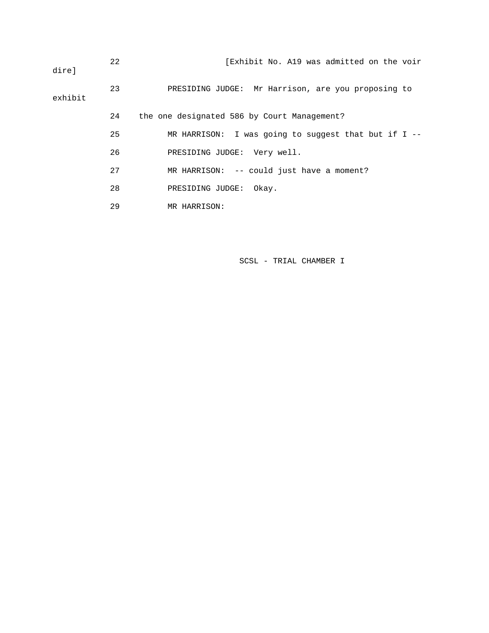| dire]   | 22 | [Exhibit No. A19 was admitted on the voir             |
|---------|----|-------------------------------------------------------|
| exhibit | 23 | PRESIDING JUDGE: Mr Harrison, are you proposing to    |
|         | 24 | the one designated 586 by Court Management?           |
|         | 25 | MR HARRISON: I was going to suggest that but if I $-$ |
|         | 26 | PRESIDING JUDGE: Very well.                           |
|         | 27 | MR HARRISON: -- could just have a moment?             |
|         | 28 | PRESIDING JUDGE:<br>Okay.                             |
|         | 29 | MR HARRISON:                                          |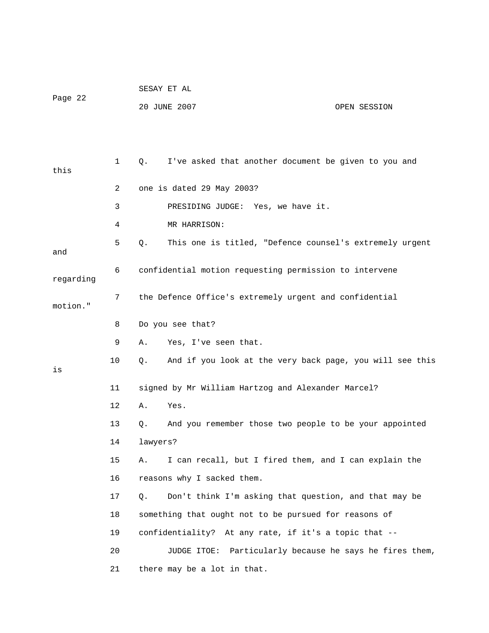|           |    | SESAY ET AL                                        |                                                          |
|-----------|----|----------------------------------------------------|----------------------------------------------------------|
| Page 22   |    | 20 JUNE 2007                                       | OPEN SESSION                                             |
|           |    |                                                    |                                                          |
|           |    |                                                    |                                                          |
| this      | 1  | Q.                                                 | I've asked that another document be given to you and     |
|           | 2  | one is dated 29 May 2003?                          |                                                          |
|           | 3  | PRESIDING JUDGE: Yes, we have it.                  |                                                          |
|           | 4  | MR HARRISON:                                       |                                                          |
| and       | 5. | Q.                                                 | This one is titled, "Defence counsel's extremely urgent  |
| regarding | 6  |                                                    | confidential motion requesting permission to intervene   |
| motion."  | 7  |                                                    | the Defence Office's extremely urgent and confidential   |
|           | 8  | Do you see that?                                   |                                                          |
|           | 9  | Yes, I've seen that.<br>Α.                         |                                                          |
| is        | 10 | Q.                                                 | And if you look at the very back page, you will see this |
|           | 11 | signed by Mr William Hartzog and Alexander Marcel? |                                                          |
|           | 12 | Α.<br>Yes.                                         |                                                          |
|           | 13 | Q.                                                 | And you remember those two people to be your appointed   |
|           | 14 | lawyers?                                           |                                                          |
|           | 15 | Α.                                                 | I can recall, but I fired them, and I can explain the    |
|           | 16 | reasons why I sacked them.                         |                                                          |
|           | 17 | Q.                                                 | Don't think I'm asking that question, and that may be    |
|           | 18 |                                                    | something that ought not to be pursued for reasons of    |
|           | 19 |                                                    | confidentiality? At any rate, if it's a topic that --    |
|           | 20 | JUDGE ITOE:                                        | Particularly because he says he fires them,              |
|           | 21 | there may be a lot in that.                        |                                                          |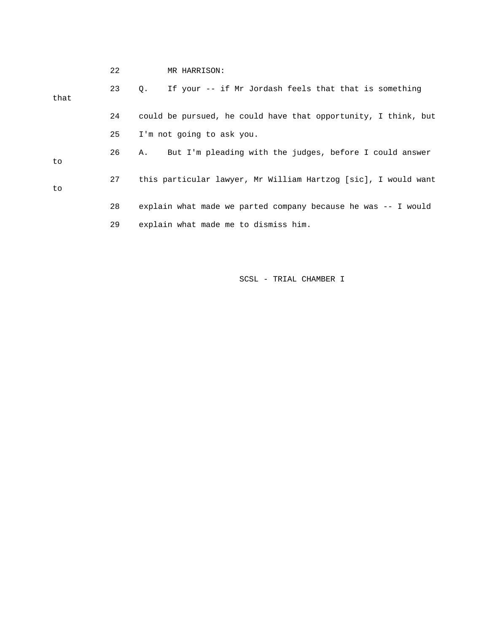|      | 22 | MR HARRISON:                                                   |
|------|----|----------------------------------------------------------------|
| that | 23 | If your -- if Mr Jordash feels that that is something<br>О.    |
|      | 24 | could be pursued, he could have that opportunity, I think, but |
|      | 25 | I'm not going to ask you.                                      |
| to   | 26 | But I'm pleading with the judges, before I could answer<br>Α.  |
| to   | 27 | this particular lawyer, Mr William Hartzog [sic], I would want |
|      | 28 | explain what made we parted company because he was -- I would  |
|      | 29 | explain what made me to dismiss him.                           |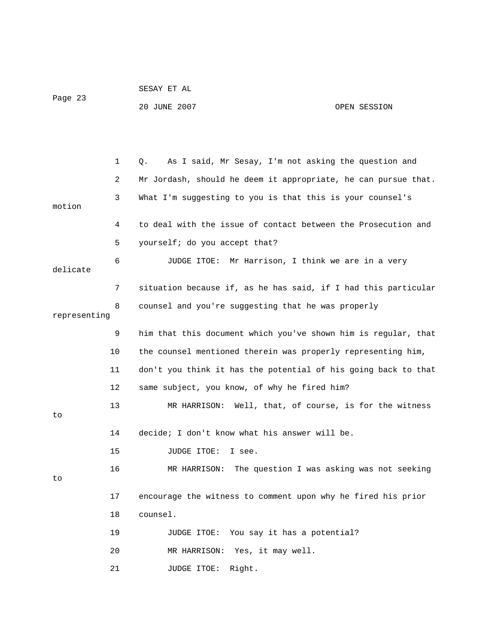|         | SESAY ET AL  |              |
|---------|--------------|--------------|
| Page 23 |              |              |
|         | 20 JUNE 2007 | OPEN SESSION |

 1 Q. As I said, Mr Sesay, I'm not asking the question and 3 What I'm suggesting to you is that this is your counsel's 4 to deal with the issue of contact between the Prosecution and 5 yourself; do you accept that? 8 counsel and you're suggesting that he was properly 9 him that this document which you've shown him is regular, that 10 the counsel mentioned therein was properly representing him, 11 don't you think it has the potential of his going back to that 12 same subject, you know, of why he fired him? 13 MR HARRISON: Well, that, of course, is for the witness 14 decide; I don't know what his answer will be. 16 MR HARRISON: The question I was asking was not seeking 17 encourage the witness to comment upon why he fired his prior 18 counsel. 19 JUDGE ITOE: You say it has a potential? 20 MR HARRISON: Yes, it may well. 21 JUDGE ITOE: Right. 2 Mr Jordash, should he deem it appropriate, he can pursue that. motion 6 JUDGE ITOE: Mr Harrison, I think we are in a very delicate 7 situation because if, as he has said, if I had this particular representing to 15 JUDGE ITOE: I see. to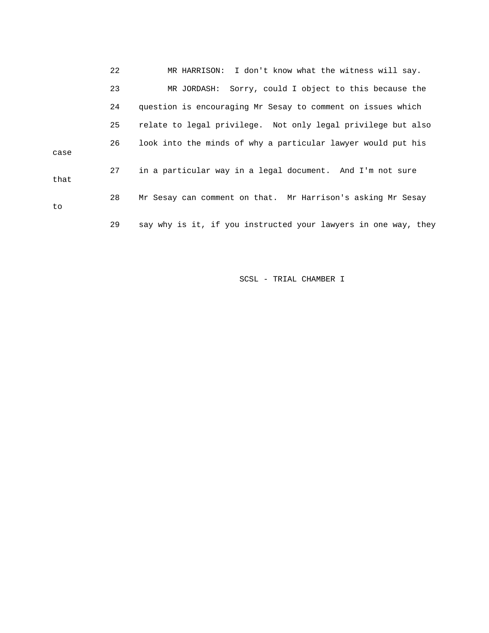22 MR HARRISON: I don't know what the witness will say. 23 MR JORDASH: Sorry, could I object to this because the 24 question is encouraging Mr Sesay to comment on issues which 26 look into the minds of why a particular lawyer would put his 27 in a particular way in a legal document. And I'm not sure 28 Mr Sesay can comment on that. Mr Harrison's asking Mr Sesay 29 say why is it, if you instructed your lawyers in one way, they 25 relate to legal privilege. Not only legal privilege but also case that to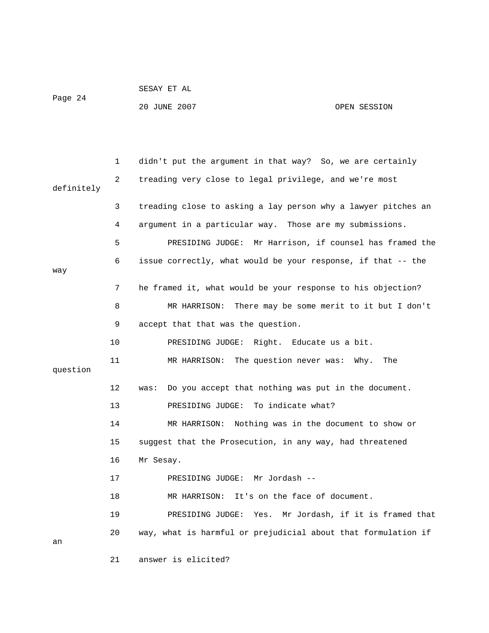|         | SESAY ET AL  |              |
|---------|--------------|--------------|
| Page 24 |              |              |
|         | 20 JUNE 2007 | OPEN SESSION |

 1 didn't put the argument in that way? So, we are certainly 2 treading very close to legal privilege, and we're most definitely 3 treading close to asking a lay person why a lawyer pitches an 4 argument in a particular way. Those are my submissions. 5 PRESIDING JUDGE: Mr Harrison, if counsel has framed the 6 issue correctly, what would be your response, if that -- the way 7 he framed it, what would be your response to his objection? 8 MR HARRISON: There may be some merit to it but I don't 9 accept that that was the question. 10 PRESIDING JUDGE: Right. Educate us a bit. 11 MR HARRISON: The question never was: Why. The question 12 was: Do you accept that nothing was put in the document. 13 PRESIDING JUDGE: To indicate what? 14 MR HARRISON: Nothing was in the document to show or 15 suggest that the Prosecution, in any way, had threatened 16 Mr Sesay. 17 PRESIDING JUDGE: Mr Jordash -- 18 MR HARRISON: It's on the face of document. 19 PRESIDING JUDGE: Yes. Mr Jordash, if it is framed that 20 way, what is harmful or prejudicial about that formulation if an 21 answer is elicited?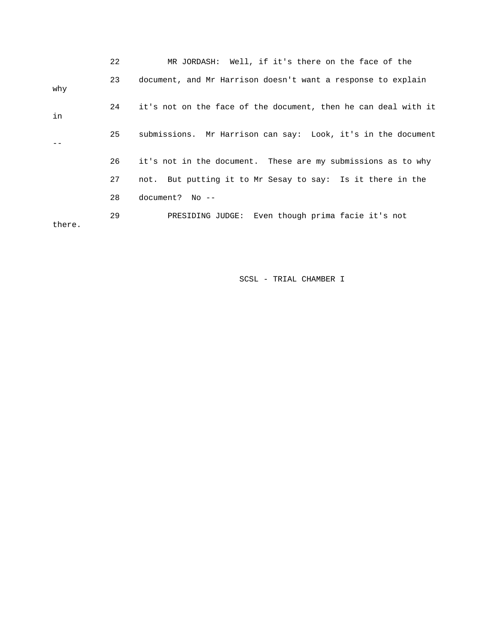|        | 22 | MR JORDASH: Well, if it's there on the face of the             |
|--------|----|----------------------------------------------------------------|
| why    | 23 | document, and Mr Harrison doesn't want a response to explain   |
| in     | 24 | it's not on the face of the document, then he can deal with it |
|        | 25 | submissions. Mr Harrison can say: Look, it's in the document   |
|        | 26 | it's not in the document. These are my submissions as to why   |
|        | 27 | not. But putting it to Mr Sesay to say: Is it there in the     |
|        | 28 | $document?$ No $--$                                            |
| there. | 29 | PRESIDING JUDGE: Even though prima facie it's not              |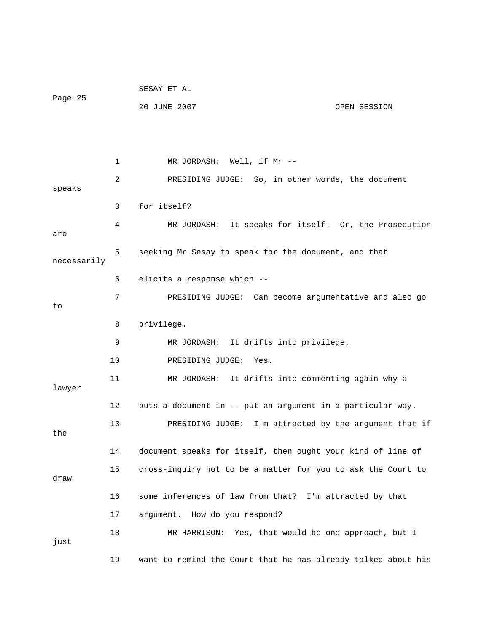|             |    | SESAY ET AL                                                |                                                               |
|-------------|----|------------------------------------------------------------|---------------------------------------------------------------|
| Page 25     |    | 20 JUNE 2007                                               | OPEN SESSION                                                  |
|             |    |                                                            |                                                               |
|             |    |                                                            |                                                               |
|             | 1  | MR JORDASH: Well, if Mr --                                 |                                                               |
| speaks      | 2  |                                                            | PRESIDING JUDGE: So, in other words, the document             |
|             | 3  | for itself?                                                |                                                               |
| are         | 4  |                                                            | MR JORDASH: It speaks for itself. Or, the Prosecution         |
| necessarily | 5  | seeking Mr Sesay to speak for the document, and that       |                                                               |
|             | 6  | elicits a response which --                                |                                                               |
| to          | 7  |                                                            | PRESIDING JUDGE: Can become argumentative and also go         |
|             | 8  | privilege.                                                 |                                                               |
|             | 9  | MR JORDASH: It drifts into privilege.                      |                                                               |
|             | 10 | PRESIDING JUDGE:<br>Yes.                                   |                                                               |
| lawyer      | 11 |                                                            | MR JORDASH: It drifts into commenting again why a             |
|             | 12 | puts a document in -- put an argument in a particular way. |                                                               |
| the         | 13 | PRESIDING JUDGE:                                           | I'm attracted by the argument that if                         |
|             | 14 |                                                            | document speaks for itself, then ought your kind of line of   |
| draw        | 15 |                                                            | cross-inquiry not to be a matter for you to ask the Court to  |
|             | 16 | some inferences of law from that? I'm attracted by that    |                                                               |
|             | 17 | argument. How do you respond?                              |                                                               |
| just        | 18 |                                                            | MR HARRISON: Yes, that would be one approach, but I           |
|             | 19 |                                                            | want to remind the Court that he has already talked about his |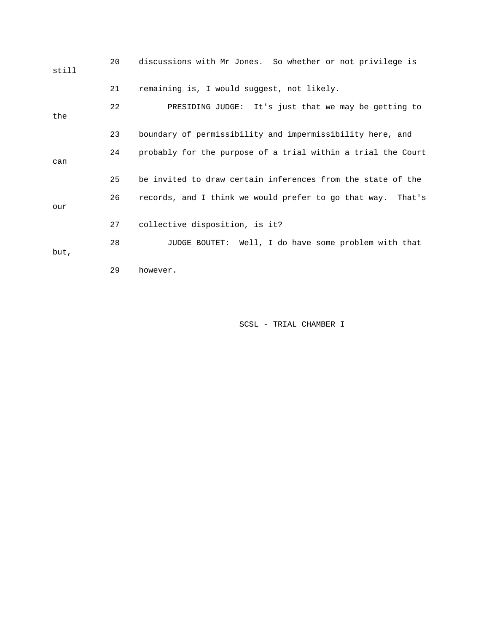| still | 20 | discussions with Mr Jones. So whether or not privilege is    |
|-------|----|--------------------------------------------------------------|
|       | 21 | remaining is, I would suggest, not likely.                   |
| the   | 22 | PRESIDING JUDGE: It's just that we may be getting to         |
|       | 23 | boundary of permissibility and impermissibility here, and    |
| can   | 24 | probably for the purpose of a trial within a trial the Court |
|       | 25 | be invited to draw certain inferences from the state of the  |
| our   | 26 | records, and I think we would prefer to go that way. That's  |
|       | 27 | collective disposition, is it?                               |
| but,  | 28 | JUDGE BOUTET: Well, I do have some problem with that         |
|       | 29 | however.                                                     |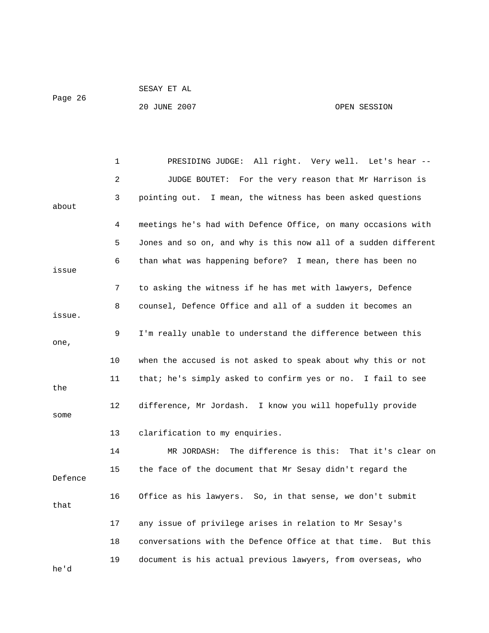```
 SESAY ET AL
```
Page 26

20 JUNE 2007 OPEN SESSION

|         | $\mathbf 1$ | PRESIDING JUDGE: All right. Very well. Let's hear --           |
|---------|-------------|----------------------------------------------------------------|
|         | 2           | For the very reason that Mr Harrison is<br>JUDGE BOUTET:       |
| about   | 3           | pointing out. I mean, the witness has been asked questions     |
|         | 4           | meetings he's had with Defence Office, on many occasions with  |
|         | 5           | Jones and so on, and why is this now all of a sudden different |
| issue   | 6           | than what was happening before? I mean, there has been no      |
|         | 7           | to asking the witness if he has met with lawyers, Defence      |
| issue.  | 8           | counsel, Defence Office and all of a sudden it becomes an      |
| one,    | 9           | I'm really unable to understand the difference between this    |
|         | 10          | when the accused is not asked to speak about why this or not   |
| the     | 11          | that; he's simply asked to confirm yes or no. I fail to see    |
| some    | 12          | difference, Mr Jordash. I know you will hopefully provide      |
|         | 13          | clarification to my enquiries.                                 |
|         | 14          | The difference is this: That it's clear on<br>MR JORDASH:      |
| Defence | 15          | the face of the document that Mr Sesay didn't regard the       |
| that    | 16          | Office as his lawyers. So, in that sense, we don't submit      |
|         | 17          | any issue of privilege arises in relation to Mr Sesay's        |
|         | 18          | conversations with the Defence Office at that time. But this   |
| he'd    | 19          | document is his actual previous lawyers, from overseas, who    |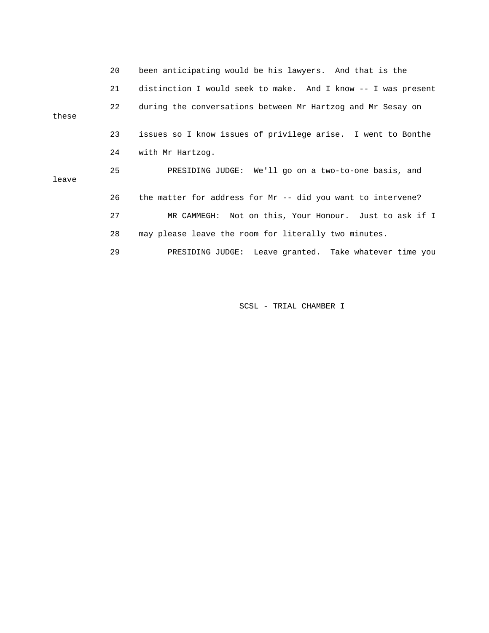|       | 20 | been anticipating would be his lawyers. And that is the       |
|-------|----|---------------------------------------------------------------|
|       | 21 | distinction I would seek to make. And I know -- I was present |
| these | 22 | during the conversations between Mr Hartzog and Mr Sesay on   |
|       | 23 | issues so I know issues of privilege arise. I went to Bonthe  |
|       | 24 | with Mr Hartzog.                                              |
| leave | 25 | PRESIDING JUDGE: We'll go on a two-to-one basis, and          |
|       | 26 | the matter for address for Mr -- did you want to intervene?   |
|       | 27 | MR CAMMEGH: Not on this, Your Honour. Just to ask if I        |
|       | 28 | may please leave the room for literally two minutes.          |
|       | 29 | PRESIDING JUDGE: Leave granted. Take whatever time you        |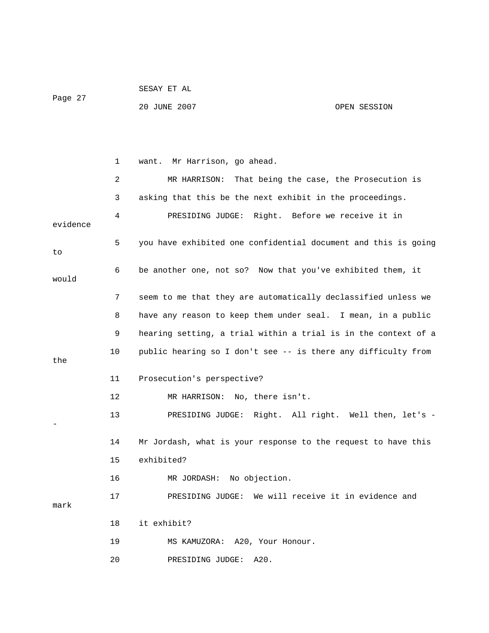| Page 27  |    | 20 JUNE 2007<br>OPEN SESSION                                   |
|----------|----|----------------------------------------------------------------|
|          |    |                                                                |
|          | 1  | Mr Harrison, go ahead.<br>want.                                |
|          | 2  | That being the case, the Prosecution is<br>MR HARRISON:        |
|          | 3  | asking that this be the next exhibit in the proceedings.       |
| evidence | 4  | PRESIDING JUDGE: Right. Before we receive it in                |
| to       | 5  | you have exhibited one confidential document and this is going |
| would    | 6  | be another one, not so? Now that you've exhibited them, it     |
|          | 7  | seem to me that they are automatically declassified unless we  |
|          | 8  | have any reason to keep them under seal. I mean, in a public   |
|          | 9  | hearing setting, a trial within a trial is in the context of a |
| the      | 10 | public hearing so I don't see -- is there any difficulty from  |
|          | 11 | Prosecution's perspective?                                     |
|          | 12 | MR HARRISON: No, there isn't.                                  |
|          | 13 | PRESIDING JUDGE: Right. All right. Well then, let's -          |
|          | 14 | Mr Jordash, what is your response to the request to have this  |
|          | 15 | exhibited?                                                     |
|          | 16 | MR JORDASH: No objection.                                      |
| mark     | 17 | We will receive it in evidence and<br>PRESIDING JUDGE:         |
|          | 18 | it exhibit?                                                    |
|          | 19 | MS KAMUZORA: A20, Your Honour.                                 |
|          | 20 | A20.<br>PRESIDING JUDGE:                                       |

SESAY ET AL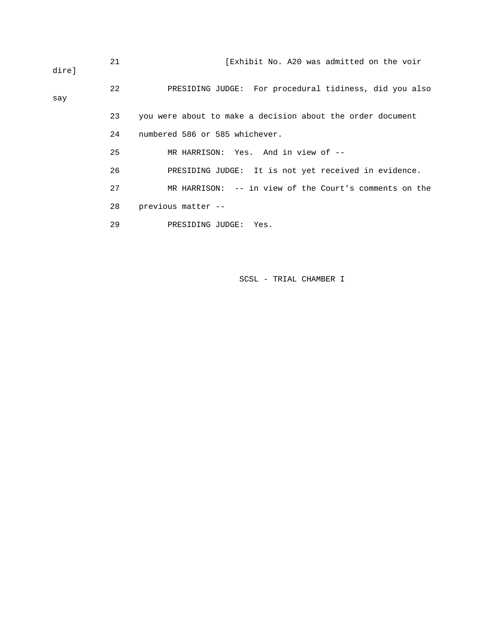| direl | 21 | [Exhibit No. A20 was admitted on the voir                  |
|-------|----|------------------------------------------------------------|
| say   | 22 | PRESIDING JUDGE: For procedural tidiness, did you also     |
|       | 23 | you were about to make a decision about the order document |
|       | 24 | numbered 586 or 585 whichever.                             |
|       | 25 | MR HARRISON: Yes. And in view of --                        |
|       | 26 | PRESIDING JUDGE: It is not yet received in evidence.       |
|       | 27 | MR HARRISON: $-$ - in view of the Court's comments on the  |
|       | 28 | previous matter --                                         |
|       | 29 | PRESIDING JUDGE:<br>Yes.                                   |
|       |    |                                                            |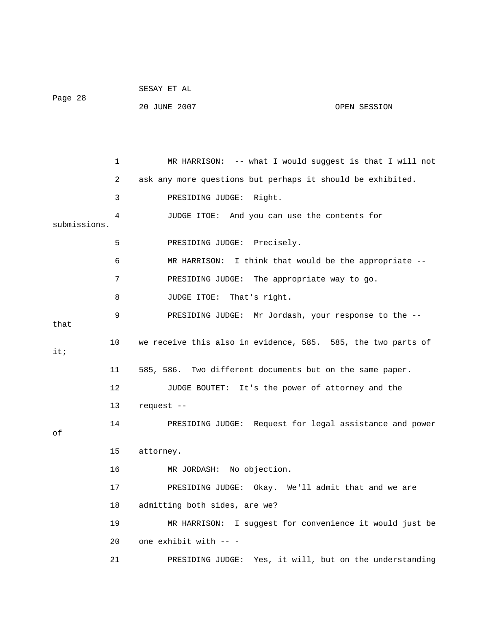|              |                 | SESAY ET AL                   |                                                              |  |
|--------------|-----------------|-------------------------------|--------------------------------------------------------------|--|
| Page 28      |                 | 20 JUNE 2007                  | OPEN SESSION                                                 |  |
|              |                 |                               |                                                              |  |
|              |                 |                               |                                                              |  |
|              | 1               |                               | MR HARRISON: -- what I would suggest is that I will not      |  |
|              | 2               |                               | ask any more questions but perhaps it should be exhibited.   |  |
|              | 3               | PRESIDING JUDGE: Right.       |                                                              |  |
| submissions. | 4               |                               | JUDGE ITOE: And you can use the contents for                 |  |
|              | 5               | PRESIDING JUDGE: Precisely.   |                                                              |  |
|              | 6               |                               | MR HARRISON: I think that would be the appropriate --        |  |
|              | 7               |                               | PRESIDING JUDGE: The appropriate way to go.                  |  |
|              | 8               | JUDGE ITOE: That's right.     |                                                              |  |
|              | 9               |                               | PRESIDING JUDGE: Mr Jordash, your response to the --         |  |
| that         |                 |                               |                                                              |  |
| it;          | 10              |                               | we receive this also in evidence, 585. 585, the two parts of |  |
|              | 11              |                               | 585, 586. Two different documents but on the same paper.     |  |
|              | 12 <sup>°</sup> |                               | JUDGE BOUTET: It's the power of attorney and the             |  |
|              | 13 <sup>°</sup> | request --                    |                                                              |  |
| оf           | 14              |                               | PRESIDING JUDGE: Request for legal assistance and power      |  |
|              | 15              | attorney.                     |                                                              |  |
|              | 16              | MR JORDASH: No objection.     |                                                              |  |
|              | 17              |                               | PRESIDING JUDGE: Okay. We'll admit that and we are           |  |
|              | 18              | admitting both sides, are we? |                                                              |  |
|              | 19              | MR HARRISON:                  | I suggest for convenience it would just be                   |  |
|              | 20              | one exhibit with -- -         |                                                              |  |
|              | 21              |                               | PRESIDING JUDGE: Yes, it will, but on the understanding      |  |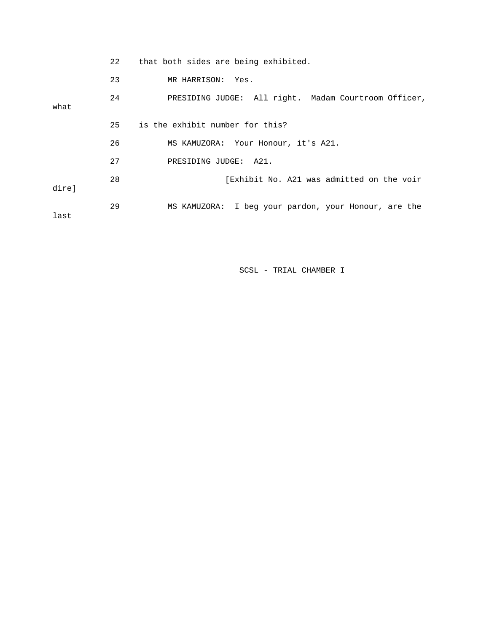|       | 22 | that both sides are being exhibited.                 |
|-------|----|------------------------------------------------------|
|       | 23 | MR HARRISON: Yes.                                    |
| what  | 24 | PRESIDING JUDGE: All right. Madam Courtroom Officer, |
|       | 25 | is the exhibit number for this?                      |
|       | 26 | MS KAMUZORA: Your Honour, it's A21.                  |
|       | 27 | PRESIDING JUDGE: A21.                                |
| direl | 28 | [Exhibit No. A21 was admitted on the voir            |
| last  | 29 | MS KAMUZORA: I beg your pardon, your Honour, are the |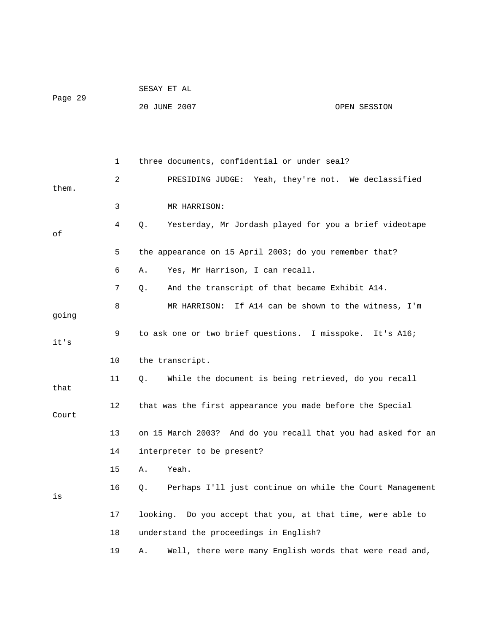|         | SESAY ET AL  |              |
|---------|--------------|--------------|
| Page 29 |              |              |
|         | 20 JUNE 2007 | OPEN SESSION |

|       | 1  | three documents, confidential or under seal?                   |
|-------|----|----------------------------------------------------------------|
| them. | 2  | PRESIDING JUDGE:<br>Yeah, they're not. We declassified         |
|       | 3  | MR HARRISON:                                                   |
| οf    | 4  | Q.<br>Yesterday, Mr Jordash played for you a brief videotape   |
|       | 5  | the appearance on 15 April 2003; do you remember that?         |
|       | 6  | Yes, Mr Harrison, I can recall.<br>Α.                          |
|       | 7  | And the transcript of that became Exhibit A14.<br>Q.           |
| going | 8  | MR HARRISON: If A14 can be shown to the witness, I'm           |
| it's  | 9  | to ask one or two brief questions. I misspoke. It's A16;       |
|       | 10 | the transcript.                                                |
| that  | 11 | While the document is being retrieved, do you recall<br>Q.     |
| Court | 12 | that was the first appearance you made before the Special      |
|       | 13 | on 15 March 2003? And do you recall that you had asked for an  |
|       | 14 | interpreter to be present?                                     |
|       | 15 | Α.<br>Yeah.                                                    |
| is    | 16 | Perhaps I'll just continue on while the Court Management<br>Q. |
|       | 17 | looking. Do you accept that you, at that time, were able to    |
|       | 18 | understand the proceedings in English?                         |
|       | 19 | Well, there were many English words that were read and,<br>Α.  |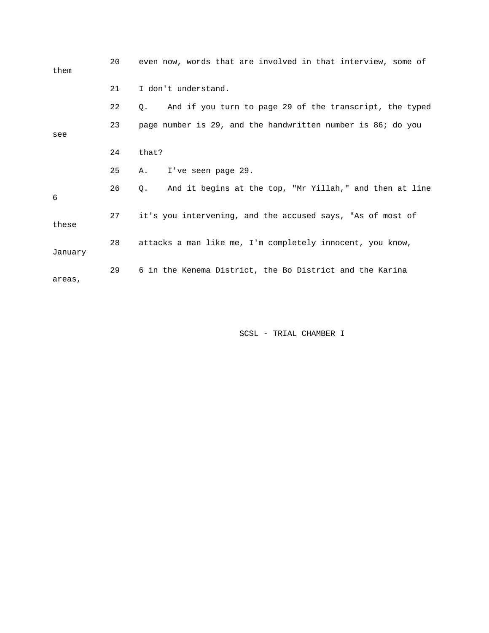| them    | 20 | even now, words that are involved in that interview, some of  |
|---------|----|---------------------------------------------------------------|
|         | 21 | I don't understand.                                           |
|         | 22 | And if you turn to page 29 of the transcript, the typed<br>О. |
| see     | 23 | page number is 29, and the handwritten number is 86; do you   |
|         | 24 | that?                                                         |
|         | 25 | I've seen page 29.<br>Α.                                      |
| 6       | 26 | And it begins at the top, "Mr Yillah," and then at line<br>0. |
| these   | 27 | it's you intervening, and the accused says, "As of most of    |
| January | 28 | attacks a man like me, I'm completely innocent, you know,     |
| areas,  | 29 | 6 in the Kenema District, the Bo District and the Karina      |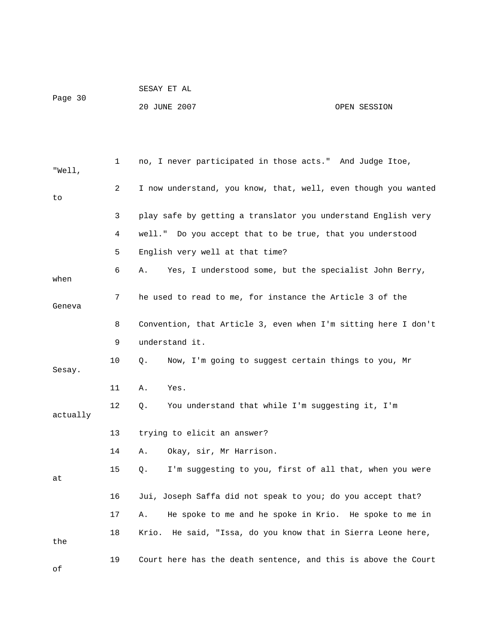|         | SESAY ET AL  |              |
|---------|--------------|--------------|
| Page 30 | 20 JUNE 2007 | OPEN SESSION |

 1 no, I never participated in those acts." And Judge Itoe, "Well, 2 I now understand, you know, that, well, even though you wanted to 3 play safe by getting a translator you understand English very 4 well." Do you accept that to be true, that you understood 5 English very well at that time? 6 A. Yes, I understood some, but the specialist John Berry, when 7 he used to read to me, for instance the Article 3 of the Geneva 8 Convention, that Article 3, even when I'm sitting here I don't 9 understand it. 10 Q. Now, I'm going to suggest certain things to you, Mr Sesay. 11 A. Yes. 12 Q. You understand that while I'm suggesting it, I'm actually 13 trying to elicit an answer? 14 A. Okay, sir, Mr Harrison. 15 Q. I'm suggesting to you, first of all that, when you were at 16 Jui, Joseph Saffa did not speak to you; do you accept that? 17 A. He spoke to me and he spoke in Krio. He spoke to me in 18 Krio. He said, "Issa, do you know that in Sierra Leone here, the

19 Court here has the death sentence, and this is above the Court

of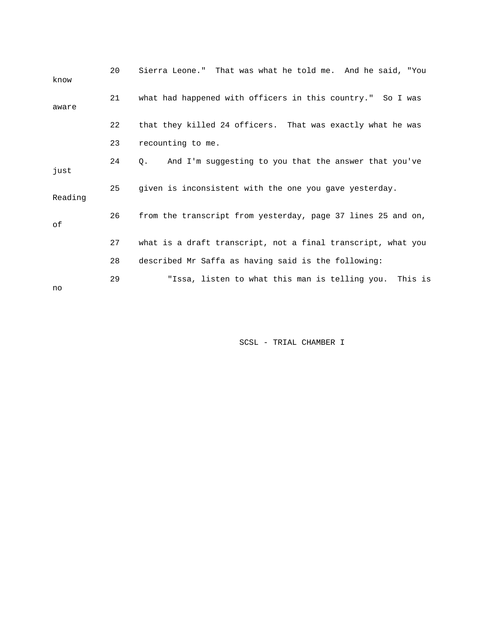| know    | 20 | Sierra Leone." That was what he told me. And he said, "You   |
|---------|----|--------------------------------------------------------------|
| aware   | 21 | what had happened with officers in this country." So I was   |
|         | 22 | that they killed 24 officers. That was exactly what he was   |
|         | 23 | recounting to me.                                            |
| just    | 24 | And I'm suggesting to you that the answer that you've<br>О.  |
| Reading | 25 | given is inconsistent with the one you gave yesterday.       |
| οf      | 26 | from the transcript from yesterday, page 37 lines 25 and on, |
|         | 27 | what is a draft transcript, not a final transcript, what you |
|         | 28 | described Mr Saffa as having said is the following:          |
| no      | 29 | "Issa, listen to what this man is telling you. This is       |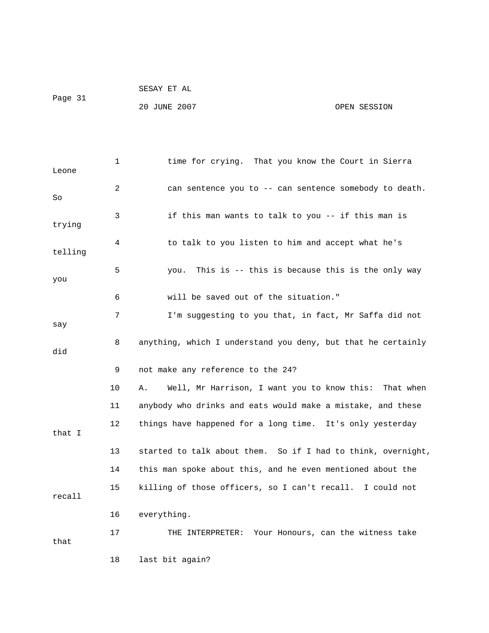|         | SESAY ET AL  |              |
|---------|--------------|--------------|
| Paqe 31 |              |              |
|         | 20 JUNE 2007 | OPEN SESSION |

| Leone   | 1              | time for crying. That you know the Court in Sierra           |
|---------|----------------|--------------------------------------------------------------|
| So      | $\overline{2}$ | can sentence you to -- can sentence somebody to death.       |
| trying  | 3              | if this man wants to talk to you -- if this man is           |
| telling | 4              | to talk to you listen to him and accept what he's            |
| you     | 5              | This is -- this is because this is the only way<br>you.      |
|         | 6              | will be saved out of the situation."                         |
| say     | 7              | I'm suggesting to you that, in fact, Mr Saffa did not        |
| did     | 8              | anything, which I understand you deny, but that he certainly |
|         | 9              | not make any reference to the 24?                            |
|         | 10             | Well, Mr Harrison, I want you to know this: That when<br>Α.  |
|         | 11             | anybody who drinks and eats would make a mistake, and these  |
| that I  | $12 \,$        | things have happened for a long time. It's only yesterday    |
|         | 13             | started to talk about them. So if I had to think, overnight, |
|         | 14             | this man spoke about this, and he even mentioned about the   |
| recall  | 15             | killing of those officers, so I can't recall. I could not    |
|         | 16             | everything.                                                  |
| that    | 17             | Your Honours, can the witness take<br>THE INTERPRETER:       |
|         | 18             | last bit again?                                              |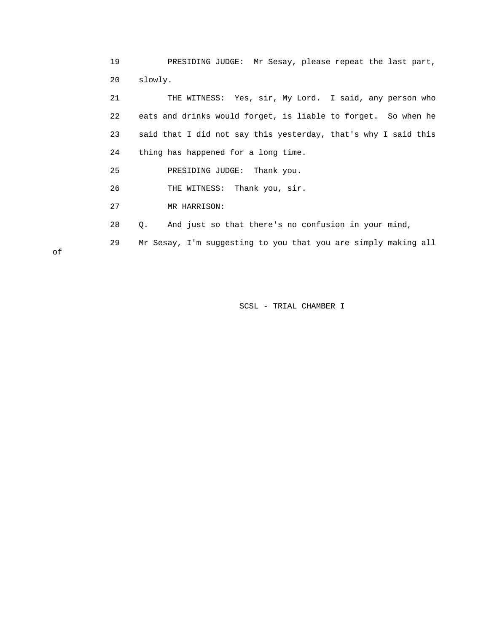19 PRESIDING JUDGE: Mr Sesay, please repeat the last part, 20 slowly.

 21 THE WITNESS: Yes, sir, My Lord. I said, any person who 22 eats and drinks would forget, is liable to forget. So when he 23 said that I did not say this yesterday, that's why I said this 24 thing has happened for a long time.

25 PRESIDING JUDGE: Thank you.

26 THE WITNESS: Thank you, sir.

27 MR HARRISON:

28 Q. And just so that there's no confusion in your mind,

29 Mr Sesay, I'm suggesting to you that you are simply making all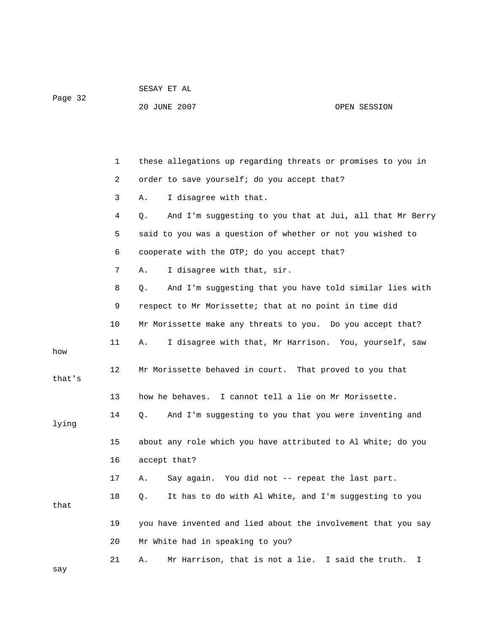Page 32

# 20 JUNE 2007 OPEN SESSION

|        | 1  | these allegations up regarding threats or promises to you in   |
|--------|----|----------------------------------------------------------------|
|        | 2  | order to save yourself; do you accept that?                    |
|        | 3  | I disagree with that.<br>Α.                                    |
|        | 4  | And I'm suggesting to you that at Jui, all that Mr Berry<br>Q. |
|        | 5  | said to you was a question of whether or not you wished to     |
|        | 6  | cooperate with the OTP; do you accept that?                    |
|        | 7  | I disagree with that, sir.<br>Α.                               |
|        | 8  | And I'm suggesting that you have told similar lies with<br>Q.  |
|        | 9  | respect to Mr Morissette; that at no point in time did         |
|        | 10 | Mr Morissette make any threats to you. Do you accept that?     |
| how    | 11 | I disagree with that, Mr Harrison. You, yourself, saw<br>Α.    |
| that's | 12 | Mr Morissette behaved in court. That proved to you that        |
|        | 13 | how he behaves. I cannot tell a lie on Mr Morissette.          |
| lying  | 14 | And I'm suggesting to you that you were inventing and<br>Q.    |
|        | 15 | about any role which you have attributed to Al White; do you   |
|        | 16 | accept that?                                                   |
|        | 17 | Say again. You did not -- repeat the last part.<br>Α.          |
| that   | 18 | It has to do with Al White, and I'm suggesting to you<br>Q.    |
|        | 19 | you have invented and lied about the involvement that you say  |
|        | 20 | Mr White had in speaking to you?                               |
| say    | 21 | Mr Harrison, that is not a lie. I said the truth.<br>Α.<br>I.  |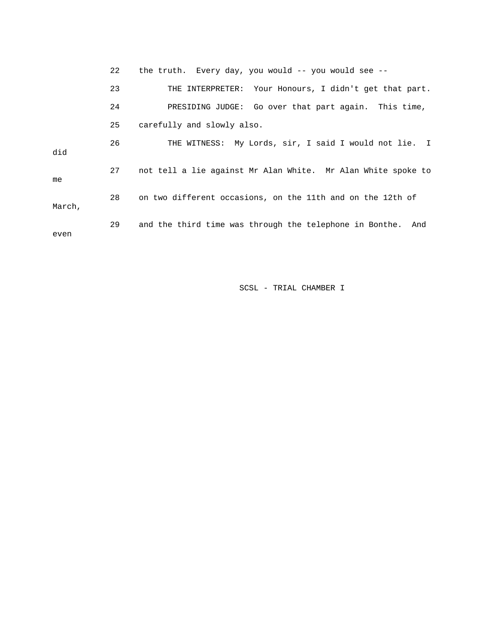22 the truth. Every day, you would -- you would see -- 23 THE INTERPRETER: Your Honours, I didn't get that part. 24 PRESIDING JUDGE: Go over that part again. This time, 25 carefully and slowly also. 26 THE WITNESS: My Lords, sir, I said I would not lie. I did 27 not tell a lie against Mr Alan White. Mr Alan White spoke to me 28 on two different occasions, on the 11th and on the 12th of March, 29 and the third time was through the telephone in Bonthe. And even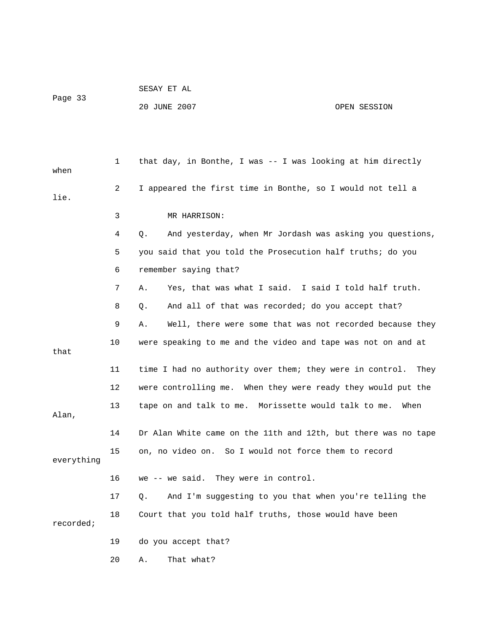|         | SESAY ET AL  |              |
|---------|--------------|--------------|
| Page 33 |              |              |
|         | 20 JUNE 2007 | OPEN SESSION |

 1 that day, in Bonthe, I was -- I was looking at him directly 2 I appeared the first time in Bonthe, so I would not tell a 3 MR HARRISON: 5 you said that you told the Prosecution half truths; do you 6 remember saying that? 8 Q. And all of that was recorded; do you accept that? 9 A. Well, there were some that was not recorded because they 11 time I had no authority over them; they were in control. They 12 were controlling me. When they were ready they would put the 13 tape on and talk to me. Morissette would talk to me. When 14 Dr Alan White came on the 11th and 12th, but there was no tape 16 we -- we said. They were in control. 17 Q. And I'm suggesting to you that when you're telling the 18 Court that you told half truths, those would have been when lie. 4 Q. And yesterday, when Mr Jordash was asking you questions, 7 A. Yes, that was what I said. I said I told half truth. 10 were speaking to me and the video and tape was not on and at that Alan, 15 on, no video on. So I would not force them to record everything recorded; 19 do you accept that?

20 A. That what?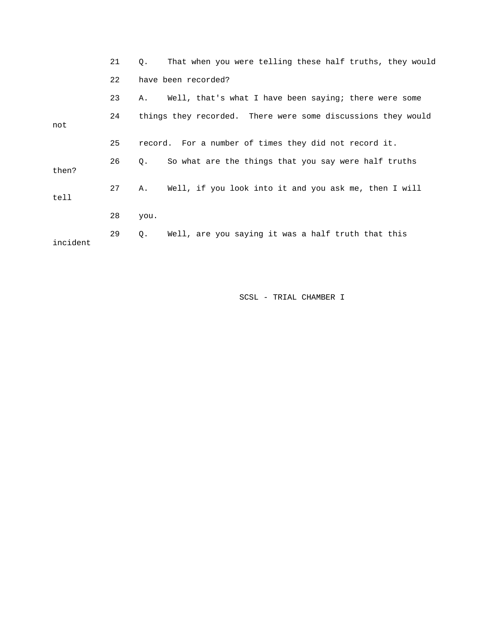|          | 21 | That when you were telling these half truths, they would<br>О.  |
|----------|----|-----------------------------------------------------------------|
|          | 22 | have been recorded?                                             |
|          | 23 | Well, that's what I have been saying; there were some<br>А.     |
| not      | 24 | things they recorded. There were some discussions they would    |
|          | 25 | record. For a number of times they did not record it.           |
| then?    | 26 | So what are the things that you say were half truths<br>О.      |
| tell     | 27 | Well, if you look into it and you ask me, then I will<br>Α.     |
|          | 28 | you.                                                            |
| incident | 29 | Well, are you saying it was a half truth that this<br>$\circ$ . |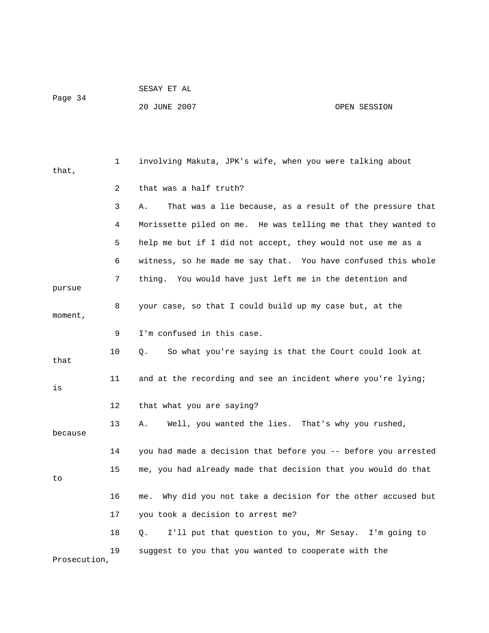| Page | - വാ<br>л<br>¬ <del>→</del> |  |
|------|-----------------------------|--|
|      |                             |  |

SESAY ET AL

# 20 JUNE 2007 OPEN SESSION

| that,        | 1              | involving Makuta, JPK's wife, when you were talking about        |
|--------------|----------------|------------------------------------------------------------------|
|              | $\overline{2}$ | that was a half truth?                                           |
|              | 3              | That was a lie because, as a result of the pressure that<br>Α.   |
|              | 4              | Morissette piled on me. He was telling me that they wanted to    |
|              | 5              | help me but if I did not accept, they would not use me as a      |
|              | 6              | witness, so he made me say that. You have confused this whole    |
| pursue       | 7              | thing. You would have just left me in the detention and          |
| moment,      | 8              | your case, so that I could build up my case but, at the          |
|              | 9              | I'm confused in this case.                                       |
| that         | 10             | So what you're saying is that the Court could look at<br>Q.      |
| is           | 11             | and at the recording and see an incident where you're lying;     |
|              | 12             | that what you are saying?                                        |
| because      | 13             | Well, you wanted the lies. That's why you rushed,<br>Α.          |
|              | 14             | you had made a decision that before you -- before you arrested   |
| to           | 15             | me, you had already made that decision that you would do that    |
|              | 16             | Why did you not take a decision for the other accused but<br>me. |
|              | 17             | you took a decision to arrest me?                                |
|              | 18             | I'll put that question to you, Mr Sesay. I'm going to<br>О.      |
| Prosecution, | 19             | suggest to you that you wanted to cooperate with the             |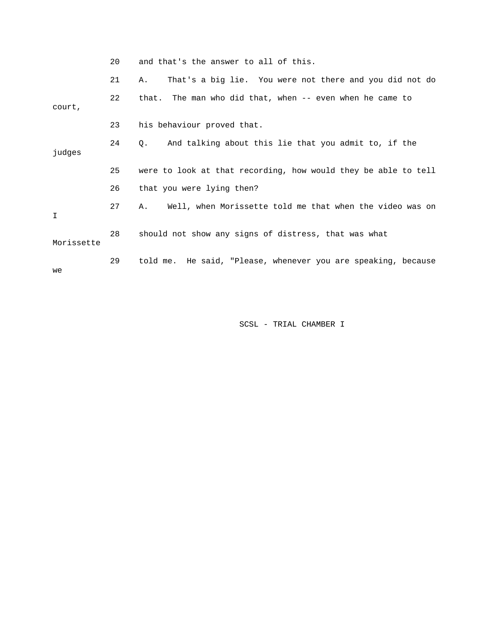| and that's the answer to all of this. |  |  |
|---------------------------------------|--|--|
|---------------------------------------|--|--|

|            | 21 | That's a big lie. You were not there and you did not do<br>Α.  |
|------------|----|----------------------------------------------------------------|
| court,     | 22 | that. The man who did that, when -- even when he came to       |
|            | 23 | his behaviour proved that.                                     |
| judges     | 24 | And talking about this lie that you admit to, if the<br>Q.     |
|            | 25 | were to look at that recording, how would they be able to tell |
|            | 26 | that you were lying then?                                      |
| I          | 27 | Well, when Morissette told me that when the video was on<br>Α. |
| Morissette | 28 | should not show any signs of distress, that was what           |
| we         | 29 | told me. He said, "Please, whenever you are speaking, because  |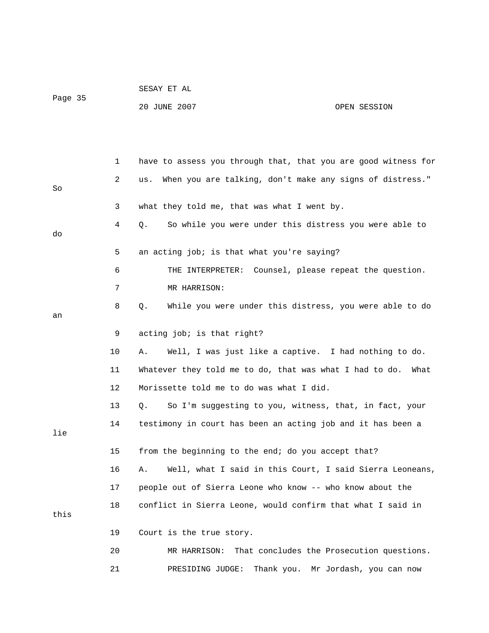|         |             | SESAY ET AL                                                         |      |
|---------|-------------|---------------------------------------------------------------------|------|
| Page 35 |             | 20 JUNE 2007<br>OPEN SESSION                                        |      |
|         |             |                                                                     |      |
|         |             |                                                                     |      |
|         | $\mathbf 1$ | have to assess you through that, that you are good witness for      |      |
| So      | 2           | When you are talking, don't make any signs of distress."<br>us.     |      |
|         | 3           | what they told me, that was what I went by.                         |      |
| do      | 4           | So while you were under this distress you were able to<br>Q.        |      |
|         | 5           | an acting job; is that what you're saying?                          |      |
|         | 6           | THE INTERPRETER: Counsel, please repeat the question.               |      |
|         | 7           | MR HARRISON:                                                        |      |
| an      | 8           | While you were under this distress, you were able to do<br>Q.       |      |
|         | 9           | acting job; is that right?                                          |      |
|         | 10          | Well, I was just like a captive. I had nothing to do.<br>Α.         |      |
|         | 11          | Whatever they told me to do, that was what I had to do.             | What |
|         | 12          | Morissette told me to do was what I did.                            |      |
|         | 13          | So I'm suggesting to you, witness, that, in fact, your<br>$\circ$ . |      |
|         | 14          | testimony in court has been an acting job and it has been a         |      |
| lie     |             |                                                                     |      |
|         | 15          | from the beginning to the end; do you accept that?                  |      |
|         | 16          | Well, what I said in this Court, I said Sierra Leoneans,<br>Α.      |      |
|         | 17          | people out of Sierra Leone who know -- who know about the           |      |
| this    | 18          | conflict in Sierra Leone, would confirm that what I said in         |      |
|         | 19          | Court is the true story.                                            |      |
|         | 20          | That concludes the Prosecution questions.<br>MR HARRISON:           |      |
|         | 21          | PRESIDING JUDGE:<br>Thank you. Mr Jordash, you can now              |      |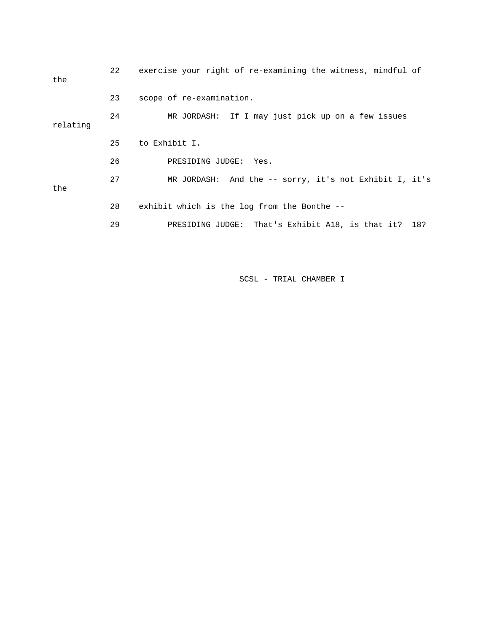| the      | 22 | exercise your right of re-examining the witness, mindful of |
|----------|----|-------------------------------------------------------------|
|          | 23 | scope of re-examination.                                    |
| relating | 24 | MR JORDASH: If I may just pick up on a few issues           |
|          | 25 | to Exhibit I.                                               |
|          | 26 | PRESIDING JUDGE: Yes.                                       |
| the      | 27 | MR JORDASH: And the $-$ - sorry, it's not Exhibit I, it's   |
|          | 28 | exhibit which is the log from the Bonthe --                 |
|          | 29 | PRESIDING JUDGE: That's Exhibit A18, is that it? 18?        |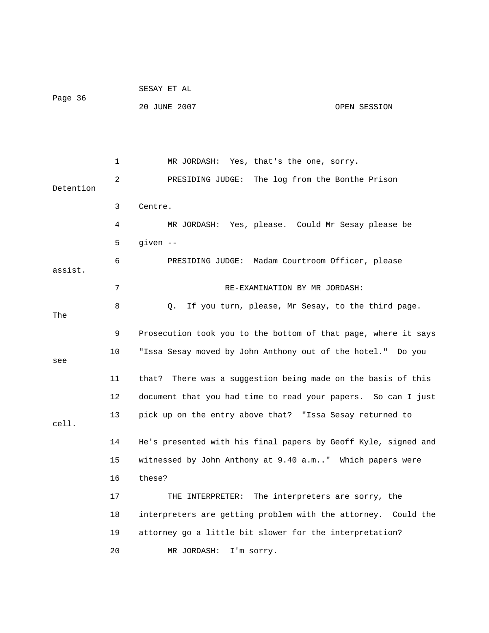|           |    | SESAY ET AL                                                     |
|-----------|----|-----------------------------------------------------------------|
| Page 36   |    | 20 JUNE 2007<br>OPEN SESSION                                    |
|           |    |                                                                 |
|           |    |                                                                 |
| Detention | 1  | MR JORDASH: Yes, that's the one, sorry.                         |
|           | 2  | PRESIDING JUDGE: The log from the Bonthe Prison                 |
|           | 3  | Centre.                                                         |
|           | 4  | MR JORDASH: Yes, please. Could Mr Sesay please be               |
|           | 5  | given --                                                        |
| assist.   | 6  | PRESIDING JUDGE: Madam Courtroom Officer, please                |
|           | 7  | RE-EXAMINATION BY MR JORDASH:                                   |
| The       | 8  | If you turn, please, Mr Sesay, to the third page.<br>Q.         |
|           | 9  | Prosecution took you to the bottom of that page, where it says  |
|           | 10 | "Issa Sesay moved by John Anthony out of the hotel." Do you     |
| see       | 11 | There was a suggestion being made on the basis of this<br>that? |
|           | 12 | document that you had time to read your papers. So can I just   |
| cell.     | 13 | pick up on the entry above that? "Issa Sesay returned to        |
|           | 14 | He's presented with his final papers by Geoff Kyle, signed and  |
|           | 15 | witnessed by John Anthony at 9.40 a.m" Which papers were        |
|           |    |                                                                 |
|           | 16 | these?                                                          |
|           | 17 | The interpreters are sorry, the<br>THE INTERPRETER:             |
|           | 18 | interpreters are getting problem with the attorney. Could the   |
|           | 19 | attorney go a little bit slower for the interpretation?         |
|           | 20 | I'm sorry.<br>MR JORDASH:                                       |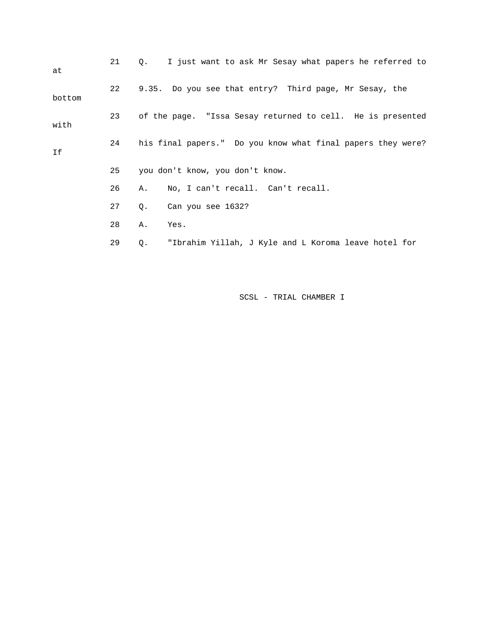| at     | 21 | Q.                                                         | I just want to ask Mr Sesay what papers he referred to      |  |  |
|--------|----|------------------------------------------------------------|-------------------------------------------------------------|--|--|
| bottom | 22 |                                                            | 9.35. Do you see that entry? Third page, Mr Sesay, the      |  |  |
| with   | 23 | of the page. "Issa Sesay returned to cell. He is presented |                                                             |  |  |
| If     | 24 |                                                            | his final papers." Do you know what final papers they were? |  |  |
|        | 25 |                                                            | you don't know, you don't know.                             |  |  |
|        | 26 | Α.                                                         | No, I can't recall. Can't recall.                           |  |  |
|        | 27 | Q.                                                         | Can you see 1632?                                           |  |  |
|        | 28 | Α.                                                         | Yes.                                                        |  |  |
|        | 29 | Q.                                                         | "Ibrahim Yillah, J Kyle and L Koroma leave hotel for        |  |  |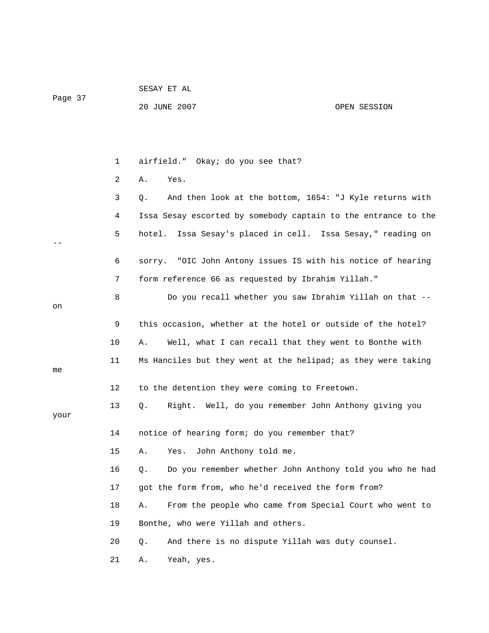|         |    | SESAY ET AL                                                    |              |
|---------|----|----------------------------------------------------------------|--------------|
| Page 37 |    | 20 JUNE 2007                                                   | OPEN SESSION |
|         |    |                                                                |              |
|         |    |                                                                |              |
|         | 1  | airfield." Okay; do you see that?                              |              |
|         | 2  | Yes.<br>Α.                                                     |              |
|         | 3  | And then look at the bottom, 1654: "J Kyle returns with<br>Q.  |              |
|         | 4  | Issa Sesay escorted by somebody captain to the entrance to the |              |
|         | 5  | Issa Sesay's placed in cell. Issa Sesay," reading on<br>hotel. |              |
|         | 6  | sorry. "OIC John Antony issues IS with his notice of hearing   |              |
|         | 7  | form reference 66 as requested by Ibrahim Yillah."             |              |
|         | 8  | Do you recall whether you saw Ibrahim Yillah on that --        |              |
| on      |    |                                                                |              |
|         | 9  | this occasion, whether at the hotel or outside of the hotel?   |              |
|         | 10 | Well, what I can recall that they went to Bonthe with<br>Α.    |              |
| me      | 11 | Ms Hanciles but they went at the helipad; as they were taking  |              |
|         | 12 | to the detention they were coming to Freetown.                 |              |
| your    | 13 | Right. Well, do you remember John Anthony giving you<br>Q.     |              |
|         | 14 | notice of hearing form; do you remember that?                  |              |
|         | 15 | John Anthony told me.<br>Α.<br>Yes.                            |              |
|         | 16 | Do you remember whether John Anthony told you who he had<br>Q. |              |
|         | 17 | got the form from, who he'd received the form from?            |              |
|         | 18 | From the people who came from Special Court who went to<br>Α.  |              |
|         | 19 | Bonthe, who were Yillah and others.                            |              |
|         | 20 | And there is no dispute Yillah was duty counsel.<br>Q.         |              |
|         | 21 | Yeah, yes.<br>Α.                                               |              |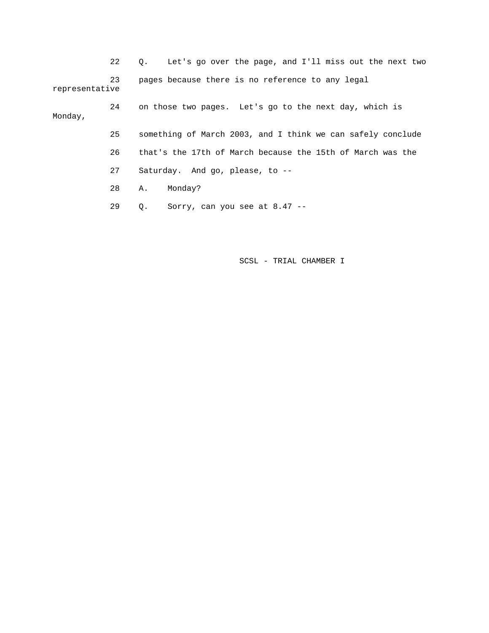22 Q. Let's go over the page, and I'll miss out the next two 23 pages because there is no reference to any legal representative 24 on those two pages. Let's go to the next day, which is Monday, 25 something of March 2003, and I think we can safely conclude

26 that's the 17th of March because the 15th of March was the

27 Saturday. And go, please, to --

28 A. Monday?

29 Q. Sorry, can you see at 8.47 --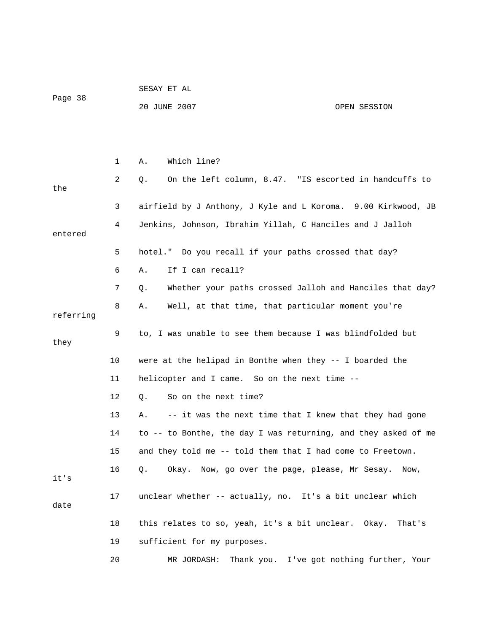|           |    | SESAY ET AL                                                    |
|-----------|----|----------------------------------------------------------------|
| Page 38   |    | 20 JUNE 2007<br>OPEN SESSION                                   |
|           |    |                                                                |
|           |    |                                                                |
|           | 1  | Which line?<br>Α.                                              |
| the       | 2  | On the left column, 8.47. "IS escorted in handcuffs to<br>Q.   |
|           | 3  | airfield by J Anthony, J Kyle and L Koroma. 9.00 Kirkwood, JB  |
| entered   | 4  | Jenkins, Johnson, Ibrahim Yillah, C Hanciles and J Jalloh      |
|           | 5  | hotel." Do you recall if your paths crossed that day?          |
|           | 6  | If I can recall?<br>Α.                                         |
|           | 7  | Whether your paths crossed Jalloh and Hanciles that day?<br>Q. |
| referring | 8  | Well, at that time, that particular moment you're<br>Α.        |
| they      | 9  | to, I was unable to see them because I was blindfolded but     |
|           | 10 | were at the helipad in Bonthe when they $-$ - I boarded the    |
|           | 11 | helicopter and I came. So on the next time --                  |
|           | 12 | So on the next time?<br>Q.                                     |
|           | 13 | -- it was the next time that I knew that they had gone<br>Α.   |
|           | 14 | to -- to Bonthe, the day I was returning, and they asked of me |
|           | 15 | and they told me -- told them that I had come to Freetown.     |
| it's      | 16 | Okay. Now, go over the page, please, Mr Sesay.<br>Q.<br>Now,   |
| date      | 17 | unclear whether -- actually, no. It's a bit unclear which      |
|           | 18 | this relates to so, yeah, it's a bit unclear. Okay.<br>That's  |
|           | 19 | sufficient for my purposes.                                    |
|           | 20 | Thank you. I've got nothing further, Your<br>MR JORDASH:       |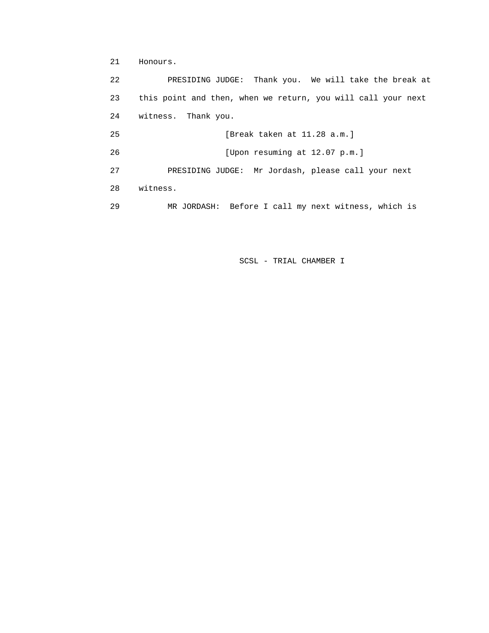21 Honours.

 22 PRESIDING JUDGE: Thank you. We will take the break at 23 this point and then, when we return, you will call your next 24 witness. Thank you. 25 [Break taken at 11.28 a.m.] 26 [Upon resuming at 12.07 p.m.] 27 PRESIDING JUDGE: Mr Jordash, please call your next 28 witness. 29 MR JORDASH: Before I call my next witness, which is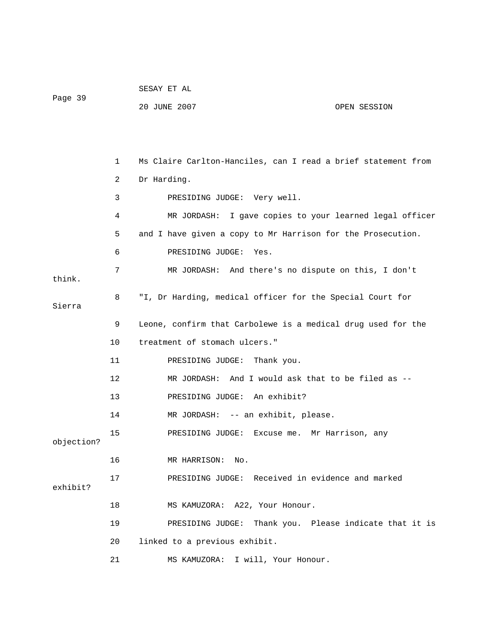|            |    | SESAY ET AL                                                   |  |  |
|------------|----|---------------------------------------------------------------|--|--|
| Page 39    |    | 20 JUNE 2007<br>OPEN SESSION                                  |  |  |
|            |    |                                                               |  |  |
|            |    |                                                               |  |  |
|            | 1  | Ms Claire Carlton-Hanciles, can I read a brief statement from |  |  |
|            | 2  | Dr Harding.                                                   |  |  |
|            | 3  | PRESIDING JUDGE: Very well.                                   |  |  |
|            | 4  | MR JORDASH: I gave copies to your learned legal officer       |  |  |
|            | 5  | and I have given a copy to Mr Harrison for the Prosecution.   |  |  |
|            | 6  | PRESIDING JUDGE:<br>Yes.                                      |  |  |
|            | 7  | MR JORDASH: And there's no dispute on this, I don't           |  |  |
| think.     |    |                                                               |  |  |
| Sierra     | 8  | "I, Dr Harding, medical officer for the Special Court for     |  |  |
|            | 9  | Leone, confirm that Carbolewe is a medical drug used for the  |  |  |
|            | 10 | treatment of stomach ulcers."                                 |  |  |
|            | 11 | PRESIDING JUDGE:<br>Thank you.                                |  |  |
|            | 12 | MR JORDASH: And I would ask that to be filed as --            |  |  |
|            | 13 | PRESIDING JUDGE: An exhibit?                                  |  |  |
|            | 14 | MR JORDASH: -- an exhibit, please.                            |  |  |
| objection? | 15 | PRESIDING JUDGE: Excuse me. Mr Harrison, any                  |  |  |
|            | 16 | MR HARRISON: No.                                              |  |  |
| exhibit?   | 17 | PRESIDING JUDGE: Received in evidence and marked              |  |  |
|            | 18 | MS KAMUZORA: A22, Your Honour.                                |  |  |
|            | 19 | PRESIDING JUDGE: Thank you. Please indicate that it is        |  |  |
|            | 20 | linked to a previous exhibit.                                 |  |  |
|            | 21 | MS KAMUZORA: I will, Your Honour.                             |  |  |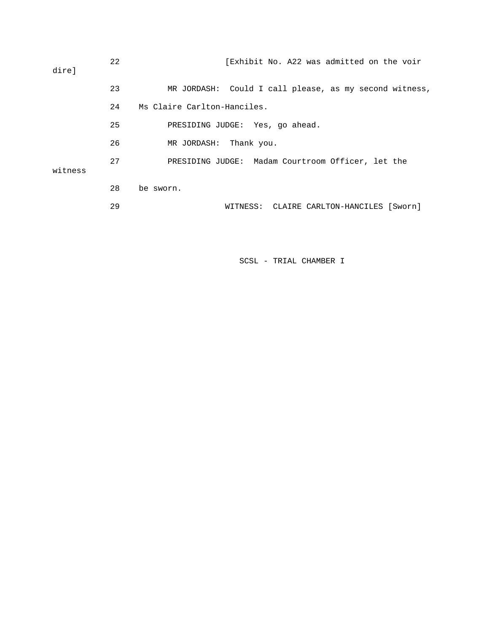| direl   | 22 | [Exhibit No. A22 was admitted on the voir              |
|---------|----|--------------------------------------------------------|
|         | 23 | MR JORDASH: Could I call please, as my second witness, |
|         | 24 | Ms Claire Carlton-Hanciles.                            |
|         | 25 | PRESIDING JUDGE: Yes, go ahead.                        |
|         | 26 | MR JORDASH: Thank you.                                 |
| witness | 27 | PRESIDING JUDGE: Madam Courtroom Officer, let the      |
|         | 28 | be sworn.                                              |
|         | 29 | WITNESS: CLAIRE CARLTON-HANCILES [Sworn]               |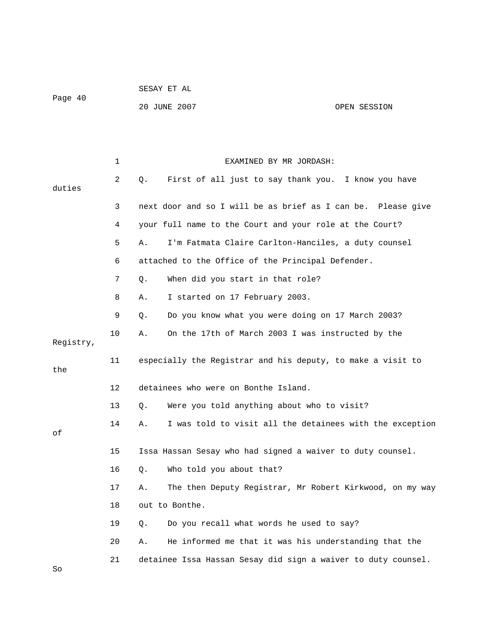|         | SESAY ET AL  |              |
|---------|--------------|--------------|
| Page 40 |              |              |
|         | 20 JUNE 2007 | OPEN SESSION |

|           | $\mathbf 1$ | EXAMINED BY MR JORDASH:                                        |
|-----------|-------------|----------------------------------------------------------------|
| duties    | 2           | First of all just to say thank you. I know you have<br>Q.      |
|           | 3           | next door and so I will be as brief as I can be. Please give   |
|           | 4           | your full name to the Court and your role at the Court?        |
|           | 5           | I'm Fatmata Claire Carlton-Hanciles, a duty counsel<br>Α.      |
|           | 6           | attached to the Office of the Principal Defender.              |
|           | 7           | When did you start in that role?<br>Ο.                         |
|           | 8           | I started on 17 February 2003.<br>Α.                           |
|           | 9           | Do you know what you were doing on 17 March 2003?<br>Q.        |
| Registry, | 10          | On the 17th of March 2003 I was instructed by the<br>Α.        |
| the       | 11          | especially the Registrar and his deputy, to make a visit to    |
|           | 12          | detainees who were on Bonthe Island.                           |
|           | 13          | Were you told anything about who to visit?<br>Q.               |
| οf        | 14          | I was told to visit all the detainees with the exception<br>Α. |
|           | 15          | Issa Hassan Sesay who had signed a waiver to duty counsel.     |
|           | 16          | Who told you about that?<br>Q.                                 |
|           | 17          | The then Deputy Registrar, Mr Robert Kirkwood, on my way<br>Α. |
|           | 18          | out to Bonthe.                                                 |
|           | 19          | Do you recall what words he used to say?<br>Q.                 |
|           | 20          | He informed me that it was his understanding that the<br>Α.    |
| So        | 21          | detainee Issa Hassan Sesay did sign a waiver to duty counsel.  |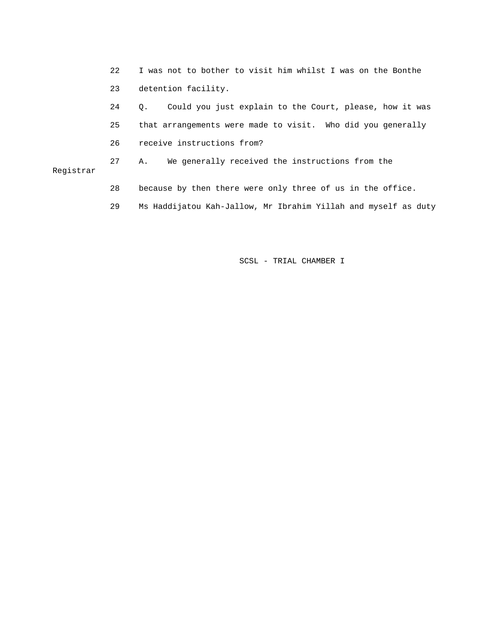|           | 22 | I was not to bother to visit him whilst I was on the Bonthe    |  |
|-----------|----|----------------------------------------------------------------|--|
|           | 23 | detention facility.                                            |  |
|           | 24 | Could you just explain to the Court, please, how it was<br>О.  |  |
|           | 25 | that arrangements were made to visit. Who did you generally    |  |
|           | 26 | receive instructions from?                                     |  |
| Registrar | 27 | We generally received the instructions from the<br>Α.          |  |
|           | 28 | because by then there were only three of us in the office.     |  |
|           | 29 | Ms Haddijatou Kah-Jallow, Mr Ibrahim Yillah and myself as duty |  |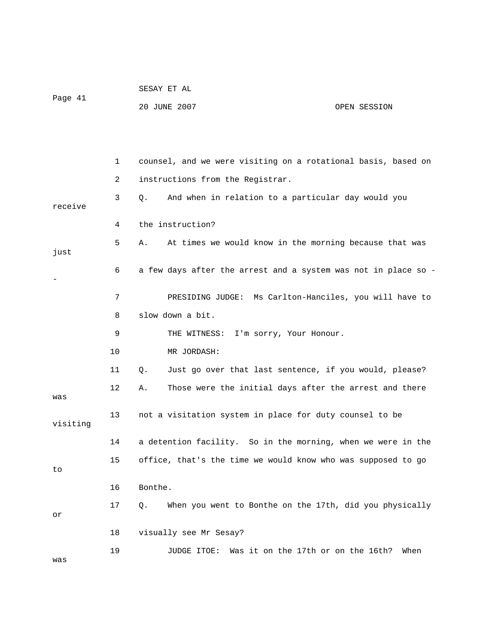|          |    | SESAY ET AL                                                    |                                            |
|----------|----|----------------------------------------------------------------|--------------------------------------------|
| Page 41  |    | 20 JUNE 2007                                                   | OPEN SESSION                               |
|          |    |                                                                |                                            |
|          |    |                                                                |                                            |
|          | 1  | counsel, and we were visiting on a rotational basis, based on  |                                            |
|          | 2  | instructions from the Registrar.                               |                                            |
| receive  | 3  | And when in relation to a particular day would you<br>Q.       |                                            |
|          | 4  | the instruction?                                               |                                            |
| just     | 5  | At times we would know in the morning because that was<br>Α.   |                                            |
|          | 6  | a few days after the arrest and a system was not in place so - |                                            |
|          | 7  | PRESIDING JUDGE: Ms Carlton-Hanciles, you will have to         |                                            |
|          | 8  | slow down a bit.                                               |                                            |
|          | 9  | THE WITNESS: I'm sorry, Your Honour.                           |                                            |
|          | 10 | MR JORDASH:                                                    |                                            |
|          | 11 | Just go over that last sentence, if you would, please?<br>Q.   |                                            |
| was      | 12 | Those were the initial days after the arrest and there<br>Α.   |                                            |
| visiting | 13 | not a visitation system in place for duty counsel to be        |                                            |
|          | 14 | a detention facility. So in the morning, when we were in the   |                                            |
| to       | 15 | office, that's the time we would know who was supposed to go   |                                            |
|          | 16 | Bonthe.                                                        |                                            |
| or       | 17 | When you went to Bonthe on the 17th, did you physically<br>Q.  |                                            |
|          | 18 | visually see Mr Sesay?                                         |                                            |
| was      | 19 | JUDGE ITOE:                                                    | Was it on the 17th or on the 16th?<br>When |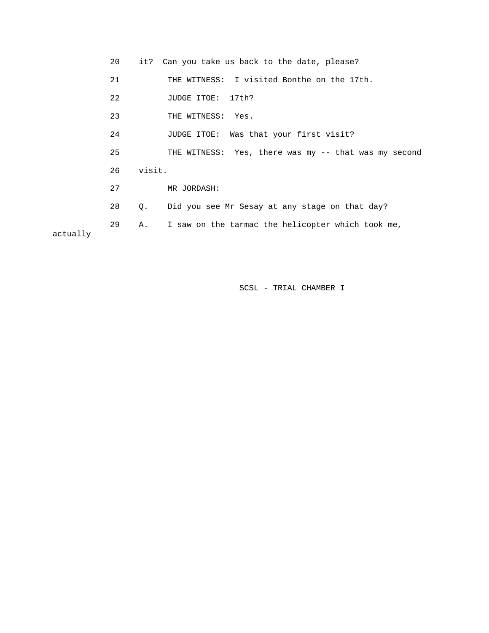|          | 20 |        | it? Can you take us back to the date, please?        |
|----------|----|--------|------------------------------------------------------|
|          | 21 |        | THE WITNESS: I visited Bonthe on the 17th.           |
|          | 22 |        | JUDGE ITOE: 17th?                                    |
|          | 23 |        | THE WITNESS: Yes.                                    |
|          | 24 |        | JUDGE ITOE: Was that your first visit?               |
|          | 25 |        | THE WITNESS: Yes, there was my -- that was my second |
|          | 26 | visit. |                                                      |
|          | 27 |        | MR JORDASH:                                          |
|          | 28 | Q.     | Did you see Mr Sesay at any stage on that day?       |
| ------11 | 29 | Α.     | I saw on the tarmac the helicopter which took me,    |

actually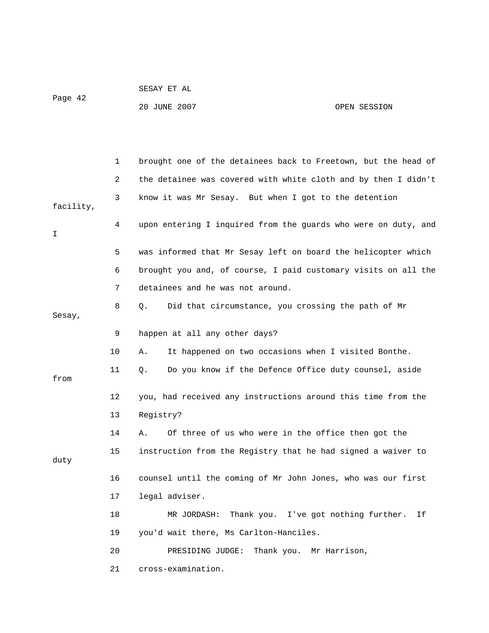|         | SESAY ET AL  |              |
|---------|--------------|--------------|
| Page 42 |              |              |
|         | 20 JUNE 2007 | OPEN SESSION |

|           | 1  | brought one of the detainees back to Freetown, but the head of |
|-----------|----|----------------------------------------------------------------|
|           | 2  | the detainee was covered with white cloth and by then I didn't |
| facility, | 3  | know it was Mr Sesay. But when I got to the detention          |
| I         | 4  | upon entering I inquired from the guards who were on duty, and |
|           | 5  | was informed that Mr Sesay left on board the helicopter which  |
|           | 6  | brought you and, of course, I paid customary visits on all the |
|           | 7  | detainees and he was not around.                               |
| Sesay,    | 8  | Did that circumstance, you crossing the path of Mr<br>О.       |
|           | 9  | happen at all any other days?                                  |
|           | 10 | It happened on two occasions when I visited Bonthe.<br>Α.      |
| from      | 11 | Do you know if the Defence Office duty counsel, aside<br>Q.    |
|           | 12 | you, had received any instructions around this time from the   |
|           | 13 | Registry?                                                      |
|           | 14 | Of three of us who were in the office then got the<br>Α.       |
| duty      | 15 | instruction from the Registry that he had signed a waiver to   |
|           | 16 | counsel until the coming of Mr John Jones, who was our first   |
|           | 17 | legal adviser.                                                 |
|           | 18 | Thank you. I've got nothing further.<br>Ιf<br>MR JORDASH:      |
|           | 19 | you'd wait there, Ms Carlton-Hanciles.                         |
|           | 20 | Thank you.<br>PRESIDING JUDGE:<br>Mr Harrison,                 |
|           | 21 | cross-examination.                                             |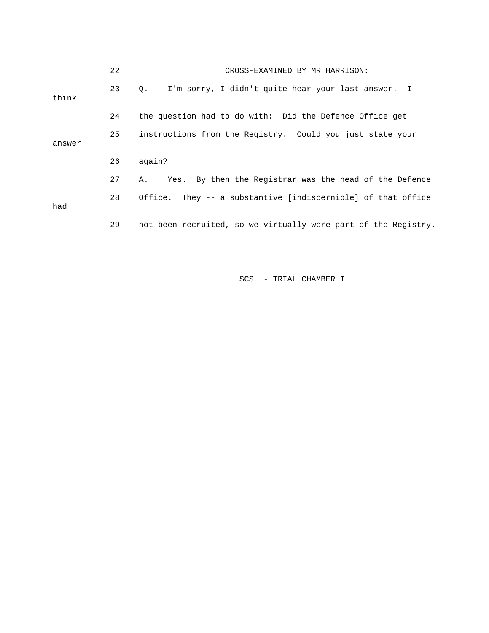|        | 22 | CROSS-EXAMINED BY MR HARRISON:                                  |
|--------|----|-----------------------------------------------------------------|
| think  | 23 | I'm sorry, I didn't quite hear your last answer. I<br>$\circ$ . |
|        | 24 | the question had to do with: Did the Defence Office get         |
| answer | 25 | instructions from the Registry. Could you just state your       |
|        | 26 | again?                                                          |
|        | 27 | Yes. By then the Registrar was the head of the Defence<br>Α.    |
| had    | 28 | Office. They -- a substantive [indiscernible] of that office    |
|        | 29 | not been recruited, so we virtually were part of the Registry.  |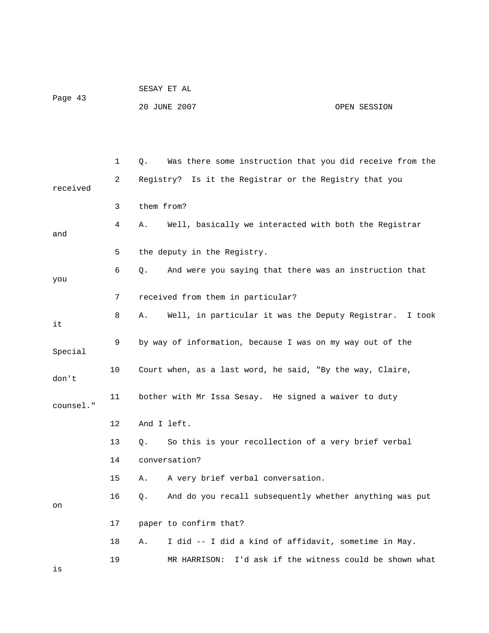|         | SESAY ET AL  |              |
|---------|--------------|--------------|
| Page 43 |              |              |
|         | 20 JUNE 2007 | OPEN SESSION |

 1 Q. Was there some instruction that you did receive from the 2 Registry? Is it the Registrar or the Registry that you received 3 them from? 4 A. Well, basically we interacted with both the Registrar and 5 the deputy in the Registry. 6 Q. And were you saying that there was an instruction that you 7 received from them in particular? 8 A. Well, in particular it was the Deputy Registrar. I took it 9 by way of information, because I was on my way out of the Special 10 Court when, as a last word, he said, "By the way, Claire, don't 11 bother with Mr Issa Sesay. He signed a waiver to duty counsel." 12 And I left. 13 Q. So this is your recollection of a very brief verbal 14 conversation? 15 A. A very brief verbal conversation. 16 Q. And do you recall subsequently whether anything was put on 17 paper to confirm that? 18 A. I did -- I did a kind of affidavit, sometime in May. 19 MR HARRISON: I'd ask if the witness could be shown what is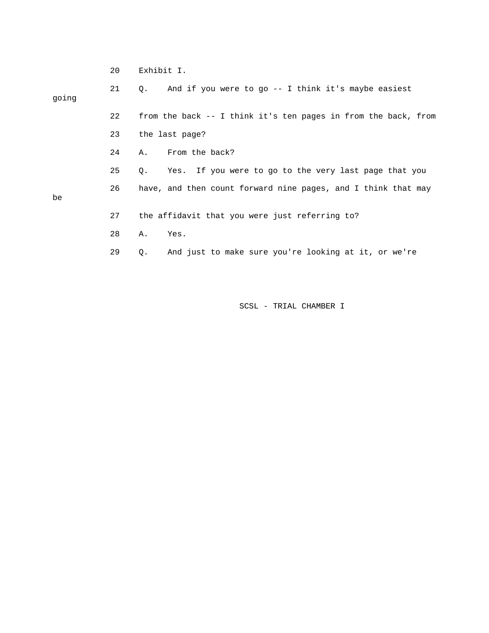|       | 20 | Exhibit I.                                                     |
|-------|----|----------------------------------------------------------------|
| going | 21 | And if you were to go -- I think it's maybe easiest<br>О.      |
|       | 22 | from the back -- I think it's ten pages in from the back, from |
|       | 23 | the last page?                                                 |
|       | 24 | From the back?<br>Α.                                           |
|       | 25 | Yes. If you were to go to the very last page that you<br>Q.    |
| be    | 26 | have, and then count forward nine pages, and I think that may  |
|       | 27 | the affidavit that you were just referring to?                 |
|       | 28 | Α.<br>Yes.                                                     |
|       | 29 | And just to make sure you're looking at it, or we're<br>Q.     |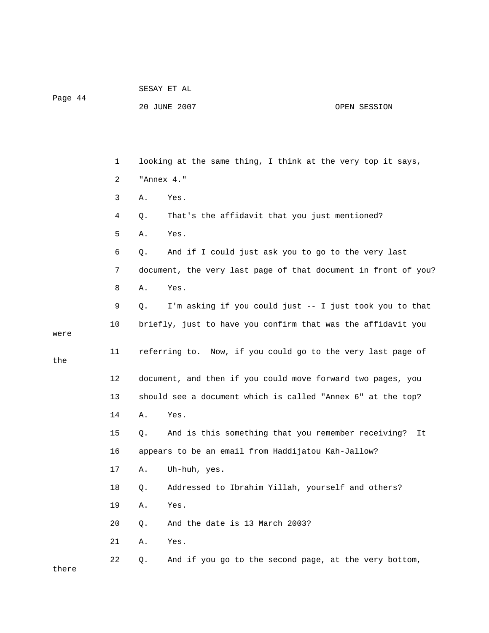Page 44

the

## 20 JUNE 2007 OPEN SESSION

 1 looking at the same thing, I think at the very top it says, 2 "Annex 4." 3 A. Yes. 4 Q. That's the affidavit that you just mentioned? 5 A. Yes. 6 Q. And if I could just ask you to go to the very last 7 document, the very last page of that document in front of you? 8 A. Yes. 9 Q. I'm asking if you could just -- I just took you to that 10 briefly, just to have you confirm that was the affidavit you were 11 referring to. Now, if you could go to the very last page of 12 document, and then if you could move forward two pages, you 13 should see a document which is called "Annex 6" at the top? 14 A. Yes. 15 Q. And is this something that you remember receiving? It 16 appears to be an email from Haddijatou Kah-Jallow? 17 A. Uh-huh, yes. 18 Q. Addressed to Ibrahim Yillah, yourself and others? 19 A. Yes. 20 Q. And the date is 13 March 2003? 21 A. Yes. 22 Q. And if you go to the second page, at the very bottom, there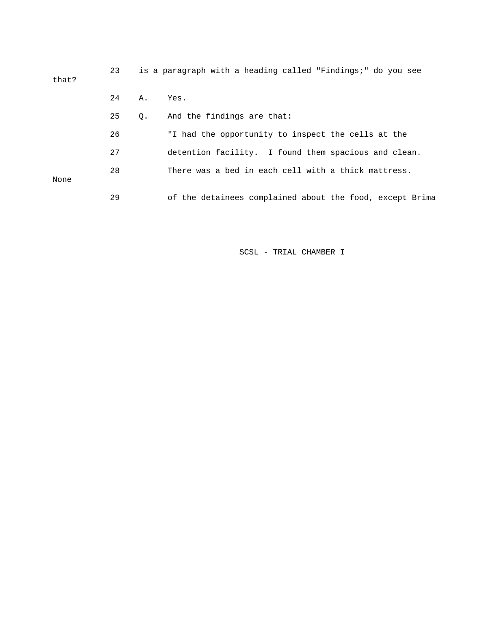| that? | 23 |           | is a paragraph with a heading called "Findings;" do you see |
|-------|----|-----------|-------------------------------------------------------------|
|       | 24 | А.        | Yes.                                                        |
|       | 25 | $\circ$ . | And the findings are that:                                  |
|       | 26 |           | "I had the opportunity to inspect the cells at the          |
|       | 27 |           | detention facility. I found them spacious and clean.        |
| None  | 28 |           | There was a bed in each cell with a thick mattress.         |
|       | 29 |           | of the detainees complained about the food, except Brima    |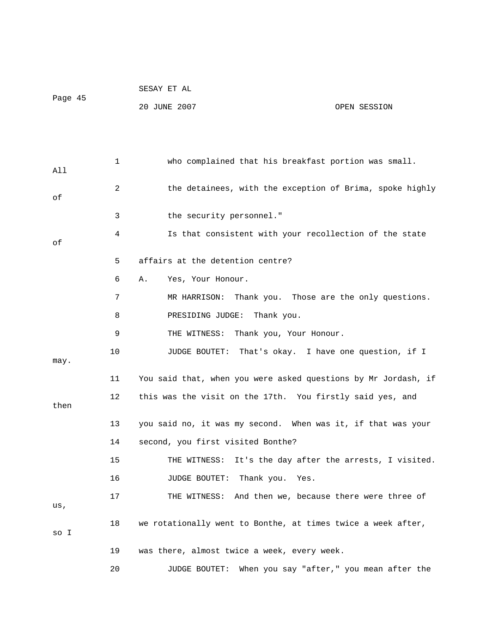|         |    | SESAY ET AL                                                      |
|---------|----|------------------------------------------------------------------|
| Page 45 |    | 20 JUNE 2007<br>OPEN SESSION                                     |
|         |    |                                                                  |
|         |    |                                                                  |
| All     | 1  | who complained that his breakfast portion was small.             |
| оf      | 2  | the detainees, with the exception of Brima, spoke highly         |
|         | 3  | the security personnel."                                         |
| оf      | 4  | Is that consistent with your recollection of the state           |
|         | 5  | affairs at the detention centre?                                 |
|         | 6  | Yes, Your Honour.<br>Α.                                          |
|         | 7  | Thank you. Those are the only questions.<br>MR HARRISON:         |
|         | 8  | PRESIDING JUDGE: Thank you.                                      |
|         | 9  | Thank you, Your Honour.<br>THE WITNESS:                          |
| may.    | 10 | JUDGE BOUTET: That's okay. I have one question, if I             |
|         | 11 | You said that, when you were asked questions by Mr Jordash, if   |
| then    | 12 | this was the visit on the 17th. You firstly said yes, and        |
|         | 13 | you said no, it was my second. When was it, if that was your     |
|         | 14 | second, you first visited Bonthe?                                |
|         | 15 | It's the day after the arrests, I visited.<br>THE WITNESS:       |
|         | 16 | Thank you.<br>JUDGE BOUTET:<br>Yes.                              |
| us,     | 17 | And then we, because there were three of<br>THE WITNESS:         |
| so I    | 18 | we rotationally went to Bonthe, at times twice a week after,     |
|         | 19 | was there, almost twice a week, every week.                      |
|         | 20 | When you say "after," you mean after the<br><b>JUDGE BOUTET:</b> |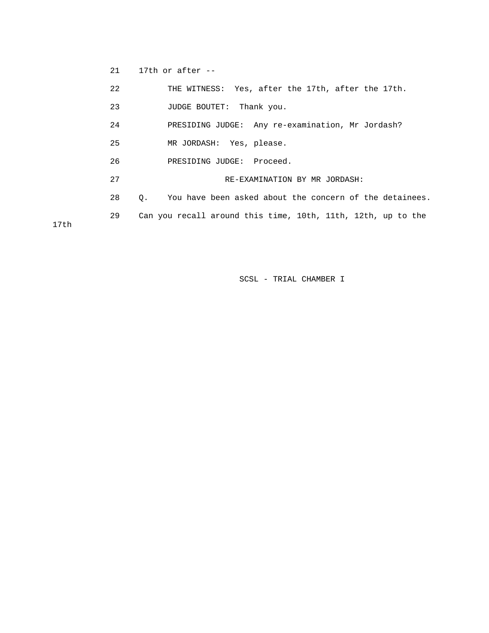21 17th or after --

17th

|      | 22 | THE WITNESS: Yes, after the 17th, after the 17th.                    |
|------|----|----------------------------------------------------------------------|
|      | 23 | Thank you.<br>JUDGE BOUTET:                                          |
|      | 24 | PRESIDING JUDGE: Any re-examination, Mr Jordash?                     |
|      | 25 | MR JORDASH: Yes, please.                                             |
|      | 26 | PRESIDING JUDGE: Proceed.                                            |
|      | 27 | RE-EXAMINATION BY MR JORDASH:                                        |
|      | 28 | You have been asked about the concern of the detainees.<br>$\circ$ . |
|      | 29 | Can you recall around this time, 10th, 11th, 12th, up to the         |
| 17th |    |                                                                      |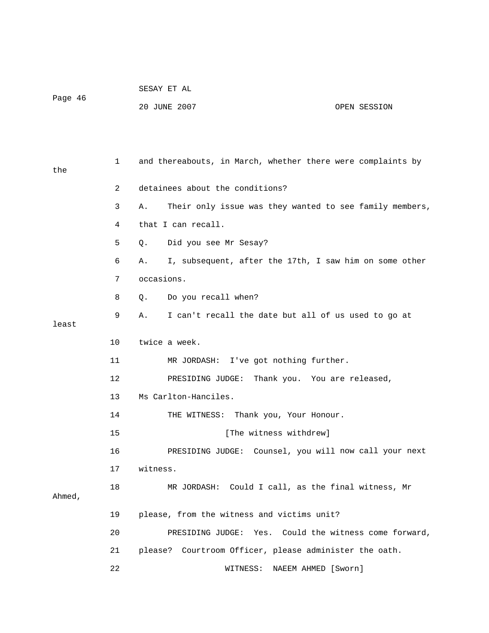|         | SESAY ET AL  |              |
|---------|--------------|--------------|
| Page 46 |              |              |
|         | 20 JUNE 2007 | OPEN SESSION |

 1 and thereabouts, in March, whether there were complaints by 2 detainees about the conditions? 4 that I can recall. 5 Q. Did you see Mr Sesay? 7 occasions. 8 Q. Do you recall when? 9 A. I can't recall the date but all of us used to go at 10 twice a week. 11 MR JORDASH: I've got nothing further. 12 PRESIDING JUDGE: Thank you. You are released, 14 THE WITNESS: Thank you, Your Honour. 15 [The witness withdrew] now call your next 16 PRESIDING JUDGE: Counsel, you will 17 witness. 18 MR JORDASH: Could I call, as the final witness, Mr 19 please, from the witness and victims unit? 20 PRESIDING JUDGE: Yes. Could the witness come forward, 21 please? Courtroom Officer, please administer the oath. 22 WITNESS: NAEEM AHMED [Sworn] the 3 A. Their only issue was they wanted to see family members, 6 A. I, subsequent, after the 17th, I saw him on some other least 13 Ms Carlton-Hanciles. Ahmed,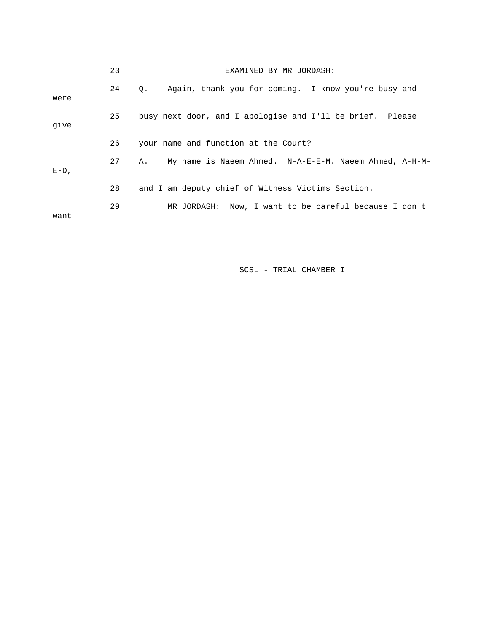|         | 23 | EXAMINED BY MR JORDASH:                                          |
|---------|----|------------------------------------------------------------------|
| were    | 24 | Again, thank you for coming. I know you're busy and<br>$\circ$ . |
| qive    | 25 | busy next door, and I apologise and I'll be brief. Please        |
|         | 26 | your name and function at the Court?                             |
| $E-D$ , | 27 | My name is Naeem Ahmed. N-A-E-E-M. Naeem Ahmed, A-H-M-<br>Α.     |
|         | 28 | and I am deputy chief of Witness Victims Section.                |
| want    | 29 | MR JORDASH: Now, I want to be careful because I don't            |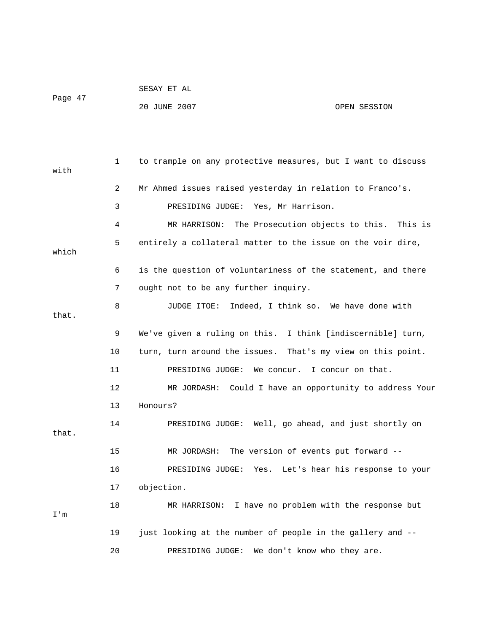|         | SESAY ET AL  |              |
|---------|--------------|--------------|
| Page 47 |              |              |
|         | 20 JUNE 2007 | OPEN SESSION |

| with  | 1              | to trample on any protective measures, but I want to discuss |
|-------|----------------|--------------------------------------------------------------|
|       | $\overline{2}$ | Mr Ahmed issues raised yesterday in relation to Franco's.    |
|       | 3              | PRESIDING JUDGE: Yes, Mr Harrison.                           |
|       | 4              | MR HARRISON: The Prosecution objects to this. This is        |
| which | 5              | entirely a collateral matter to the issue on the voir dire,  |
|       | 6              | is the question of voluntariness of the statement, and there |
|       | 7              | ought not to be any further inquiry.                         |
| that. | 8              | JUDGE ITOE: Indeed, I think so. We have done with            |
|       | 9              | We've given a ruling on this. I think [indiscernible] turn,  |
|       | 10             | turn, turn around the issues. That's my view on this point.  |
|       | 11             | I concur on that.<br>PRESIDING JUDGE:<br>We concur.          |
|       | 12             | MR JORDASH: Could I have an opportunity to address Your      |
|       | 13             | Honours?                                                     |
| that. | 14             | PRESIDING JUDGE: Well, go ahead, and just shortly on         |
|       | 15             | The version of events put forward --<br>MR JORDASH:          |
|       | 16             | PRESIDING JUDGE:<br>Yes. Let's hear his response to your     |
|       | 17             | objection.                                                   |
| I'm   | 18             | MR HARRISON: I have no problem with the response but         |
|       | 19             | just looking at the number of people in the gallery and --   |
|       | 20             | We don't know who they are.<br>PRESIDING JUDGE:              |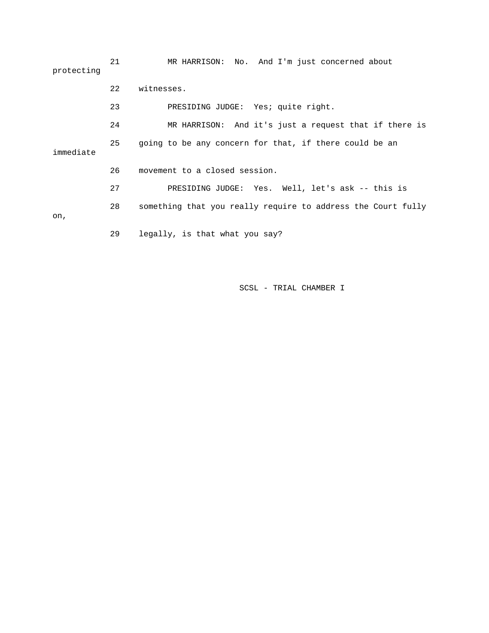21 MR HARRISON: No. And I'm just concerned about protecting 22 witnesses. 23 PRESIDING JUDGE: Yes; quite right. 24 MR HARRISON: And it's just a request that if there is 25 going to be any concern for that, if there could be an immediate 26 movement to a closed session. 27 PRESIDING JUDGE: Yes. Well, let's ask -- this is 28 something that you really require to address the Court fully on, 29 legally, is that what you say?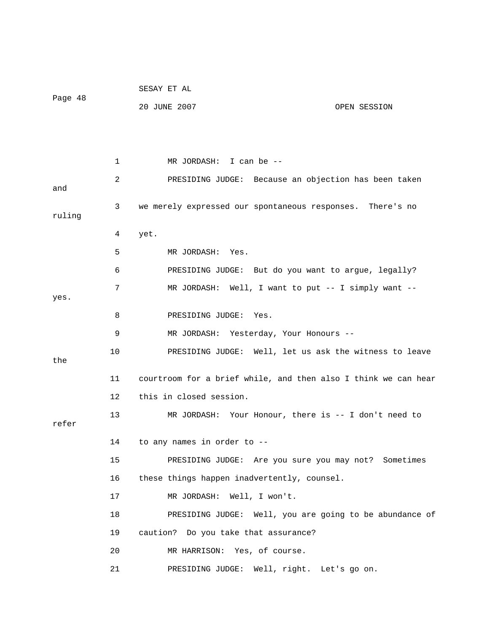|         |    | SESAY ET AL                                                    |
|---------|----|----------------------------------------------------------------|
| Page 48 |    | 20 JUNE 2007<br>OPEN SESSION                                   |
|         |    |                                                                |
|         |    |                                                                |
|         | 1  | MR JORDASH: I can be --                                        |
| and     | 2  | PRESIDING JUDGE: Because an objection has been taken           |
| ruling  | 3  | we merely expressed our spontaneous responses. There's no      |
|         | 4  | yet.                                                           |
|         | 5  | MR JORDASH: Yes.                                               |
|         | 6  | PRESIDING JUDGE: But do you want to argue, legally?            |
| yes.    | 7  | MR JORDASH: Well, I want to put -- I simply want --            |
|         | 8  | PRESIDING JUDGE: Yes.                                          |
|         | 9  | MR JORDASH: Yesterday, Your Honours --                         |
| the     | 10 | PRESIDING JUDGE: Well, let us ask the witness to leave         |
|         | 11 | courtroom for a brief while, and then also I think we can hear |
|         | 12 | this in closed session.                                        |
| refer   | 13 | MR JORDASH: Your Honour, there is $-$ I don't need to          |
|         | 14 | to any names in order to --                                    |
|         | 15 | PRESIDING JUDGE: Are you sure you may not? Sometimes           |
|         | 16 | these things happen inadvertently, counsel.                    |
|         | 17 | MR JORDASH: Well, I won't.                                     |
|         | 18 | PRESIDING JUDGE: Well, you are going to be abundance of        |
|         | 19 | caution? Do you take that assurance?                           |
|         | 20 | MR HARRISON: Yes, of course.                                   |
|         | 21 | PRESIDING JUDGE: Well, right. Let's go on.                     |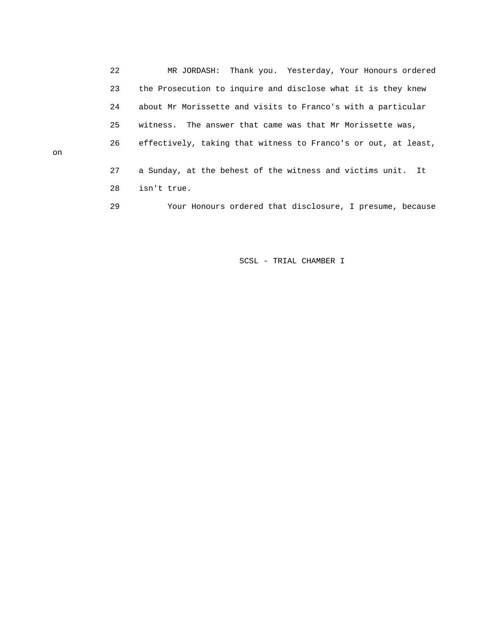22 MR JORDASH: Thank you. Yesterday, Your Honours ordered 23 the Prosecution to inquire and disclose what it is they knew 24 about Mr Morissette and visits to Franco's with a particular 25 witness. The answer that came was that Mr Morissette was, 26 effectively, taking that witness to Franco's or out, at least, 27 a Sunday, at the behest of the witness and victims unit. It 28 isn't true. 29 Your Honours ordered that disclosure, I presume, because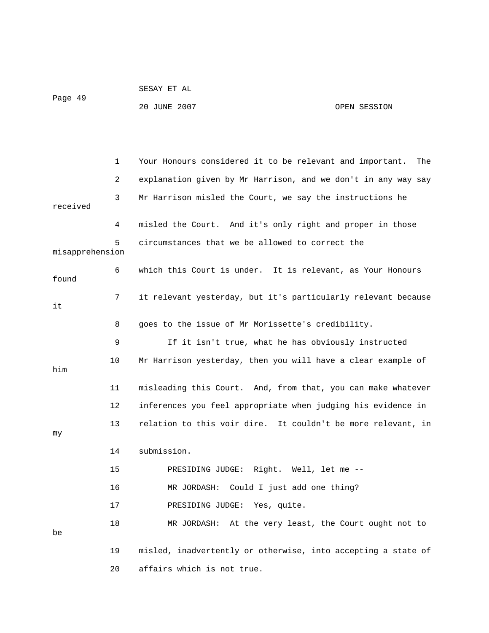|                 |    | 20 JUNE 2007<br>OPEN SESSION                                  |     |  |
|-----------------|----|---------------------------------------------------------------|-----|--|
|                 |    |                                                               |     |  |
|                 |    |                                                               |     |  |
|                 | 1  | Your Honours considered it to be relevant and important.      | The |  |
|                 | 2  | explanation given by Mr Harrison, and we don't in any way say |     |  |
| received        | 3  | Mr Harrison misled the Court, we say the instructions he      |     |  |
|                 | 4  | misled the Court. And it's only right and proper in those     |     |  |
| misapprehension | 5  | circumstances that we be allowed to correct the               |     |  |
| found           | 6  | which this Court is under. It is relevant, as Your Honours    |     |  |
| it              | 7  | it relevant yesterday, but it's particularly relevant because |     |  |
|                 | 8  | goes to the issue of Mr Morissette's credibility.             |     |  |
|                 | 9  | If it isn't true, what he has obviously instructed            |     |  |
| him             | 10 | Mr Harrison yesterday, then you will have a clear example of  |     |  |
|                 | 11 | misleading this Court. And, from that, you can make whatever  |     |  |
|                 | 12 | inferences you feel appropriate when judging his evidence in  |     |  |
| my              | 13 | relation to this voir dire. It couldn't be more relevant, in  |     |  |
|                 | 14 | submission.                                                   |     |  |
|                 | 15 | PRESIDING JUDGE: Right. Well, let me --                       |     |  |
|                 | 16 | Could I just add one thing?<br>MR JORDASH:                    |     |  |
|                 | 17 | PRESIDING JUDGE: Yes, quite.                                  |     |  |
| be              | 18 | MR JORDASH: At the very least, the Court ought not to         |     |  |
|                 | 19 | misled, inadvertently or otherwise, into accepting a state of |     |  |
|                 | 20 | affairs which is not true.                                    |     |  |

SESAY ET AL

Page 49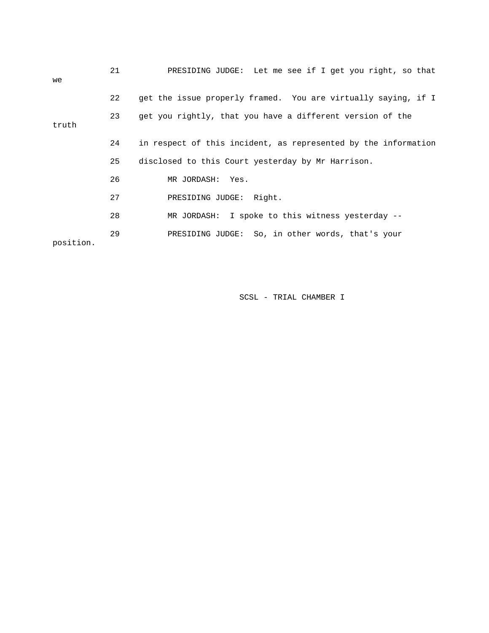| we        | 21 | PRESIDING JUDGE: Let me see if I get you right, so that        |
|-----------|----|----------------------------------------------------------------|
|           | 22 | get the issue properly framed. You are virtually saying, if I  |
| truth     | 23 | get you rightly, that you have a different version of the      |
|           | 24 | in respect of this incident, as represented by the information |
|           |    |                                                                |
|           | 25 | disclosed to this Court yesterday by Mr Harrison.              |
|           | 26 | MR JORDASH: Yes.                                               |
|           | 27 | PRESIDING JUDGE: Right.                                        |
|           | 28 | MR JORDASH: I spoke to this witness yesterday --               |
| position. | 29 | PRESIDING JUDGE: So, in other words, that's your               |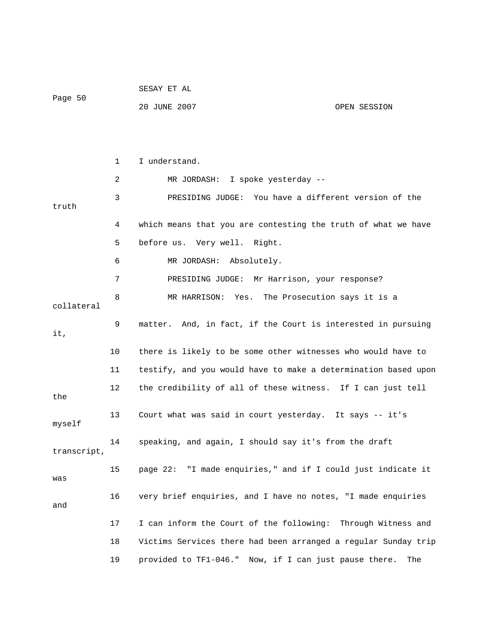|             |              | SESAY ET AL                                                    |              |
|-------------|--------------|----------------------------------------------------------------|--------------|
| Page 50     |              | 20 JUNE 2007                                                   | OPEN SESSION |
|             |              |                                                                |              |
|             |              |                                                                |              |
|             | $\mathbf{1}$ | I understand.                                                  |              |
|             | 2            | MR JORDASH: I spoke yesterday --                               |              |
| truth       | 3            | PRESIDING JUDGE: You have a different version of the           |              |
|             | 4            | which means that you are contesting the truth of what we have  |              |
|             | 5            | before us. Very well. Right.                                   |              |
|             | 6            | MR JORDASH:<br>Absolutely.                                     |              |
|             | 7            | PRESIDING JUDGE: Mr Harrison, your response?                   |              |
| collateral  | 8            | Yes. The Prosecution says it is a<br>MR HARRISON:              |              |
| it,         | 9            | matter. And, in fact, if the Court is interested in pursuing   |              |
|             | 10           | there is likely to be some other witnesses who would have to   |              |
|             | 11           | testify, and you would have to make a determination based upon |              |
| the         | 12           | the credibility of all of these witness. If I can just tell    |              |
| myself      | 13           | Court what was said in court yesterday. It says -- it's        |              |
| transcript, | 14           | speaking, and again, I should say it's from the draft          |              |
| was         | 15           | page 22: "I made enquiries," and if I could just indicate it   |              |
| and         | 16           | very brief enquiries, and I have no notes, "I made enquiries   |              |
|             | 17           | I can inform the Court of the following: Through Witness and   |              |
|             | 18           | Victims Services there had been arranged a regular Sunday trip |              |
|             | 19           | provided to TF1-046." Now, if I can just pause there.          | The          |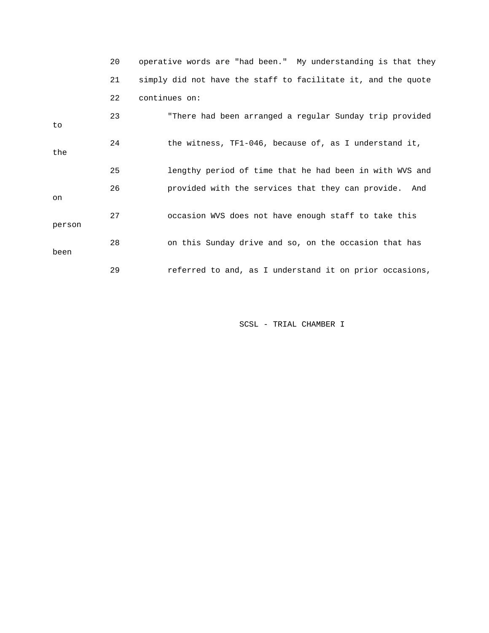|        | 20 | operative words are "had been." My understanding is that they |
|--------|----|---------------------------------------------------------------|
|        | 21 | simply did not have the staff to facilitate it, and the quote |
|        | 22 | continues on:                                                 |
| to     | 23 | "There had been arranged a regular Sunday trip provided       |
| the    | 24 | the witness, TF1-046, because of, as I understand it,         |
|        | 25 | lengthy period of time that he had been in with WVS and       |
| on     | 26 | provided with the services that they can provide. And         |
| person | 27 | occasion WVS does not have enough staff to take this          |
| been   | 28 | on this Sunday drive and so, on the occasion that has         |
|        | 29 | referred to and, as I understand it on prior occasions,       |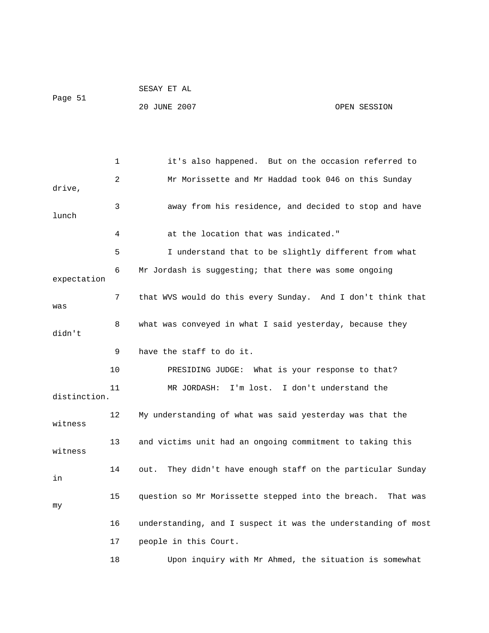|         | SESAY ET AL  |              |
|---------|--------------|--------------|
| Page 51 |              |              |
|         | 20 JUNE 2007 | OPEN SESSION |

 1 it's also happened. But on the occasion referred to 2 Mr Morissette and Mr Haddad took 046 on this Sunday drive, 3 away from his residence, and decided to stop and have lunch 4 at the location that was indicated." 5 I understand that to be slightly different from what 6 Mr Jordash is suggesting; that there was some ongoing expectation 7 that WVS would do this every Sunday. And I don't think that was 8 what was conveyed in what I said yesterday, because they didn't 9 have the staff to do it. 10 PRESIDING JUDGE: What is your response to that? 11 MR JORDASH: I'm lost. I don't understand the distinction. 12 My understanding of what was said yesterday was that the witness 13 and victims unit had an ongoing commitment to taking this witness 14 out. They didn't have enough staff on the particular Sunday in 15 question so Mr Morissette stepped into the breach. That was my 16 understanding, and I suspect it was the understanding of most 17 people in this Court. 18 Upon inquiry with Mr Ahmed, the situation is somewhat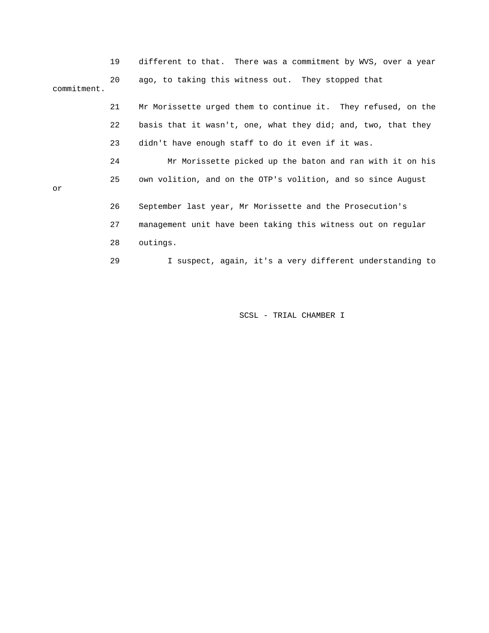|             | 19 | different to that. There was a commitment by WVS, over a year |
|-------------|----|---------------------------------------------------------------|
| commitment. | 20 | ago, to taking this witness out. They stopped that            |
|             | 21 | Mr Morissette urged them to continue it. They refused, on the |
|             | 22 | basis that it wasn't, one, what they did; and, two, that they |
|             | 23 | didn't have enough staff to do it even if it was.             |
|             | 24 | Mr Morissette picked up the baton and ran with it on his      |
| or          | 25 | own volition, and on the OTP's volition, and so since August  |
|             | 26 | September last year, Mr Morissette and the Prosecution's      |
|             | 27 | management unit have been taking this witness out on regular  |
|             | 28 | outings.                                                      |
|             | 29 | I suspect, again, it's a very different understanding to      |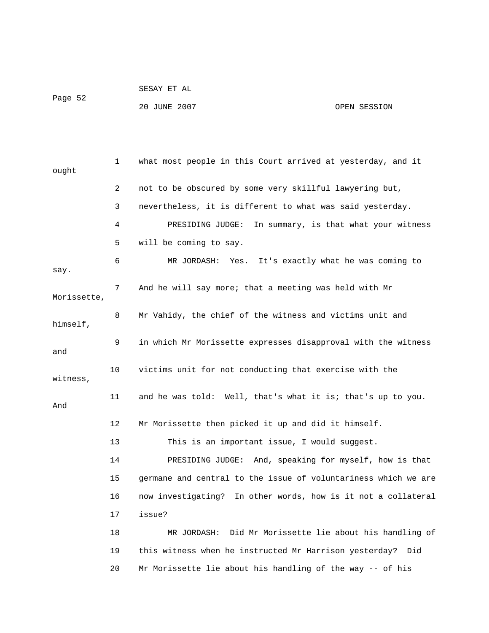|         | SESAY ET AL |  |  |
|---------|-------------|--|--|
| Page 52 |             |  |  |

20 JUNE 2007 OPEN SESSION

 1 what most people in this Court arrived at yesterday, and it ought 2 not to be obscured by some very skillful lawyering but, 3 nevertheless, it is different to what was said yesterday. 4 PRESIDING JUDGE: In summary, is that what your witness 5 will be coming to say. 8 Mr Vahidy, the chief of the witness and victims unit and 9 in which Mr Morissette expresses disapproval with the witness 10 victims unit for not conducting that exercise with the 11 and he was told: Well, that's what it is; that's up to you. 12 Mr Morissette then picked it up and did it himself. 13 This is an important issue, I would suggest. 14 PRESIDING JUDGE: And, speaking for myself, how is that 16 now investigating? In other words, how is it not a collateral 17 issue? MR JORDASH: Did Mr Morissette lie about his handling of 19 this witness when he instructed Mr Harrison yesterday? Did 20 Mr Morissette lie about his handling of the way -- of his 6 MR JORDASH: Yes. It's exactly what he was coming to say. 7 And he will say more; that a meeting was held with Mr Morissette, himself, and witness, And 15 germane and central to the issue of voluntariness which we are 18 M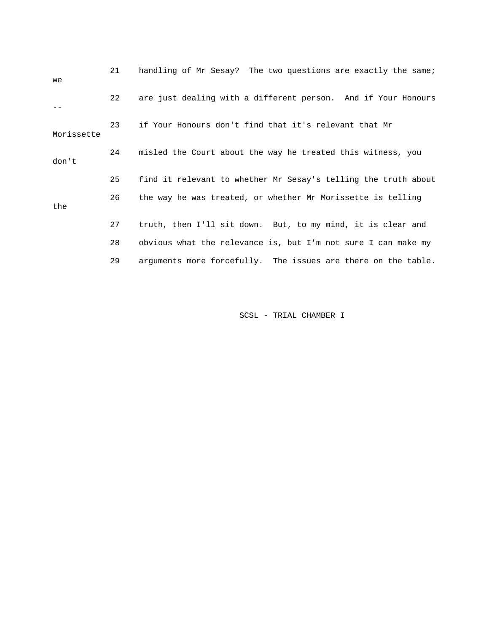| we         | 21 | handling of Mr Sesay? The two questions are exactly the same;  |
|------------|----|----------------------------------------------------------------|
|            | 22 | are just dealing with a different person. And if Your Honours  |
| Morissette | 23 | if Your Honours don't find that it's relevant that Mr          |
| don't      | 24 | misled the Court about the way he treated this witness, you    |
|            | 25 | find it relevant to whether Mr Sesay's telling the truth about |
| the        | 26 | the way he was treated, or whether Mr Morissette is telling    |
|            | 27 | truth, then I'll sit down. But, to my mind, it is clear and    |
|            | 28 | obvious what the relevance is, but I'm not sure I can make my  |
|            | 29 | arguments more forcefully. The issues are there on the table.  |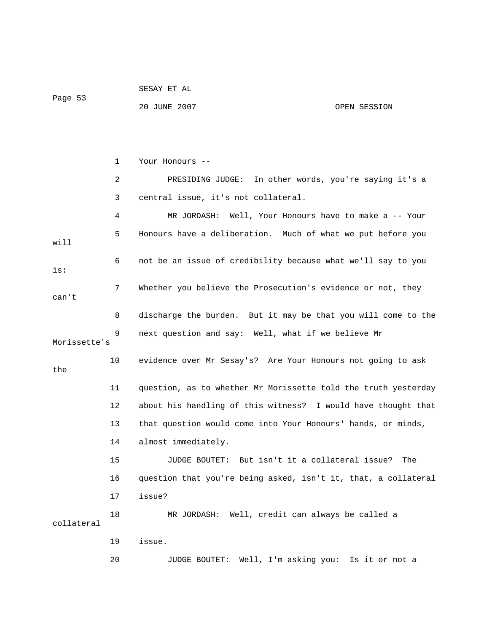| Page 53 |              |              |
|---------|--------------|--------------|
|         | 20 JUNE 2007 | OPEN SESSION |
|         |              |              |
|         |              |              |

SESAY ET AL

 1 Your Honours -- 2 PRESIDING JUDGE: In other words, you're saying it's a 3 central issue, it's not collateral. 4 MR JORDASH: Well, Your Honours have to make a -- Your 5 Honours have a deliberation. Much of what we put before you will 6 not be an issue of credibility because what we'll say to you is: 7 Whether you believe the Prosecution's evidence or not, they can't 8 discharge the burden. But it may be that you will come to the 9 next question and say: Well, what if we believe Mr Morissette's 10 evidence over Mr Sesay's? Are Your Honours not going to ask the 11 question, as to whether Mr Morissette told the truth yesterday 12 about his handling of this witness? I would have thought that 13 that question would come into Your Honours' hands, or minds, 14 almost immediately. 15 JUDGE BOUTET: But isn't it a collateral issue? The 16 question that you're being asked, isn't it, that, a collateral 17 issue? 18 MR JORDASH: Well, credit can always be called a collateral 19 issue. 20 JUDGE BOUTET: Well, I'm asking you: Is it or not a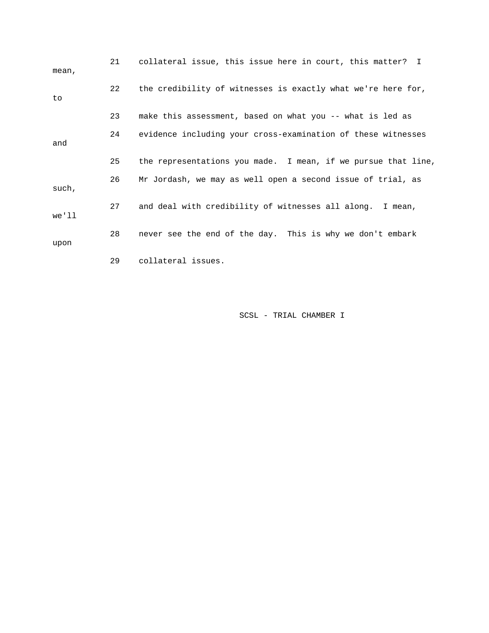| mean, | 21 | collateral issue, this issue here in court, this matter? I    |
|-------|----|---------------------------------------------------------------|
| to    | 22 | the credibility of witnesses is exactly what we're here for,  |
|       | 23 | make this assessment, based on what you -- what is led as     |
| and   | 24 | evidence including your cross-examination of these witnesses  |
|       | 25 | the representations you made. I mean, if we pursue that line, |
| such, | 26 | Mr Jordash, we may as well open a second issue of trial, as   |
| we'll | 27 | and deal with credibility of witnesses all along. I mean,     |
| upon  | 28 | never see the end of the day. This is why we don't embark     |
|       | 29 | collateral issues.                                            |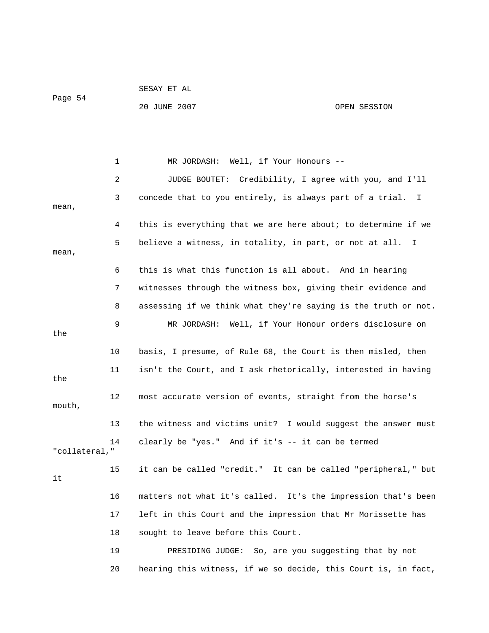|         | SESAY ET AL  |              |
|---------|--------------|--------------|
| Page 54 |              |              |
|         | 20 JUNE 2007 | OPEN SESSION |

1 MR JORDASH: Well, if Your Honours -- 2 JUDGE BOUTET: Credibility, I agree with you, and I'll 3 concede that to you entirely, is always part of a trial. I mean, 4 this is everything that we are here about; to determine if we 5 believe a witness, in totality, in part, or not at all. I mean, 6 this is what this function is all about. And in hearing 7 witnesses through the witness box, giving their evidence and 8 assessing if we think what they're saying is the truth or not. 9 MR JORDASH: Well, if Your Honour orders disclosure on the 10 basis, I presume, of Rule 68, the Court is then misled, then 11 isn't the Court, and I ask rhetorically, interested in having the 12 most accurate version of events, straight from the horse's mouth, 13 the witness and victims unit? I would suggest the answer must 14 clearly be "yes." And if it's -- it can be termed "collateral," 15 it can be called "credit." It can be called "peripheral," but it 16 matters not what it's called. It's the impression that's been 17 left in this Court and the impression that Mr Morissette has 18 sought to leave before this Court. 19 PRESIDING JUDGE: So, are you suggesting that by not 20 hearing this witness, if we so decide, this Court is, in fact,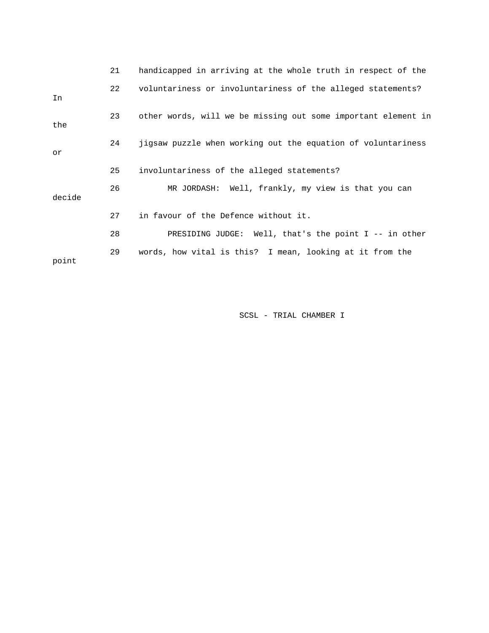|        | 21 | handicapped in arriving at the whole truth in respect of the  |
|--------|----|---------------------------------------------------------------|
| In     | 22 | voluntariness or involuntariness of the alleged statements?   |
| the    | 23 | other words, will we be missing out some important element in |
| or     | 24 | jigsaw puzzle when working out the equation of voluntariness  |
|        | 25 | involuntariness of the alleged statements?                    |
| decide | 26 | MR JORDASH: Well, frankly, my view is that you can            |
|        | 27 | in favour of the Defence without it.                          |
|        | 28 | PRESIDING JUDGE: Well, that's the point I -- in other         |
| point  | 29 | words, how vital is this? I mean, looking at it from the      |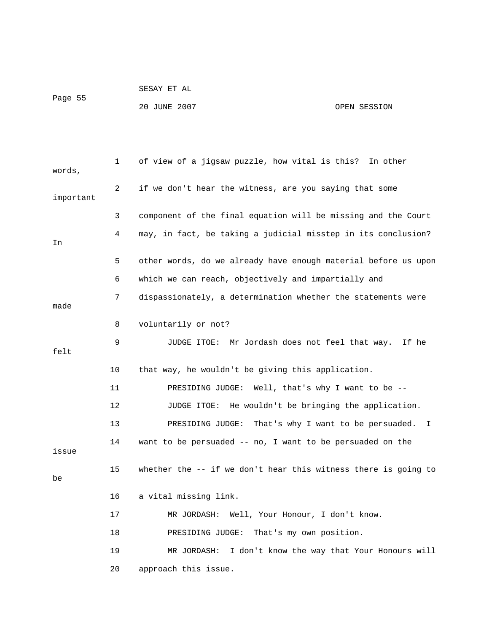```
 SESAY ET AL 
Page 55
```
## 20 JUNE 2007 OPEN SESSION

| words,    | 1  | of view of a jigsaw puzzle, how vital is this? In other         |
|-----------|----|-----------------------------------------------------------------|
| important | 2  | if we don't hear the witness, are you saying that some          |
|           | 3  | component of the final equation will be missing and the Court   |
| In        | 4  | may, in fact, be taking a judicial misstep in its conclusion?   |
|           | 5  | other words, do we already have enough material before us upon  |
|           | 6  | which we can reach, objectively and impartially and             |
| made      | 7  | dispassionately, a determination whether the statements were    |
|           | 8  | voluntarily or not?                                             |
| felt      | 9  | JUDGE ITOE:  Mr Jordash does not feel that way.<br>If he        |
|           | 10 | that way, he wouldn't be giving this application.               |
|           | 11 | PRESIDING JUDGE: Well, that's why I want to be --               |
|           | 12 | JUDGE ITOE: He wouldn't be bringing the application.            |
|           | 13 | PRESIDING JUDGE:<br>That's why I want to be persuaded.<br>I.    |
| issue     | 14 | want to be persuaded -- no, I want to be persuaded on the       |
| be        | 15 | whether the $-$ if we don't hear this witness there is going to |
|           | 16 | a vital missing link.                                           |
|           | 17 | MR JORDASH: Well, Your Honour, I don't know.                    |
|           | 18 | PRESIDING JUDGE: That's my own position.                        |
|           | 19 | I don't know the way that Your Honours will<br>MR JORDASH:      |
|           | 20 | approach this issue.                                            |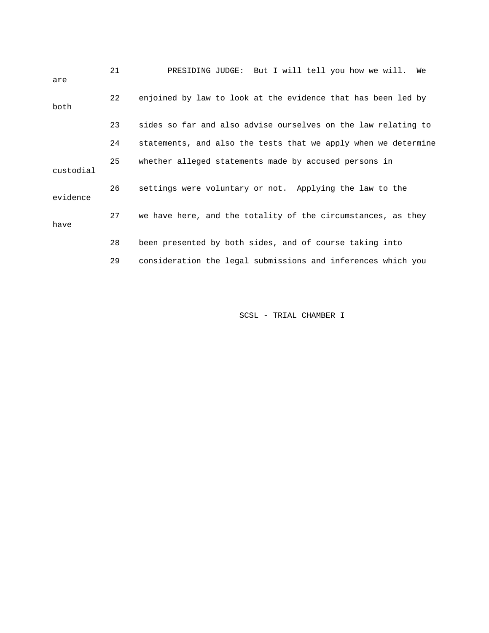| are       | 21 | PRESIDING JUDGE: But I will tell you how we will.<br>We        |
|-----------|----|----------------------------------------------------------------|
| both      | 22 | enjoined by law to look at the evidence that has been led by   |
|           | 23 | sides so far and also advise ourselves on the law relating to  |
|           | 24 | statements, and also the tests that we apply when we determine |
| custodial | 25 | whether alleged statements made by accused persons in          |
| evidence  | 26 | settings were voluntary or not. Applying the law to the        |
| have      | 27 | we have here, and the totality of the circumstances, as they   |
|           | 28 | been presented by both sides, and of course taking into        |
|           | 29 | consideration the legal submissions and inferences which you   |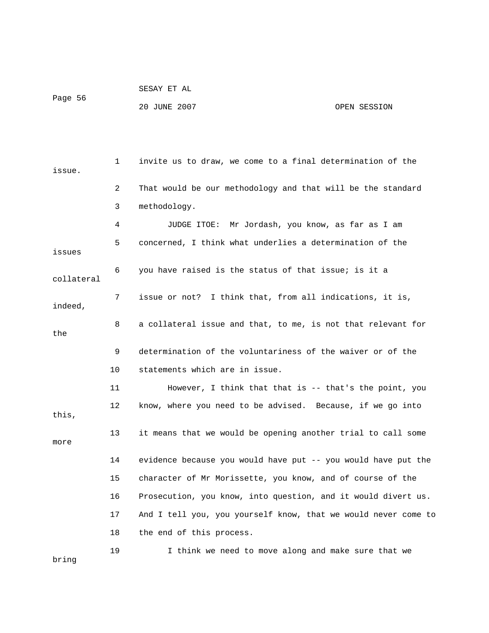|         | SESAY ET AL  |              |
|---------|--------------|--------------|
| Page 56 |              |              |
|         | 20 JUNE 2007 | OPEN SESSION |

 1 invite us to draw, we come to a final determination of the issue. 2 That would be our methodology and that will be the standard 3 methodology. 4 JUDGE ITOE: Mr Jordash, you know, as far as I am 5 concerned, I think what underlies a determination of the issues 6 you have raised is the status of that issue; is it a collateral 7 issue or not? I think that, from all indications, it is, indeed, 8 a collateral issue and that, to me, is not that relevant for the 9 determination of the voluntariness of the waiver or of the 10 statements which are in issue. 11 However, I think that that is -- that's the point, you 12 know, where you need to be advised. Because, if we go into this, 13 it means that we would be opening another trial to call some more 14 evidence because you would have put -- you would have put the 15 character of Mr Morissette, you know, and of course of the 16 Prosecution, you know, into question, and it would divert us. 17 And I tell you, you yourself know, that we would never come to 18 the end of this process. 19 I think we need to move along and make sure that we bring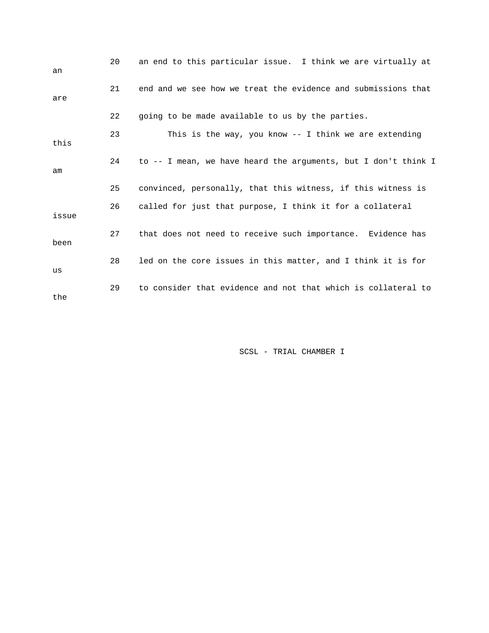| an    | 20 | an end to this particular issue. I think we are virtually at   |
|-------|----|----------------------------------------------------------------|
| are   | 21 | end and we see how we treat the evidence and submissions that  |
|       | 22 | going to be made available to us by the parties.               |
| this  | 23 | This is the way, you know -- I think we are extending          |
| am    | 24 | to -- I mean, we have heard the arguments, but I don't think I |
|       | 25 | convinced, personally, that this witness, if this witness is   |
| issue | 26 | called for just that purpose, I think it for a collateral      |
| been  | 27 | that does not need to receive such importance. Evidence has    |
| us    | 28 | led on the core issues in this matter, and I think it is for   |
| the   | 29 | to consider that evidence and not that which is collateral to  |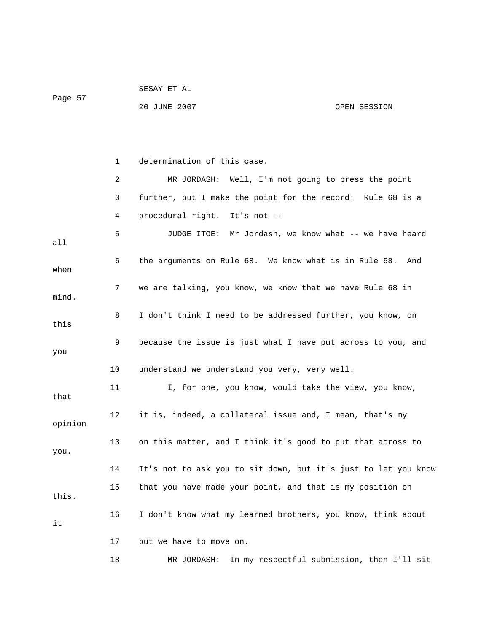| Page 57 |    | 20 JUNE 2007                                                   | OPEN SESSION                               |
|---------|----|----------------------------------------------------------------|--------------------------------------------|
|         |    |                                                                |                                            |
|         | 1  | determination of this case.                                    |                                            |
|         | 2  | MR JORDASH: Well, I'm not going to press the point             |                                            |
|         | 3  | further, but I make the point for the record: Rule 68 is a     |                                            |
|         | 4  | procedural right. It's not --                                  |                                            |
| all     | 5  | JUDGE ITOE: Mr Jordash, we know what -- we have heard          |                                            |
| when    | 6  | the arguments on Rule 68. We know what is in Rule 68. And      |                                            |
| mind.   | 7  | we are talking, you know, we know that we have Rule 68 in      |                                            |
| this    | 8  | I don't think I need to be addressed further, you know, on     |                                            |
| you     | 9  | because the issue is just what I have put across to you, and   |                                            |
|         | 10 | understand we understand you very, very well.                  |                                            |
| that    | 11 | I, for one, you know, would take the view, you know,           |                                            |
| opinion | 12 | it is, indeed, a collateral issue and, I mean, that's my       |                                            |
| you.    | 13 | on this matter, and I think it's good to put that across to    |                                            |
|         | 14 | It's not to ask you to sit down, but it's just to let you know |                                            |
| this.   | 15 | that you have made your point, and that is my position on      |                                            |
| it      | 16 | I don't know what my learned brothers, you know, think about   |                                            |
|         | 17 | but we have to move on.                                        |                                            |
|         | 18 | MR JORDASH:                                                    | In my respectful submission, then I'll sit |

SESAY ET AL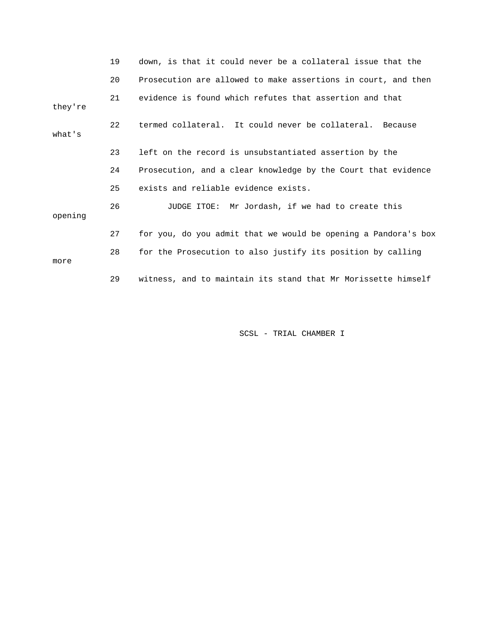|         | 19 | down, is that it could never be a collateral issue that the    |
|---------|----|----------------------------------------------------------------|
|         | 20 | Prosecution are allowed to make assertions in court, and then  |
| they're | 21 | evidence is found which refutes that assertion and that        |
| what's  | 22 | termed collateral. It could never be collateral. Because       |
|         | 23 | left on the record is unsubstantiated assertion by the         |
|         | 24 | Prosecution, and a clear knowledge by the Court that evidence  |
|         | 25 | exists and reliable evidence exists.                           |
| opening | 26 | JUDGE ITOE: Mr Jordash, if we had to create this               |
|         | 27 | for you, do you admit that we would be opening a Pandora's box |
| more    | 28 | for the Prosecution to also justify its position by calling    |
|         | 29 | witness, and to maintain its stand that Mr Morissette himself  |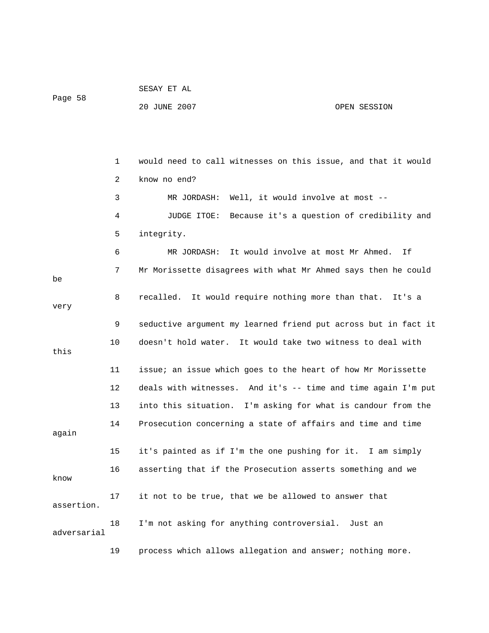| Page 58     |    | 20 JUNE 2007                                                   | OPEN SESSION |
|-------------|----|----------------------------------------------------------------|--------------|
|             |    |                                                                |              |
|             | 1  | would need to call witnesses on this issue, and that it would  |              |
|             | 2  | know no end?                                                   |              |
|             | 3  | Well, it would involve at most --<br>MR JORDASH:               |              |
|             | 4  | Because it's a question of credibility and<br>JUDGE ITOE:      |              |
|             | 5  | integrity.                                                     |              |
|             | 6  | It would involve at most Mr Ahmed.<br>MR JORDASH:              | Ιf           |
| be          | 7  | Mr Morissette disagrees with what Mr Ahmed says then he could  |              |
| very        | 8  | recalled. It would require nothing more than that.             | It's a       |
|             | 9  | seductive argument my learned friend put across but in fact it |              |
| this        | 10 | doesn't hold water. It would take two witness to deal with     |              |
|             | 11 | issue; an issue which goes to the heart of how Mr Morissette   |              |
|             | 12 | deals with witnesses. And it's -- time and time again I'm put  |              |
|             | 13 | into this situation. I'm asking for what is candour from the   |              |
| again       | 14 | Prosecution concerning a state of affairs and time and time    |              |
|             | 15 | it's painted as if I'm the one pushing for it. I am simply     |              |
| know        | 16 | asserting that if the Prosecution asserts something and we     |              |
| assertion.  | 17 | it not to be true, that we be allowed to answer that           |              |
| adversarial | 18 | I'm not asking for anything controversial. Just an             |              |
|             | 19 | process which allows allegation and answer; nothing more.      |              |

SESAY ET AL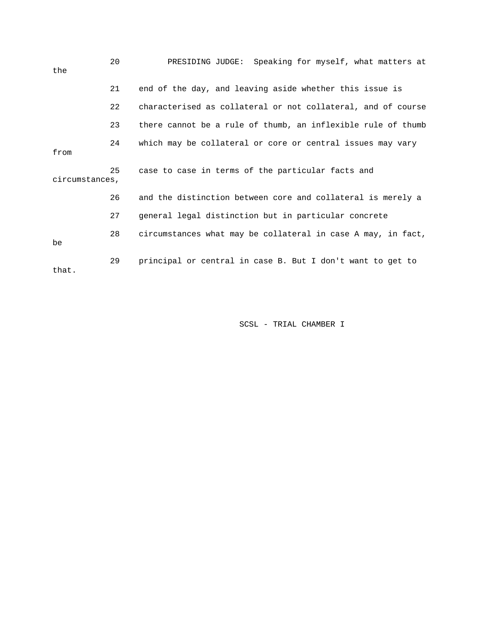| the            | 20 | PRESIDING JUDGE: Speaking for myself, what matters at        |
|----------------|----|--------------------------------------------------------------|
|                | 21 | end of the day, and leaving aside whether this issue is      |
|                | 22 | characterised as collateral or not collateral, and of course |
|                | 23 | there cannot be a rule of thumb, an inflexible rule of thumb |
| from           | 24 | which may be collateral or core or central issues may vary   |
| circumstances, | 25 | case to case in terms of the particular facts and            |
|                | 26 | and the distinction between core and collateral is merely a  |
|                | 27 | general legal distinction but in particular concrete         |
| be             | 28 | circumstances what may be collateral in case A may, in fact, |
| that.          | 29 | principal or central in case B. But I don't want to get to   |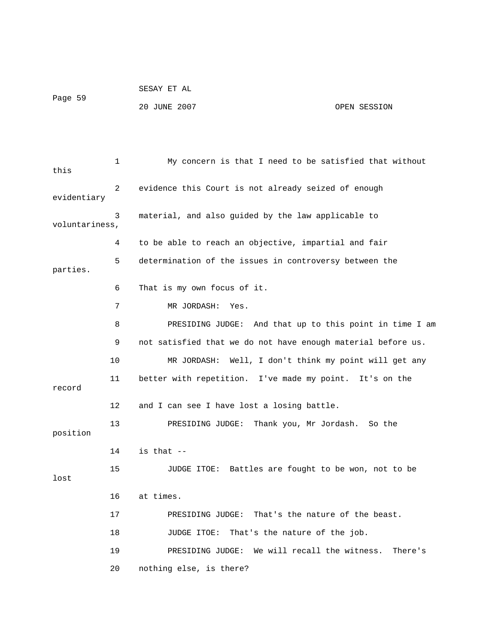```
 SESAY ET AL 
Page 59 
             20 JUNE 2007 OPEN SESSION
```
 1 My concern is that I need to be satisfied that without this 2 evidence this Court is not already seized of enough 3 material, and also guided by the law applicable to 4 to be able to reach an objective, impartial and fair 7 MR JORDASH: Yes. 8 PRESIDING JUDGE: And that up to this point in time I am 10 MR JORDASH: Well, I don't think my point will get any 11 better with repetition. I've made my point. It's on the 12 and I can see I have lost a losing battle. sh. So the 13 PRESIDING JUDGE: Thank you, Mr Jorda 14 is that -- 15 JUDGE ITOE: Battles are fought to be won, not to be 16 at times. 17 PRESIDING JUDGE: That's the nature of the beast. 19 PRESIDING JUDGE: We will recall the witness. There's 20 nothing else, is there? evidentiary voluntariness, 5 determination of the issues in controversy between the parties. 6 That is my own focus of it. 9 not satisfied that we do not have enough material before us. record position lost 18 JUDGE ITOE: That's the nature of the job.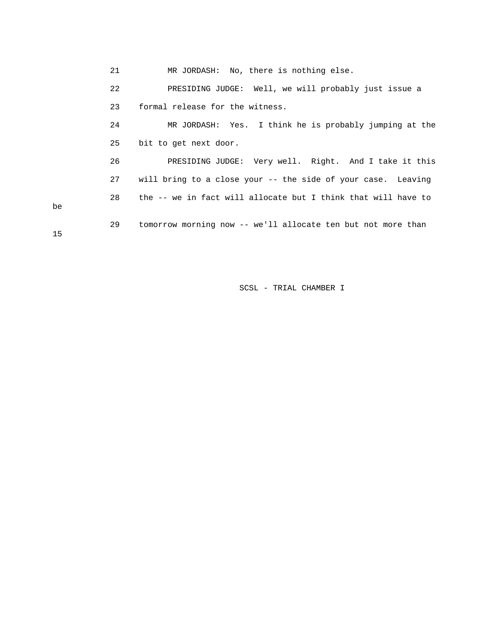21 MR JORDASH: No, there is nothing else. 22 PRESIDING JUDGE: Well, we will probably just issue a 23 formal release for the witness. 25 bit to get next door. 26 PRESIDING JUDGE: Very well. Right. And I take it this 28 the -- we in fact will allocate but I think that will have to 29 tomorrow morning now -- we'll allocate ten but not more than 24 MR JORDASH: Yes. I think he is probably jumping at the 27 will bring to a close your -- the side of your case. Leaving

be

15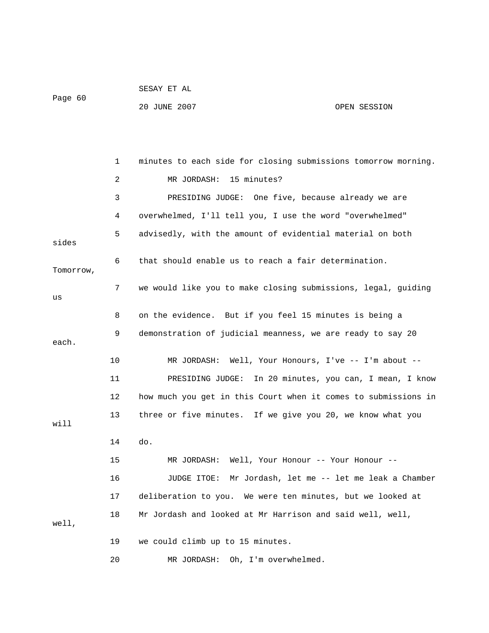|         | SESAY ET AL  |              |
|---------|--------------|--------------|
| Page 60 |              |              |
|         | 20 JUNE 2007 | OPEN SESSION |

 1 minutes to each side for closing submissions tomorrow morning. 2 MR JORDASH: 15 minutes? 3 PRESIDING JUDGE: One five, because already we are 4 overwhelmed, I'll tell you, I use the word "overwhelmed" 5 advisedly, with the amount of evidential material on both sides 6 that should enable us to reach a fair determination. Tomorrow, 7 we would like you to make closing submissions, legal, guiding us 8 on the evidence. But if you feel 15 minutes is being a 9 demonstration of judicial meanness, we are ready to say 20 each. 10 MR JORDASH: Well, Your Honours, I've -- I'm about -- 11 PRESIDING JUDGE: In 20 minutes, you can, I mean, I know 12 how much you get in this Court when it comes to submissions in 13 three or five minutes. If we give you 20, we know what you will 14 do. 15 MR JORDASH: Well, Your Honour -- Your Honour -- 16 JUDGE ITOE: Mr Jordash, let me -- let me leak a Chamber 17 deliberation to you. We were ten minutes, but we looked at 18 Mr Jordash and looked at Mr Harrison and said well, well, well, 19 we could climb up to 15 minutes. 20 MR JORDASH: Oh, I'm overwhelmed.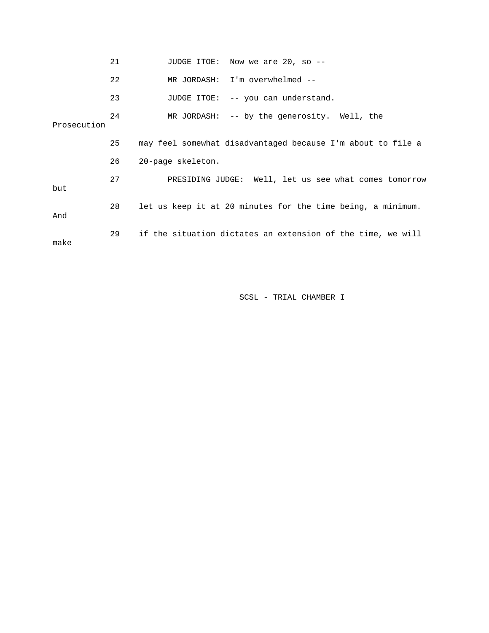|             | 21 | JUDGE ITOE: Now we are 20, so --                            |
|-------------|----|-------------------------------------------------------------|
|             | 22 | MR JORDASH: I'm overwhelmed --                              |
|             | 23 | JUDGE ITOE: -- you can understand.                          |
| Prosecution | 24 | MR JORDASH: -- by the generosity. Well, the                 |
|             | 25 | may feel somewhat disadvantaged because I'm about to file a |
|             | 26 | 20-page skeleton.                                           |
| but         | 27 | PRESIDING JUDGE: Well, let us see what comes tomorrow       |
| And         | 28 | let us keep it at 20 minutes for the time being, a minimum. |
| make        | 29 | if the situation dictates an extension of the time, we will |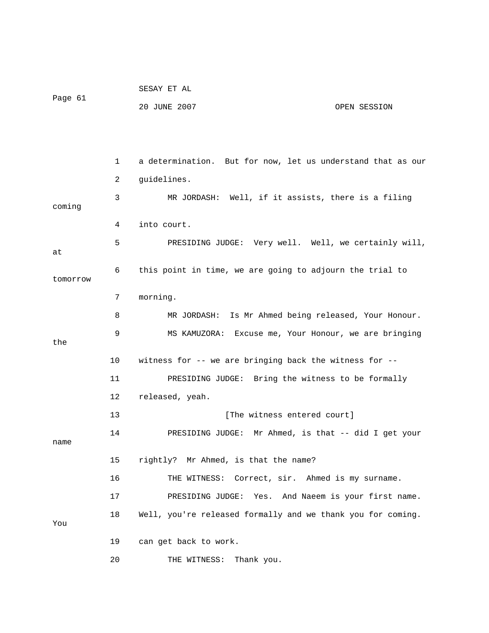|          |    | SESAY ET AL                                                 |
|----------|----|-------------------------------------------------------------|
| Page 61  |    | 20 JUNE 2007<br>OPEN SESSION                                |
|          |    |                                                             |
|          |    |                                                             |
|          | 1  | a determination. But for now, let us understand that as our |
|          | 2  | guidelines.                                                 |
| coming   | 3  | MR JORDASH: Well, if it assists, there is a filing          |
|          | 4  | into court.                                                 |
|          | 5  | PRESIDING JUDGE: Very well. Well, we certainly will,        |
| at       |    |                                                             |
| tomorrow | 6  | this point in time, we are going to adjourn the trial to    |
|          | 7  | morning.                                                    |
|          | 8  | MR JORDASH: Is Mr Ahmed being released, Your Honour.        |
|          | 9  | MS KAMUZORA: Excuse me, Your Honour, we are bringing        |
| the      |    |                                                             |
|          | 10 | witness for -- we are bringing back the witness for --      |
|          | 11 | PRESIDING JUDGE: Bring the witness to be formally           |
|          | 12 | released, yeah.                                             |
|          | 13 | [The witness entered court]                                 |
| name     | 14 | Mr Ahmed, is that -- did I get your<br>PRESIDING JUDGE:     |
|          | 15 | rightly? Mr Ahmed, is that the name?                        |
|          |    |                                                             |
|          | 16 | Correct, sir. Ahmed is my surname.<br>THE WITNESS:          |
|          | 17 | PRESIDING JUDGE:<br>And Naeem is your first name.<br>Yes.   |
| You      | 18 | Well, you're released formally and we thank you for coming. |
|          | 19 | can get back to work.                                       |
|          | 20 | Thank you.<br>THE WITNESS:                                  |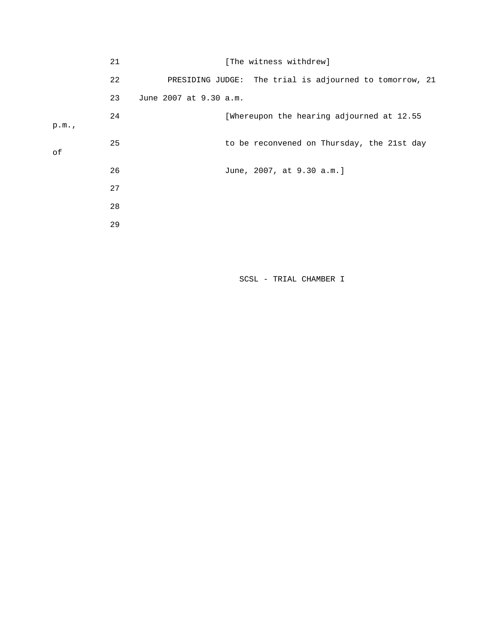|      | 21 | [The witness withdrew]                                  |  |
|------|----|---------------------------------------------------------|--|
|      | 22 | PRESIDING JUDGE: The trial is adjourned to tomorrow, 21 |  |
|      | 23 | June 2007 at 9.30 a.m.                                  |  |
| p.m. | 24 | [Whereupon the hearing adjourned at 12.55               |  |
| оf   | 25 | to be reconvened on Thursday, the 21st day              |  |
|      | 26 | June, 2007, at 9.30 a.m.]                               |  |
|      | 27 |                                                         |  |
|      | 28 |                                                         |  |
|      | 29 |                                                         |  |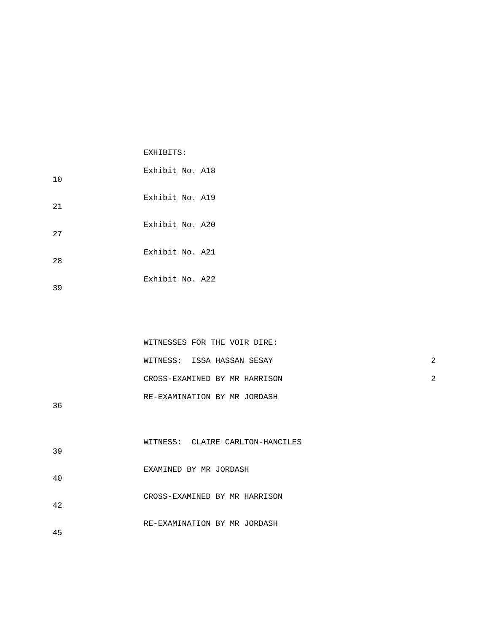|     | EXHIBITS:       |
|-----|-----------------|
| 10  | Exhibit No. A18 |
| 21  | Exhibit No. A19 |
| 2.7 | Exhibit No. A20 |
| 28  | Exhibit No. A21 |
| 39  | Exhibit No. A22 |

|        | WITNESSES FOR THE VOIR DIRE:  |  |
|--------|-------------------------------|--|
|        | WITNESS: ISSA HASSAN SESAY    |  |
|        | CROSS-EXAMINED BY MR HARRISON |  |
| $\sim$ | RE-EXAMINATION BY MR JORDASH  |  |

36

| 39 | WITNESS: CLAIRE CARLTON-HANCILES |
|----|----------------------------------|
| 40 | EXAMINED BY MR JORDASH           |
| 42 | CROSS-EXAMINED BY MR HARRISON    |
| 45 | RE-EXAMINATION BY MR JORDASH     |